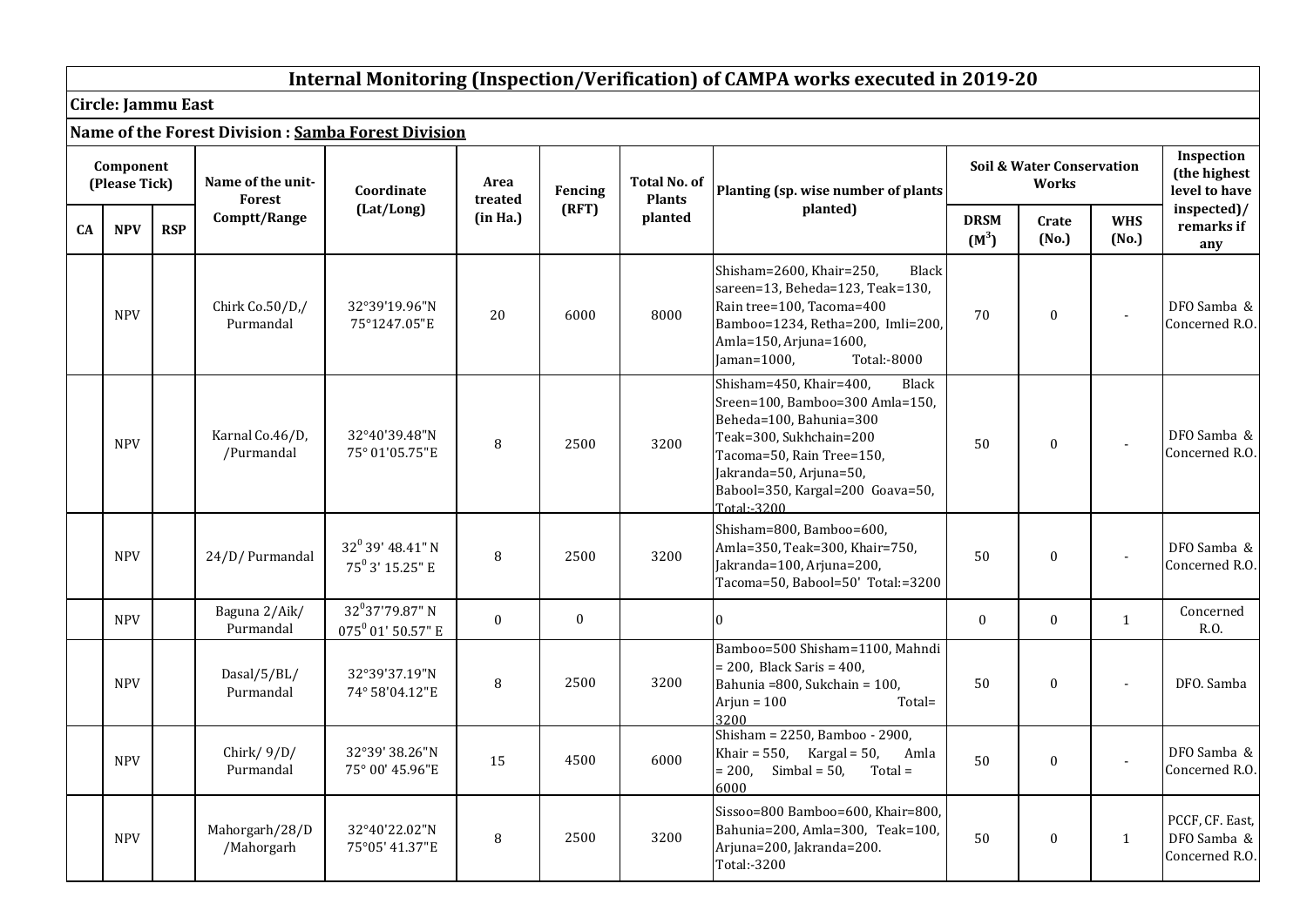## **Internal Monitoring (Inspection/Verification) of CAMPA works executed in 2019-20**

**Circle: Jammu East**

|           |                            |            |                               | Name of the Forest Division : Samba Forest Division |                 |              |                                      |                                                                                                                                                                                                                                             |                        |                                                      |                          |                                                  |
|-----------|----------------------------|------------|-------------------------------|-----------------------------------------------------|-----------------|--------------|--------------------------------------|---------------------------------------------------------------------------------------------------------------------------------------------------------------------------------------------------------------------------------------------|------------------------|------------------------------------------------------|--------------------------|--------------------------------------------------|
|           | Component<br>(Please Tick) |            | Name of the unit-<br>Forest   | Coordinate                                          | Area<br>treated | Fencing      | <b>Total No. of</b><br><b>Plants</b> | Planting (sp. wise number of plants                                                                                                                                                                                                         |                        | <b>Soil &amp; Water Conservation</b><br><b>Works</b> |                          | Inspection<br>(the highest<br>level to have      |
| <b>CA</b> | <b>NPV</b>                 | <b>RSP</b> | Comptt/Range                  | (Lat/Long)                                          | (in Ha.)        | (RFT)        | planted                              | planted)                                                                                                                                                                                                                                    | <b>DRSM</b><br>$(M^3)$ | Crate<br>(No.)                                       | <b>WHS</b><br>(No.)      | inspected)/<br>remarks if<br>any                 |
|           | <b>NPV</b>                 |            | Chirk Co.50/D,/<br>Purmandal  | 32°39'19.96"N<br>75°1247.05"E                       | 20              | 6000         | 8000                                 | Shisham=2600, Khair=250,<br>Black<br>sareen=13, Beheda=123, Teak=130,<br>Rain tree=100, Tacoma=400<br>Bamboo=1234, Retha=200, Imli=200,<br>Amla=150, Arjuna=1600,<br>Jaman=1000,<br>Total:-8000                                             | 70                     | $\boldsymbol{0}$                                     |                          | DFO Samba &<br>Concerned R.O.                    |
|           | <b>NPV</b>                 |            | Karnal Co.46/D,<br>/Purmandal | 32°40'39.48"N<br>75° 01'05.75"E                     | 8               | 2500         | 3200                                 | Shisham=450, Khair=400,<br><b>Black</b><br>Sreen=100, Bamboo=300 Amla=150,<br>Beheda=100, Bahunia=300<br>Teak=300, Sukhchain=200<br>Tacoma=50, Rain Tree=150,<br>Jakranda=50, Arjuna=50,<br>Babool=350, Kargal=200 Goava=50,<br>Total: 3200 | 50                     | $\mathbf{0}$                                         | $\overline{\phantom{a}}$ | DFO Samba &<br>Concerned R.O.                    |
|           | <b>NPV</b>                 |            | 24/D/ Purmandal               | $32^0$ 39' 48.41" N<br>75 <sup>0</sup> 3' 15.25" E  | $\, 8$          | 2500         | 3200                                 | Shisham=800, Bamboo=600,<br>Amla=350, Teak=300, Khair=750,<br>Jakranda=100, Arjuna=200,<br>Tacoma=50, Babool=50' Total:=3200                                                                                                                | 50                     | $\boldsymbol{0}$                                     |                          | DFO Samba &<br>Concerned R.O.                    |
|           | <b>NPV</b>                 |            | Baguna 2/Aik/<br>Purmandal    | $32^0$ 37'79.87" N<br>$075^0$ 01' 50.57" E          | $\mathbf{0}$    | $\mathbf{0}$ |                                      |                                                                                                                                                                                                                                             | $\mathbf{0}$           | $\mathbf{0}$                                         | 1                        | Concerned<br>R.O.                                |
|           | <b>NPV</b>                 |            | Dasal/5/BL/<br>Purmandal      | 32°39'37.19"N<br>74° 58'04.12"E                     | $\, 8$          | 2500         | 3200                                 | Bamboo=500 Shisham=1100, Mahndi<br>$= 200$ , Black Saris $= 400$ ,<br>Bahunia = 800, Sukchain = 100,<br>Arjun = $100$<br>Total=<br>3200                                                                                                     | 50                     | $\boldsymbol{0}$                                     | $\overline{\phantom{a}}$ | DFO. Samba                                       |
|           | <b>NPV</b>                 |            | Chirk/ $9/D/$<br>Purmandal    | 32°39' 38.26"N<br>75° 00' 45.96"E                   | 15              | 4500         | 6000                                 | Shisham = 2250, Bamboo - 2900,<br>Khair = $550$ , Kargal = $50$ ,<br>Amla<br>$= 200$ , Simbal = 50,<br>$Total =$<br>6000                                                                                                                    | 50                     | $\boldsymbol{0}$                                     |                          | DFO Samba &<br>Concerned R.O.                    |
|           | <b>NPV</b>                 |            | Mahorgarh/28/D<br>/Mahorgarh  | 32°40'22.02"N<br>75°05' 41.37"E                     | 8               | 2500         | 3200                                 | Sissoo=800 Bamboo=600, Khair=800,<br>Bahunia=200, Amla=300, Teak=100,<br>Arjuna=200, Jakranda=200.<br>Total:-3200                                                                                                                           | 50                     | $\boldsymbol{0}$                                     | $\mathbf{1}$             | PCCF, CF. East,<br>DFO Samba &<br>Concerned R.O. |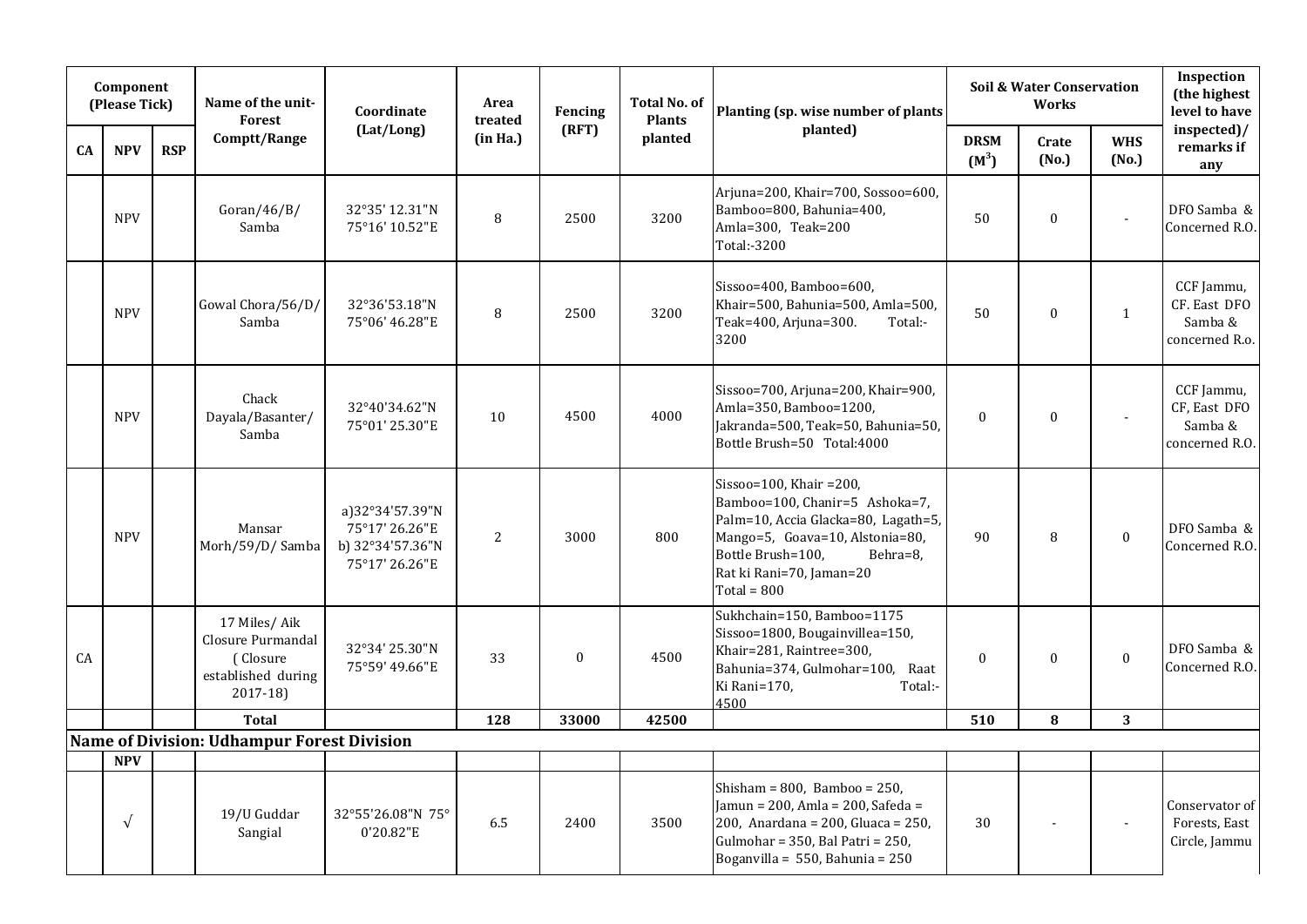|    | Component<br>(Please Tick) |            | Name of the unit-<br><b>Forest</b>                                              | Coordinate                                                              | Area<br>treated | Fencing          | <b>Total No. of</b><br><b>Plants</b> | Planting (sp. wise number of plants                                                                                                                                                                               |                        | <b>Soil &amp; Water Conservation</b><br><b>Works</b> |                     | Inspection<br>(the highest<br>level to have             |
|----|----------------------------|------------|---------------------------------------------------------------------------------|-------------------------------------------------------------------------|-----------------|------------------|--------------------------------------|-------------------------------------------------------------------------------------------------------------------------------------------------------------------------------------------------------------------|------------------------|------------------------------------------------------|---------------------|---------------------------------------------------------|
| CA | <b>NPV</b>                 | <b>RSP</b> | Comptt/Range                                                                    | (Lat/Long)                                                              | (in Ha.)        | (RFT)            | planted                              | planted)                                                                                                                                                                                                          | <b>DRSM</b><br>$(M^3)$ | Crate<br>(No.)                                       | <b>WHS</b><br>(No.) | inspected)/<br>remarks if<br>any                        |
|    | <b>NPV</b>                 |            | Goran/46/B/<br>Samba                                                            | 32°35' 12.31"N<br>75°16' 10.52"E                                        | $\, 8$          | 2500             | 3200                                 | Arjuna=200, Khair=700, Sossoo=600,<br>Bamboo=800, Bahunia=400,<br>Amla=300, Teak=200<br>Total:-3200                                                                                                               | 50                     | $\mathbf{0}$                                         |                     | DFO Samba &<br>Concerned R.O.                           |
|    | <b>NPV</b>                 |            | Gowal Chora/56/D/<br>Samba                                                      | 32°36'53.18"N<br>75°06' 46.28"E                                         | $\, 8$          | 2500             | 3200                                 | Sissoo= $400$ , Bamboo= $600$ ,<br>Khair=500, Bahunia=500, Amla=500,<br>Teak=400, Arjuna=300.<br>Total:-<br>3200                                                                                                  | 50                     | $\boldsymbol{0}$                                     | $\mathbf{1}$        | CCF Jammu,<br>CF. East DFO<br>Samba &<br>concerned R.o. |
|    | <b>NPV</b>                 |            | Chack<br>Dayala/Basanter/<br>Samba                                              | 32°40'34.62"N<br>75°01' 25.30"E                                         | 10              | 4500             | 4000                                 | Sissoo=700, Arjuna=200, Khair=900,<br>Amla=350, Bamboo=1200,<br>Jakranda=500, Teak=50, Bahunia=50,<br>Bottle Brush=50 Total:4000                                                                                  | $\mathbf{0}$           | $\mathbf{0}$                                         |                     | CCF Jammu,<br>CF, East DFO<br>Samba &<br>concerned R.O. |
|    | <b>NPV</b>                 |            | Mansar<br>Morh/59/D/ Samba                                                      | a)32°34'57.39"N<br>75°17' 26.26"E<br>b) 32°34'57.36"N<br>75°17' 26.26"E | $\overline{2}$  | 3000             | 800                                  | Sissoo=100, Khair =200,<br>Bamboo=100, Chanir=5 Ashoka=7,<br>Palm=10, Accia Glacka=80, Lagath=5,<br>Mango=5, Goava=10, Alstonia=80,<br>Bottle Brush=100,<br>Behra=8,<br>Rat ki Rani=70, Jaman=20<br>$Total = 800$ | 90                     | 8                                                    | $\boldsymbol{0}$    | DFO Samba &<br>Concerned R.O.                           |
| CA |                            |            | 17 Miles/Aik<br>Closure Purmandal<br>(Closure<br>established during<br>2017-18) | 32°34' 25.30"N<br>75°59' 49.66"E                                        | 33              | $\boldsymbol{0}$ | 4500                                 | Sukhchain=150, Bamboo=1175<br>Sissoo=1800, Bougainvillea=150,<br>Khair=281, Raintree=300,<br>Bahunia=374, Gulmohar=100, Raat<br>Ki Rani=170,<br>Total:-<br>4500                                                   | $\boldsymbol{0}$       | $\mathbf{0}$                                         | $\boldsymbol{0}$    | DFO Samba &<br>Concerned R.O.                           |
|    |                            |            | <b>Total</b>                                                                    |                                                                         | 128             | 33000            | 42500                                |                                                                                                                                                                                                                   | 510                    | 8                                                    | 3                   |                                                         |
|    |                            |            | Name of Division: Udhampur Forest Division                                      |                                                                         |                 |                  |                                      |                                                                                                                                                                                                                   |                        |                                                      |                     |                                                         |
|    | <b>NPV</b>                 |            |                                                                                 |                                                                         |                 |                  |                                      |                                                                                                                                                                                                                   |                        |                                                      |                     |                                                         |
|    | $\sqrt{ }$                 |            | 19/U Guddar<br>Sangial                                                          | 32°55'26.08"N 75°<br>0'20.82"E                                          | 6.5             | 2400             | 3500                                 | Shisham = $800$ , Bamboo = $250$ ,<br>Jamun = 200, Amla = 200, Safeda =<br>200, Anardana = 200, Gluaca = 250,<br>Gulmohar = 350, Bal Patri = 250,<br>Boganvilla = 550, Bahunia = $250$                            | 30                     |                                                      |                     | Conservator of<br>Forests, East<br>Circle, Jammu        |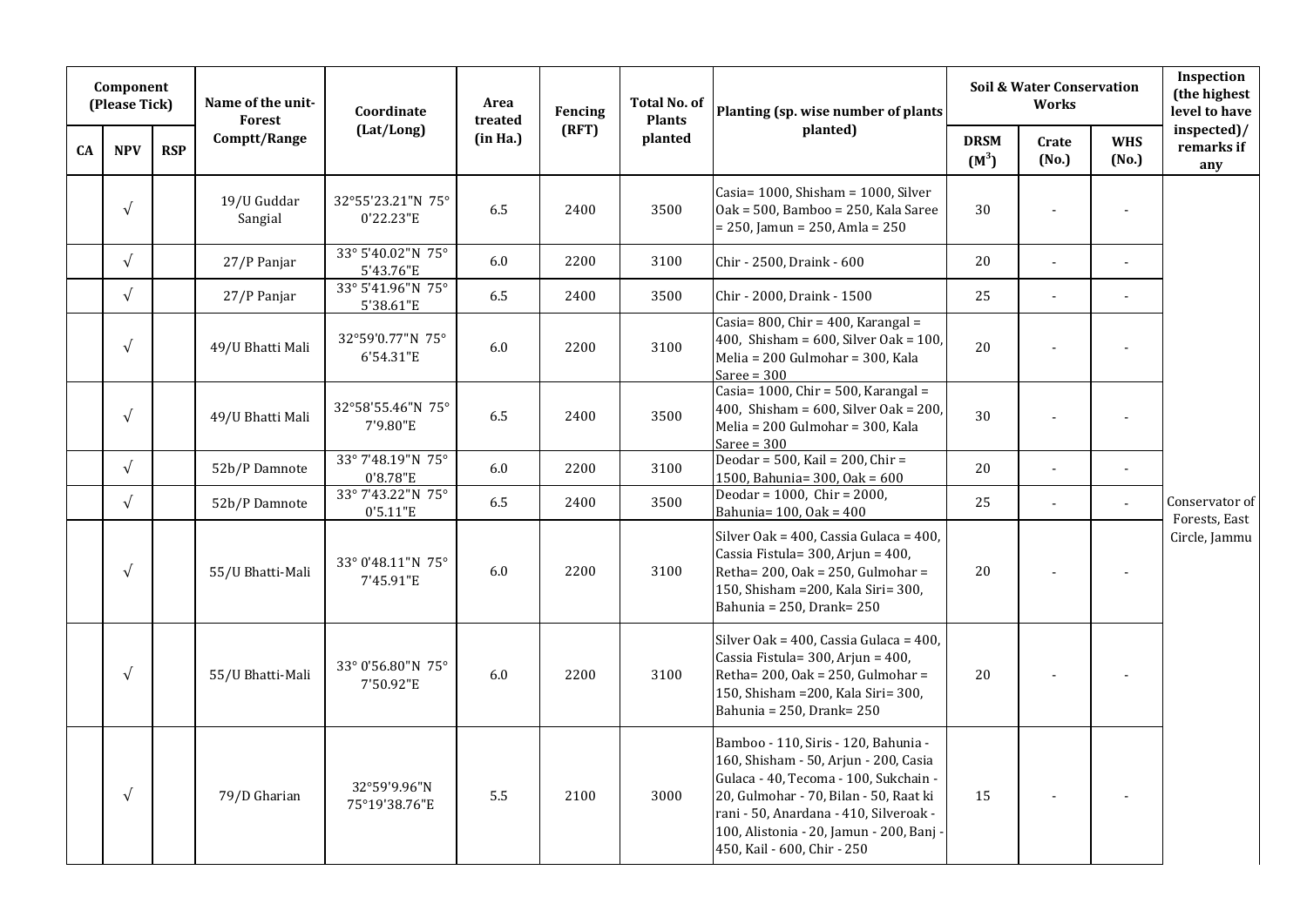|           | Component<br>(Please Tick) |            | Name of the unit-<br><b>Forest</b> | Coordinate                     | Area<br>treated | Fencing | <b>Total No. of</b><br><b>Plants</b> | Planting (sp. wise number of plants                                                                                                                                                                                                                                                 |                        | <b>Soil &amp; Water Conservation</b><br><b>Works</b> |                     | Inspection<br>(the highest<br>level to have |
|-----------|----------------------------|------------|------------------------------------|--------------------------------|-----------------|---------|--------------------------------------|-------------------------------------------------------------------------------------------------------------------------------------------------------------------------------------------------------------------------------------------------------------------------------------|------------------------|------------------------------------------------------|---------------------|---------------------------------------------|
| <b>CA</b> | <b>NPV</b>                 | <b>RSP</b> | Comptt/Range                       | (Lat/Long)                     | (in Ha.)        | (RFT)   | planted                              | planted)                                                                                                                                                                                                                                                                            | <b>DRSM</b><br>$(M^3)$ | Crate<br>(No.)                                       | <b>WHS</b><br>(No.) | inspected)/<br>remarks if<br>any            |
|           | $\sqrt{ }$                 |            | 19/U Guddar<br>Sangial             | 32°55'23.21"N 75°<br>0'22.23"E | 6.5             | 2400    | 3500                                 | Casia= 1000, Shisham = 1000, Silver<br>Oak = 500, Bamboo = 250, Kala Saree<br>= 250, Jamun = 250, Amla = 250                                                                                                                                                                        | 30                     | $\sim$                                               |                     |                                             |
|           | $\sqrt{ }$                 |            | 27/P Panjar                        | 33° 5'40.02"N 75°<br>5'43.76"E | $6.0\,$         | 2200    | 3100                                 | Chir - 2500, Draink - 600                                                                                                                                                                                                                                                           | 20                     | $\mathbf{r}$                                         | $\blacksquare$      |                                             |
|           | $\sqrt{ }$                 |            | 27/P Panjar                        | 33° 5'41.96"N 75°<br>5'38.61"E | 6.5             | 2400    | 3500                                 | Chir - 2000, Draink - 1500                                                                                                                                                                                                                                                          | 25                     | $\sim$                                               | $\sim$              |                                             |
|           | $\sqrt{ }$                 |            | 49/U Bhatti Mali                   | 32°59'0.77"N 75°<br>6'54.31"E  | $6.0\,$         | 2200    | 3100                                 | Casia= $800$ , Chir = $400$ , Karangal =<br>400, Shisham = $600$ , Silver Oak = $100$ ,<br>Melia = 200 Gulmohar = 300, Kala<br>Saree = $300$                                                                                                                                        | 20                     |                                                      |                     |                                             |
|           | $\sqrt{ }$                 |            | 49/U Bhatti Mali                   | 32°58'55.46"N 75°<br>7'9.80"E  | 6.5             | 2400    | 3500                                 | Casia= $1000$ , Chir = $500$ , Karangal =<br>400, Shisham = $600$ , Silver Oak = $200$ ,<br>Melia = 200 Gulmohar = 300, Kala<br>Saree = $300$                                                                                                                                       | 30                     |                                                      |                     |                                             |
|           | $\sqrt{ }$                 |            | 52b/P Damnote                      | 33° 7'48.19"N 75°<br>0'8.78"E  | $6.0\,$         | 2200    | 3100                                 | Deodar = $500$ , Kail = $200$ , Chir =<br>1500, Bahunia= 300, Oak = 600                                                                                                                                                                                                             | 20                     | $\sim$                                               | $\omega$            |                                             |
|           | $\sqrt{ }$                 |            | 52b/P Damnote                      | 33° 7'43.22"N 75°<br>0'5.11"E  | 6.5             | 2400    | 3500                                 | Deodar = $1000$ , Chir = $2000$ ,<br>Bahunia= 100, Oak = 400                                                                                                                                                                                                                        | 25                     | $\sim$                                               | $\sim$              | Conservator of<br>Forests, East             |
|           | $\sqrt{ }$                 |            | 55/U Bhatti-Mali                   | 33° 0'48.11"N 75°<br>7'45.91"E | 6.0             | 2200    | 3100                                 | Silver Oak = 400, Cassia Gulaca = 400,<br>Cassia Fistula= 300, Arjun = 400,<br>Retha= $200$ , Oak = $250$ , Gulmohar =<br>150, Shisham = 200, Kala Siri = 300,<br>Bahunia = 250, Drank= 250                                                                                         | 20                     |                                                      |                     | Circle, Jammu                               |
|           | $\sqrt{ }$                 |            | 55/U Bhatti-Mali                   | 33° 0'56.80"N 75°<br>7'50.92"E | 6.0             | 2200    | 3100                                 | Silver Oak = 400, Cassia Gulaca = 400,<br>Cassia Fistula= 300, Arjun = 400,<br>Retha= $200$ , Oak = $250$ , Gulmohar =<br>150, Shisham =200, Kala Siri= 300,<br>Bahunia = 250, Drank= 250                                                                                           | 20                     |                                                      |                     |                                             |
|           | $\sqrt{ }$                 |            | 79/D Gharian                       | 32°59'9.96"N<br>75°19'38.76"E  | 5.5             | 2100    | 3000                                 | Bamboo - 110, Siris - 120, Bahunia -<br>160, Shisham - 50, Arjun - 200, Casia<br>Gulaca - 40, Tecoma - 100, Sukchain -<br>20, Gulmohar - 70, Bilan - 50, Raat ki<br>rani - 50, Anardana - 410, Silveroak -<br>100, Alistonia - 20, Jamun - 200, Banj<br>450, Kail - 600, Chir - 250 | 15                     |                                                      |                     |                                             |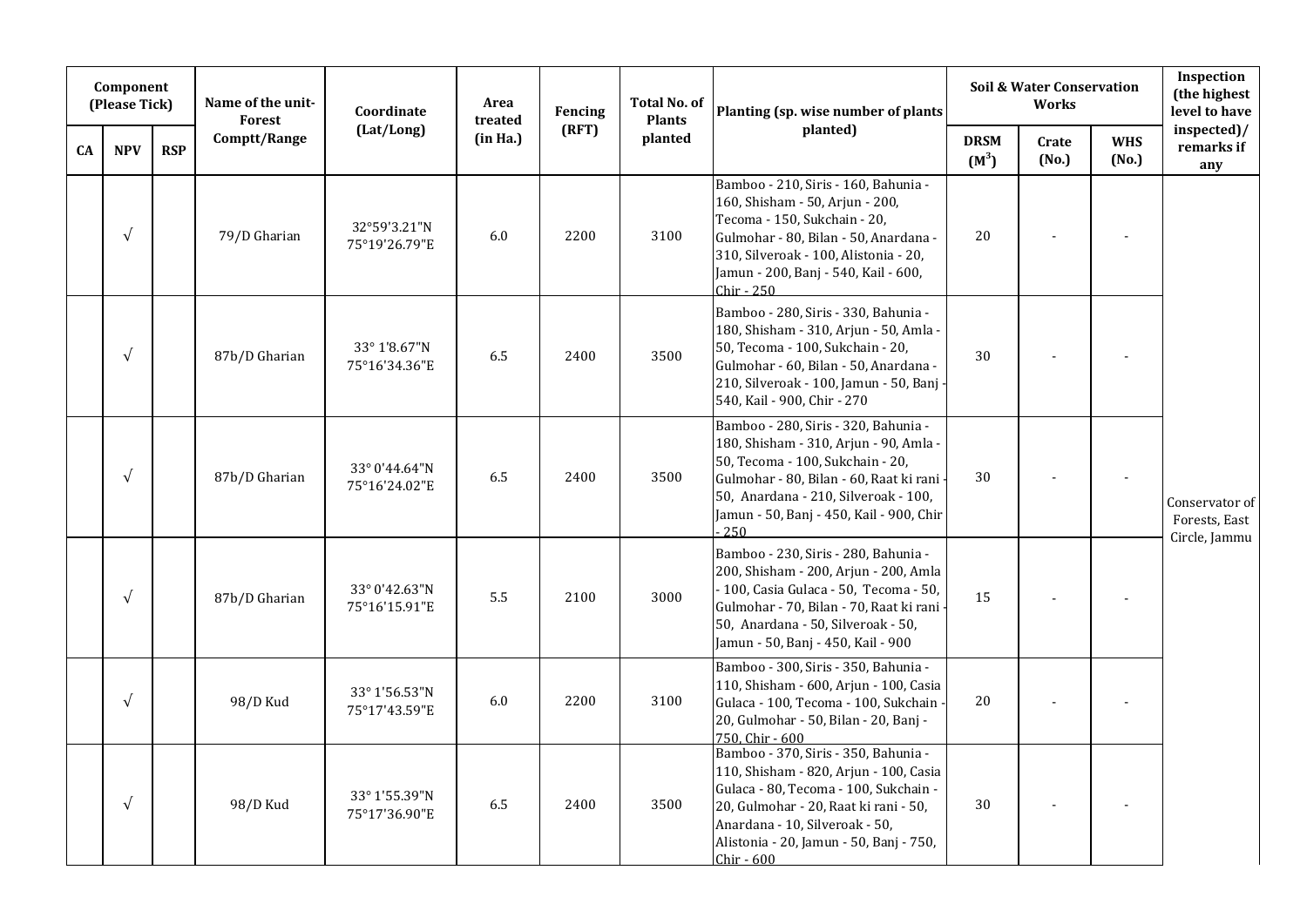|           | Component<br>(Please Tick) |            | Name of the unit-<br>Forest | Coordinate                     | Area<br>treated | Fencing | <b>Total No. of</b><br><b>Plants</b> | Planting (sp. wise number of plants                                                                                                                                                                                                                         |                        | <b>Soil &amp; Water Conservation</b><br><b>Works</b> |                     | Inspection<br>(the highest<br>level to have      |
|-----------|----------------------------|------------|-----------------------------|--------------------------------|-----------------|---------|--------------------------------------|-------------------------------------------------------------------------------------------------------------------------------------------------------------------------------------------------------------------------------------------------------------|------------------------|------------------------------------------------------|---------------------|--------------------------------------------------|
| <b>CA</b> | <b>NPV</b>                 | <b>RSP</b> | Comptt/Range                | (Lat/Long)                     | (in Ha.)        | (RFT)   | planted                              | planted)                                                                                                                                                                                                                                                    | <b>DRSM</b><br>$(M^3)$ | Crate<br>(No.)                                       | <b>WHS</b><br>(No.) | inspected)/<br>remarks if<br>any                 |
|           | $\sqrt{ }$                 |            | 79/D Gharian                | 32°59'3.21"N<br>75°19'26.79"E  | 6.0             | 2200    | 3100                                 | Bamboo - 210, Siris - 160, Bahunia -<br>160, Shisham - 50, Arjun - 200,<br>Tecoma - 150, Sukchain - 20,<br>Gulmohar - 80, Bilan - 50, Anardana -<br>310, Silveroak - 100, Alistonia - 20,<br>Jamun - 200, Banj - 540, Kail - 600,<br>Chir - 250             | 20                     |                                                      |                     |                                                  |
|           | $\sqrt{ }$                 |            | 87b/D Gharian               | 33° 1'8.67"N<br>75°16'34.36"E  | 6.5             | 2400    | 3500                                 | Bamboo - 280, Siris - 330, Bahunia -<br>180, Shisham - 310, Arjun - 50, Amla -<br>50, Tecoma - 100, Sukchain - 20,<br>Gulmohar - 60, Bilan - 50, Anardana -<br>210, Silveroak - 100, Jamun - 50, Banj<br>540, Kail - 900, Chir - 270                        | 30                     |                                                      |                     |                                                  |
|           | $\sqrt{ }$                 |            | 87b/D Gharian               | 33° 0'44.64"N<br>75°16'24.02"E | 6.5             | 2400    | 3500                                 | Bamboo - 280, Siris - 320, Bahunia -<br>180, Shisham - 310, Arjun - 90, Amla -<br>50, Tecoma - 100, Sukchain - 20,<br>Gulmohar - 80, Bilan - 60, Raat ki rani<br>50, Anardana - 210, Silveroak - 100,<br>Jamun - 50, Banj - 450, Kail - 900, Chir<br>.250   | 30                     |                                                      | $\blacksquare$      | Conservator of<br>Forests, East<br>Circle, Jammu |
|           | $\sqrt{ }$                 |            | 87b/D Gharian               | 33° 0'42.63"N<br>75°16'15.91"E | 5.5             | 2100    | 3000                                 | Bamboo - 230, Siris - 280, Bahunia -<br>200, Shisham - 200, Arjun - 200, Amla<br>- 100, Casia Gulaca - 50, Tecoma - 50,<br>Gulmohar - 70, Bilan - 70, Raat ki rani<br>50, Anardana - 50, Silveroak - 50,<br>Jamun - 50, Banj - 450, Kail - 900              | 15                     |                                                      |                     |                                                  |
|           | $\sqrt{ }$                 |            | 98/D Kud                    | 33° 1'56.53"N<br>75°17'43.59"E | 6.0             | 2200    | 3100                                 | Bamboo - 300, Siris - 350, Bahunia -<br>110, Shisham - 600, Arjun - 100, Casia<br>Gulaca - 100, Tecoma - 100, Sukchain<br>20, Gulmohar - 50, Bilan - 20, Banj -<br>750, Chir - 600                                                                          | 20                     |                                                      |                     |                                                  |
|           | $\sqrt{ }$                 |            | 98/D Kud                    | 33° 1'55.39"N<br>75°17'36.90"E | 6.5             | 2400    | 3500                                 | Bamboo - 370, Siris - 350, Bahunia -<br>110, Shisham - 820, Arjun - 100, Casia<br>Gulaca - 80, Tecoma - 100, Sukchain -<br>20, Gulmohar - 20, Raat ki rani - 50,<br>Anardana - 10, Silveroak - 50,<br>Alistonia - 20, Jamun - 50, Banj - 750,<br>Chir - 600 | 30                     |                                                      |                     |                                                  |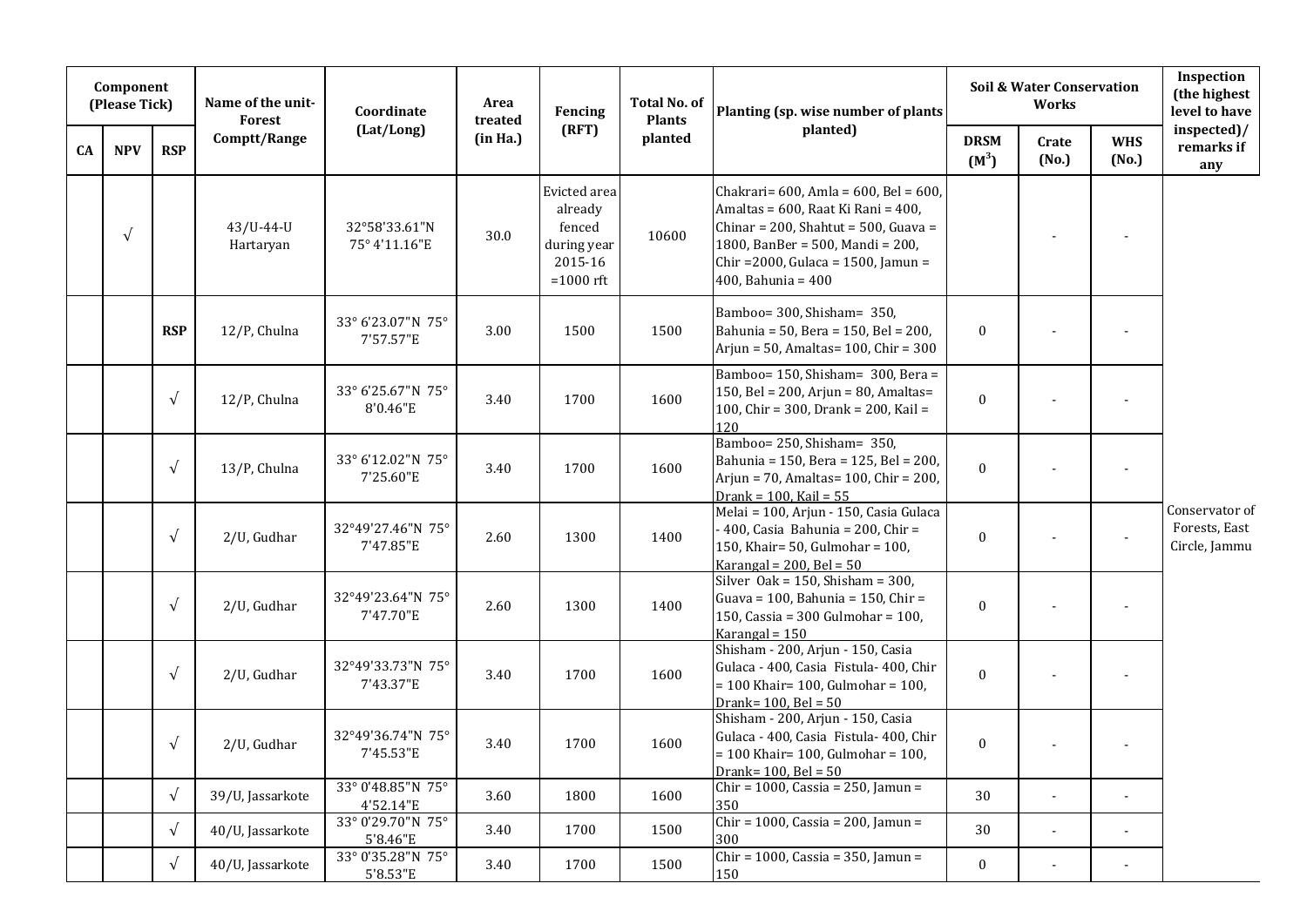|    | Component<br>(Please Tick) |            | Name of the unit-<br><b>Forest</b> | Coordinate                     | Area<br>treated | Fencing                                                                    | Total No. of<br><b>Plants</b> | Planting (sp. wise number of plants                                                                                                                                                                                  |                        | <b>Soil &amp; Water Conservation</b><br>Works |                     | Inspection<br>(the highest<br>level to have      |
|----|----------------------------|------------|------------------------------------|--------------------------------|-----------------|----------------------------------------------------------------------------|-------------------------------|----------------------------------------------------------------------------------------------------------------------------------------------------------------------------------------------------------------------|------------------------|-----------------------------------------------|---------------------|--------------------------------------------------|
| CA | <b>NPV</b>                 | <b>RSP</b> | Comptt/Range                       | (Lat/Long)                     | (in Ha.)        | (RFT)                                                                      | planted                       | planted)                                                                                                                                                                                                             | <b>DRSM</b><br>$(M^3)$ | Crate<br>(No.)                                | <b>WHS</b><br>(No.) | inspected)/<br>remarks if<br>any                 |
|    | $\sqrt{ }$                 |            | $43/U - 44 - U$<br>Hartaryan       | 32°58'33.61"N<br>75° 4'11.16"E | 30.0            | Evicted area<br>already<br>fenced<br>during year<br>2015-16<br>$=1000$ rft | 10600                         | Chakrari= 600, Amla = 600, Bel = 600,<br>Amaltas = 600, Raat Ki Rani = 400,<br>Chinar = 200, Shahtut = 500, Guava =<br>1800, BanBer = 500, Mandi = 200,<br>Chir = 2000, Gulaca = 1500, Jamun =<br>400, Bahunia = 400 |                        |                                               |                     |                                                  |
|    |                            | <b>RSP</b> | 12/P, Chulna                       | 33° 6'23.07"N 75°<br>7'57.57"E | 3.00            | 1500                                                                       | 1500                          | Bamboo= 300, Shisham= 350,<br>Bahunia = 50, Bera = 150, Bel = 200,<br>Arjun = 50, Amaltas= $100$ , Chir = $300$                                                                                                      | $\bf{0}$               |                                               |                     |                                                  |
|    |                            | $\sqrt{ }$ | 12/P, Chulna                       | 33° 6'25.67"N 75°<br>8'0.46"E  | 3.40            | 1700                                                                       | 1600                          | Bamboo= 150, Shisham= 300, Bera =<br>150, Bel = 200, Arjun = 80, Amaltas=<br>100, Chir = 300, Drank = 200, Kail =<br>120                                                                                             | $\boldsymbol{0}$       |                                               |                     |                                                  |
|    |                            | $\sqrt{ }$ | 13/P, Chulna                       | 33° 6'12.02"N 75°<br>7'25.60"E | 3.40            | 1700                                                                       | 1600                          | Bamboo= 250, Shisham= 350,<br>Bahunia = 150, Bera = 125, Bel = 200,<br>Arjun = 70, Amaltas= 100, Chir = 200,<br>Drank = $100$ , Kail = $55$                                                                          | $\mathbf{0}$           |                                               |                     |                                                  |
|    |                            | $\sqrt{ }$ | 2/U, Gudhar                        | 32°49'27.46"N 75°<br>7'47.85"E | 2.60            | 1300                                                                       | 1400                          | Melai = 100, Arjun - 150, Casia Gulaca<br>$-400$ , Casia Bahunia = 200, Chir =<br>150, Khair= 50, Gulmohar = 100,<br>Karangal = $200$ , Bel = $50$                                                                   | $\boldsymbol{0}$       |                                               |                     | Conservator of<br>Forests, East<br>Circle, Jammu |
|    |                            | $\sqrt{ }$ | 2/U, Gudhar                        | 32°49'23.64"N 75°<br>7'47.70"E | 2.60            | 1300                                                                       | 1400                          | Silver Oak = $150$ , Shisham = $300$ ,<br>Guava = 100, Bahunia = 150, Chir =<br>150, Cassia = 300 Gulmohar = 100,<br>Karangal = $150$                                                                                | $\mathbf{0}$           |                                               |                     |                                                  |
|    |                            | $\sqrt{ }$ | 2/U, Gudhar                        | 32°49'33.73"N 75°<br>7'43.37"E | 3.40            | 1700                                                                       | 1600                          | Shisham - 200, Arjun - 150, Casia<br>Gulaca - 400, Casia Fistula- 400, Chir<br>$= 100$ Khair= 100, Gulmohar = 100,<br>Drank= $100$ , Bel = $50$                                                                      | $\boldsymbol{0}$       |                                               |                     |                                                  |
|    |                            | $\sqrt{ }$ | 2/U, Gudhar                        | 32°49'36.74"N 75°<br>7'45.53"E | 3.40            | 1700                                                                       | 1600                          | Shisham - 200, Arjun - 150, Casia<br>Gulaca - 400, Casia Fistula- 400, Chir<br>$= 100$ Khair= 100, Gulmohar = 100,<br>Drank= $100$ , Bel = $50$                                                                      | $\boldsymbol{0}$       |                                               |                     |                                                  |
|    |                            | $\sqrt{}$  | 39/U, Jassarkote                   | 33° 0'48.85"N 75°<br>4'52.14"E | 3.60            | 1800                                                                       | 1600                          | Chir = 1000, Cassia = 250, Jamun =<br>350                                                                                                                                                                            | 30                     | $\blacksquare$                                | $\blacksquare$      |                                                  |
|    |                            | $\sqrt{ }$ | 40/U, Jassarkote                   | 33° 0'29.70"N 75°<br>5'8.46"E  | 3.40            | 1700                                                                       | 1500                          | Chir = $1000$ , Cassia = $200$ , Jamun =<br>300                                                                                                                                                                      | 30                     | $\blacksquare$                                |                     |                                                  |
|    |                            | $\sqrt{ }$ | 40/U, Jassarkote                   | 33° 0'35.28"N 75°<br>5'8.53"E  | 3.40            | 1700                                                                       | 1500                          | Chir = 1000, Cassia = 350, Jamun =<br>150                                                                                                                                                                            | $\boldsymbol{0}$       | $\overline{\phantom{a}}$                      |                     |                                                  |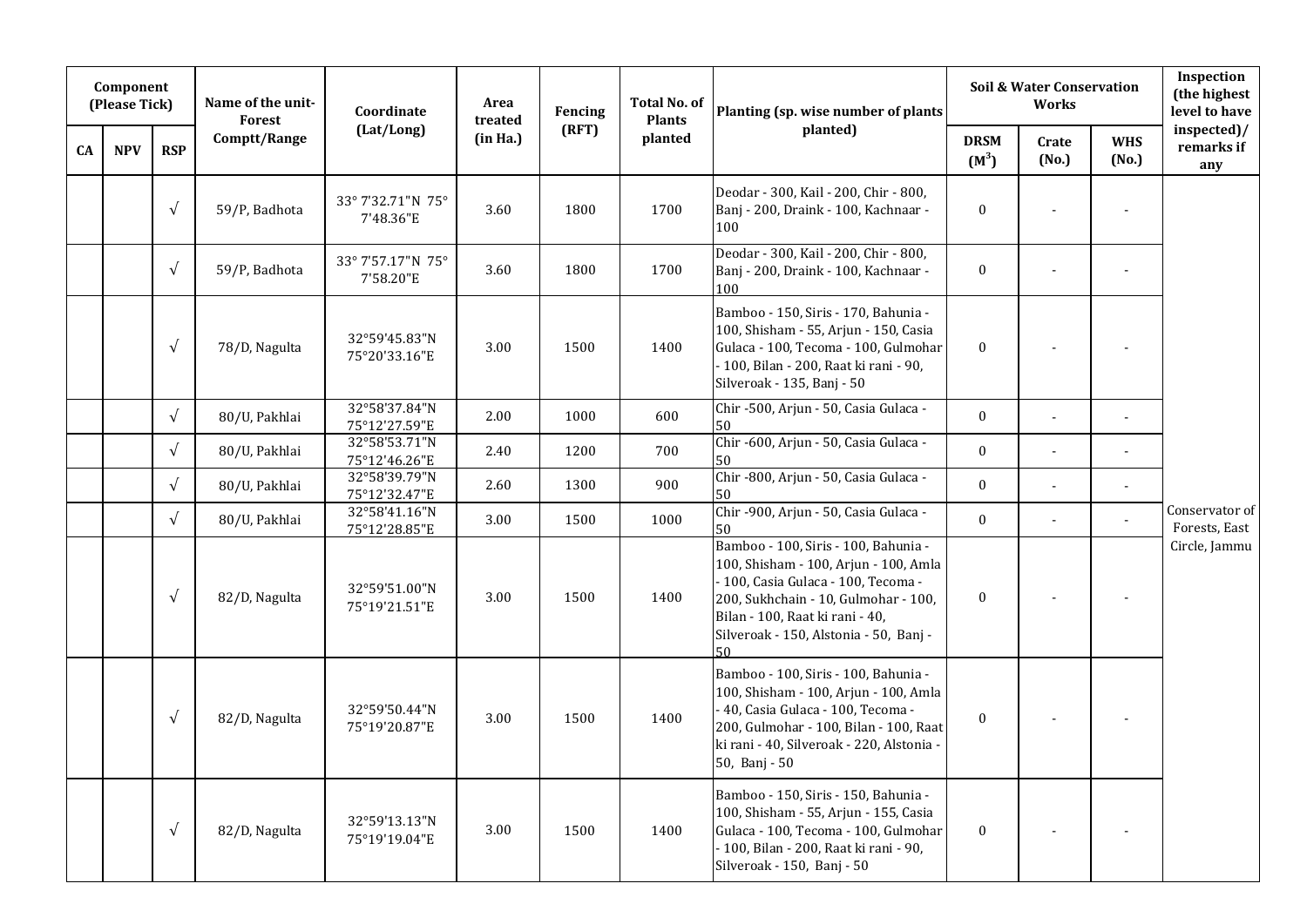|    | Component<br>(Please Tick) |            | Name of the unit-<br>Forest | Coordinate                     | Area<br>treated | Fencing | <b>Total No. of</b><br><b>Plants</b> | Planting (sp. wise number of plants                                                                                                                                                                                                       |                        | <b>Soil &amp; Water Conservation</b><br>Works |                          | Inspection<br>(the highest<br>level to have |
|----|----------------------------|------------|-----------------------------|--------------------------------|-----------------|---------|--------------------------------------|-------------------------------------------------------------------------------------------------------------------------------------------------------------------------------------------------------------------------------------------|------------------------|-----------------------------------------------|--------------------------|---------------------------------------------|
| CA | <b>NPV</b>                 | <b>RSP</b> | Comptt/Range                | (Lat/Long)                     | (in Ha.)        | (RFT)   | planted                              | planted)                                                                                                                                                                                                                                  | <b>DRSM</b><br>$(M^3)$ | Crate<br>(No.)                                | <b>WHS</b><br>(No.)      | inspected)/<br>remarks if<br>any            |
|    |                            | $\sqrt{ }$ | 59/P, Badhota               | 33° 7'32.71"N 75°<br>7'48.36"E | 3.60            | 1800    | 1700                                 | Deodar - 300, Kail - 200, Chir - 800,<br>Banj - 200, Draink - 100, Kachnaar -<br>100                                                                                                                                                      | $\bf{0}$               |                                               |                          |                                             |
|    |                            | $\sqrt{ }$ | 59/P, Badhota               | 33° 7'57.17"N 75°<br>7'58.20"E | 3.60            | 1800    | 1700                                 | Deodar - 300, Kail - 200, Chir - 800,<br>Banj - 200, Draink - 100, Kachnaar -<br>100                                                                                                                                                      | $\boldsymbol{0}$       |                                               |                          |                                             |
|    |                            | $\sqrt{ }$ | 78/D, Nagulta               | 32°59'45.83"N<br>75°20'33.16"E | 3.00            | 1500    | 1400                                 | Bamboo - 150, Siris - 170, Bahunia -<br>100, Shisham - 55, Arjun - 150, Casia<br>Gulaca - 100, Tecoma - 100, Gulmohar<br>- 100, Bilan - 200, Raat ki rani - 90,<br>Silveroak - 135, Banj - 50                                             | $\bf{0}$               |                                               |                          |                                             |
|    |                            | $\sqrt{ }$ | 80/U, Pakhlai               | 32°58'37.84"N<br>75°12'27.59"E | 2.00            | 1000    | 600                                  | Chir -500, Arjun - 50, Casia Gulaca -<br>50                                                                                                                                                                                               | $\mathbf{0}$           | $\blacksquare$                                | ÷,                       |                                             |
|    |                            | $\sqrt{ }$ | 80/U, Pakhlai               | 32°58'53.71"N<br>75°12'46.26"E | 2.40            | 1200    | 700                                  | Chir -600, Arjun - 50, Casia Gulaca -<br>50                                                                                                                                                                                               | $\mathbf{0}$           | $\blacksquare$                                | $\overline{a}$           |                                             |
|    |                            | $\sqrt{ }$ | 80/U, Pakhlai               | 32°58'39.79"N<br>75°12'32.47"E | 2.60            | 1300    | 900                                  | Chir -800, Arjun - 50, Casia Gulaca -<br>50                                                                                                                                                                                               | $\mathbf{0}$           |                                               |                          |                                             |
|    |                            | $\sqrt{ }$ | 80/U, Pakhlai               | 32°58'41.16"N<br>75°12'28.85"E | 3.00            | 1500    | 1000                                 | Chir -900, Arjun - 50, Casia Gulaca -<br>50                                                                                                                                                                                               | $\mathbf{0}$           | $\blacksquare$                                | ÷,                       | Conservator of<br>Forests, East             |
|    |                            | $\sqrt{ }$ | 82/D, Nagulta               | 32°59'51.00"N<br>75°19'21.51"E | 3.00            | 1500    | 1400                                 | Bamboo - 100, Siris - 100, Bahunia -<br>100, Shisham - 100, Arjun - 100, Amla<br>- 100, Casia Gulaca - 100, Tecoma -<br>200, Sukhchain - 10, Gulmohar - 100,<br>Bilan - 100, Raat ki rani - 40,<br>Silveroak - 150, Alstonia - 50, Banj - | $\bf{0}$               |                                               |                          | Circle, Jammu                               |
|    |                            | $\sqrt{ }$ | 82/D, Nagulta               | 32°59'50.44"N<br>75°19'20.87"E | 3.00            | 1500    | 1400                                 | Bamboo - 100, Siris - 100, Bahunia -<br>100, Shisham - 100, Arjun - 100, Amla<br>- 40, Casia Gulaca - 100, Tecoma -<br>200, Gulmohar - 100, Bilan - 100, Raat<br>ki rani - 40, Silveroak - 220, Alstonia -<br>50, Banj - 50               | $\bf{0}$               |                                               |                          |                                             |
|    |                            | $\sqrt{ }$ | 82/D, Nagulta               | 32°59'13.13"N<br>75°19'19.04"E | 3.00            | 1500    | 1400                                 | Bamboo - 150, Siris - 150, Bahunia -<br>100, Shisham - 55, Arjun - 155, Casia<br>Gulaca - 100, Tecoma - 100, Gulmohar<br>- 100, Bilan - 200, Raat ki rani - 90,<br>Silveroak - 150, Banj - 50                                             | $\bf{0}$               |                                               | $\overline{\phantom{a}}$ |                                             |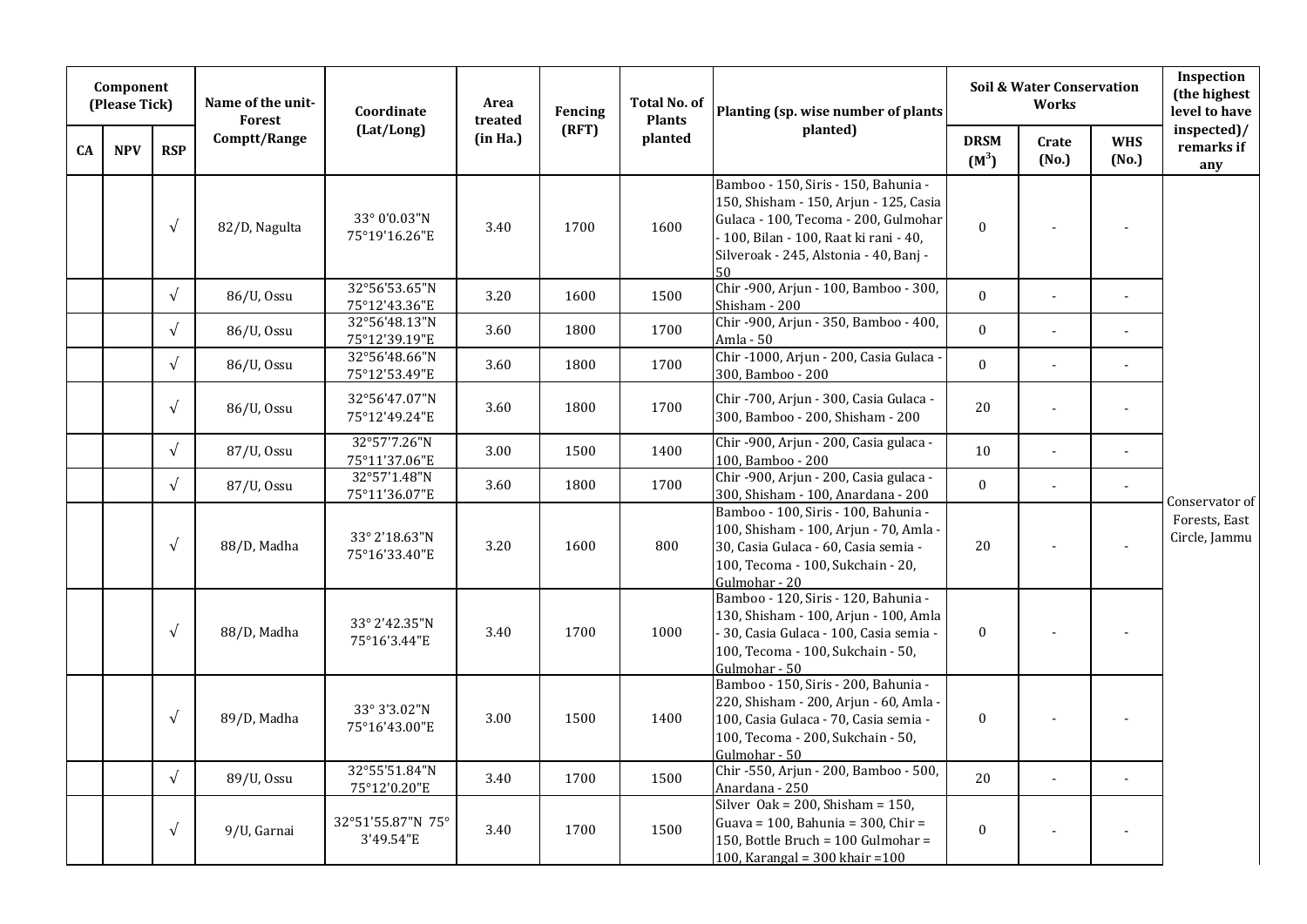|    | Component<br>(Please Tick) |            | Name of the unit-<br><b>Forest</b> | Coordinate                     | Area<br>treated | Fencing | <b>Total No. of</b><br><b>Plants</b> | Planting (sp. wise number of plants                                                                                                                                                                              |                        | <b>Soil &amp; Water Conservation</b><br><b>Works</b> |                       | Inspection<br>(the highest<br>level to have |
|----|----------------------------|------------|------------------------------------|--------------------------------|-----------------|---------|--------------------------------------|------------------------------------------------------------------------------------------------------------------------------------------------------------------------------------------------------------------|------------------------|------------------------------------------------------|-----------------------|---------------------------------------------|
| CA | <b>NPV</b>                 | <b>RSP</b> | Comptt/Range                       | (Lat/Long)                     | (in Ha.)        | (RFT)   | planted                              | planted)                                                                                                                                                                                                         | <b>DRSM</b><br>$(M^3)$ | Crate<br>(No.)                                       | <b>WHS</b><br>(No.)   | inspected)/<br>remarks if<br>any            |
|    |                            | $\sqrt{ }$ | 82/D, Nagulta                      | 33° 0'0.03"N<br>75°19'16.26"E  | 3.40            | 1700    | 1600                                 | Bamboo - 150, Siris - 150, Bahunia -<br>150, Shisham - 150, Arjun - 125, Casia<br>Gulaca - 100, Tecoma - 200, Gulmohar<br>- 100, Bilan - 100, Raat ki rani - 40,<br>Silveroak - 245, Alstonia - 40, Banj -<br>50 | $\mathbf 0$            |                                                      |                       |                                             |
|    |                            | $\sqrt{ }$ | 86/U, Ossu                         | 32°56'53.65"N<br>75°12'43.36"E | 3.20            | 1600    | 1500                                 | Chir -900, Arjun - 100, Bamboo - 300,<br>Shisham - 200                                                                                                                                                           | $\mathbf{0}$           | $\mathbf{r}$                                         | $\mathbf{r}$          |                                             |
|    |                            | $\sqrt{ }$ | 86/U, Ossu                         | 32°56'48.13"N<br>75°12'39.19"E | 3.60            | 1800    | 1700                                 | Chir-900, Arjun - 350, Bamboo - 400,<br>Amla - 50                                                                                                                                                                | $\Omega$               | $\blacksquare$                                       | $\tilde{\phantom{a}}$ |                                             |
|    |                            | $\sqrt{ }$ | 86/U, Ossu                         | 32°56'48.66"N<br>75°12'53.49"E | 3.60            | 1800    | 1700                                 | Chir -1000, Arjun - 200, Casia Gulaca -<br>300, Bamboo - 200                                                                                                                                                     | $\mathbf{0}$           | $\blacksquare$                                       | $\overline{a}$        |                                             |
|    |                            | $\sqrt{ }$ | 86/U, Ossu                         | 32°56'47.07"N<br>75°12'49.24"E | 3.60            | 1800    | 1700                                 | Chir -700, Arjun - 300, Casia Gulaca -<br>300, Bamboo - 200, Shisham - 200                                                                                                                                       | 20                     |                                                      |                       |                                             |
|    |                            | $\sqrt{ }$ | 87/U, Ossu                         | 32°57'7.26"N<br>75°11'37.06"E  | 3.00            | 1500    | 1400                                 | Chir -900, Arjun - 200, Casia gulaca -<br>100, Bamboo - 200                                                                                                                                                      | 10                     |                                                      |                       |                                             |
|    |                            | $\sqrt{ }$ | 87/U, Ossu                         | 32°57'1.48"N<br>75°11'36.07"E  | 3.60            | 1800    | 1700                                 | Chir -900, Arjun - 200, Casia gulaca -<br>300, Shisham - 100, Anardana - 200                                                                                                                                     | $\mathbf{0}$           | $\mathbf{r}$                                         | $\blacksquare$        | Conservator of                              |
|    |                            | $\sqrt{ }$ | 88/D, Madha                        | 33° 2'18.63"N<br>75°16'33.40"E | 3.20            | 1600    | 800                                  | Bamboo - 100, Siris - 100, Bahunia -<br>100, Shisham - 100, Arjun - 70, Amla -<br>30, Casia Gulaca - 60, Casia semia -<br>100, Tecoma - 100, Sukchain - 20,<br>Gulmohar - 20                                     | 20                     |                                                      | $\tilde{\phantom{a}}$ | Forests, East<br>Circle, Jammu              |
|    |                            | $\sqrt{ }$ | 88/D, Madha                        | 33° 2'42.35"N<br>75°16'3.44"E  | 3.40            | 1700    | 1000                                 | Bamboo - 120, Siris - 120, Bahunia -<br>130, Shisham - 100, Arjun - 100, Amla<br>- 30, Casia Gulaca - 100, Casia semia -<br>100, Tecoma - 100, Sukchain - 50,<br>Gulmohar - 50                                   | $\mathbf{0}$           |                                                      |                       |                                             |
|    |                            | $\sqrt{ }$ | 89/D, Madha                        | 33° 3'3.02"N<br>75°16'43.00"E  | 3.00            | 1500    | 1400                                 | Bamboo - 150, Siris - 200, Bahunia -<br>220, Shisham - 200, Arjun - 60, Amla -<br>100, Casia Gulaca - 70, Casia semia -<br>100, Tecoma - 200, Sukchain - 50,<br>Gulmohar - 50                                    | $\bf{0}$               |                                                      |                       |                                             |
|    |                            | $\sqrt{ }$ | 89/U, Ossu                         | 32°55'51.84"N<br>75°12'0.20"E  | 3.40            | 1700    | 1500                                 | Chir -550, Arjun - 200, Bamboo - 500,<br>Anardana - 250                                                                                                                                                          | 20                     | $\Box$                                               | $\overline{a}$        |                                             |
|    |                            | $\sqrt{ }$ | 9/U, Garnai                        | 32°51'55.87"N 75°<br>3'49.54"E | 3.40            | 1700    | 1500                                 | Silver Oak = $200$ , Shisham = $150$ ,<br>Guava = $100$ , Bahunia = $300$ , Chir =<br>150, Bottle Bruch = 100 Gulmohar =<br>100, Karangal = $300$ khair = $100$                                                  | $\boldsymbol{0}$       |                                                      |                       |                                             |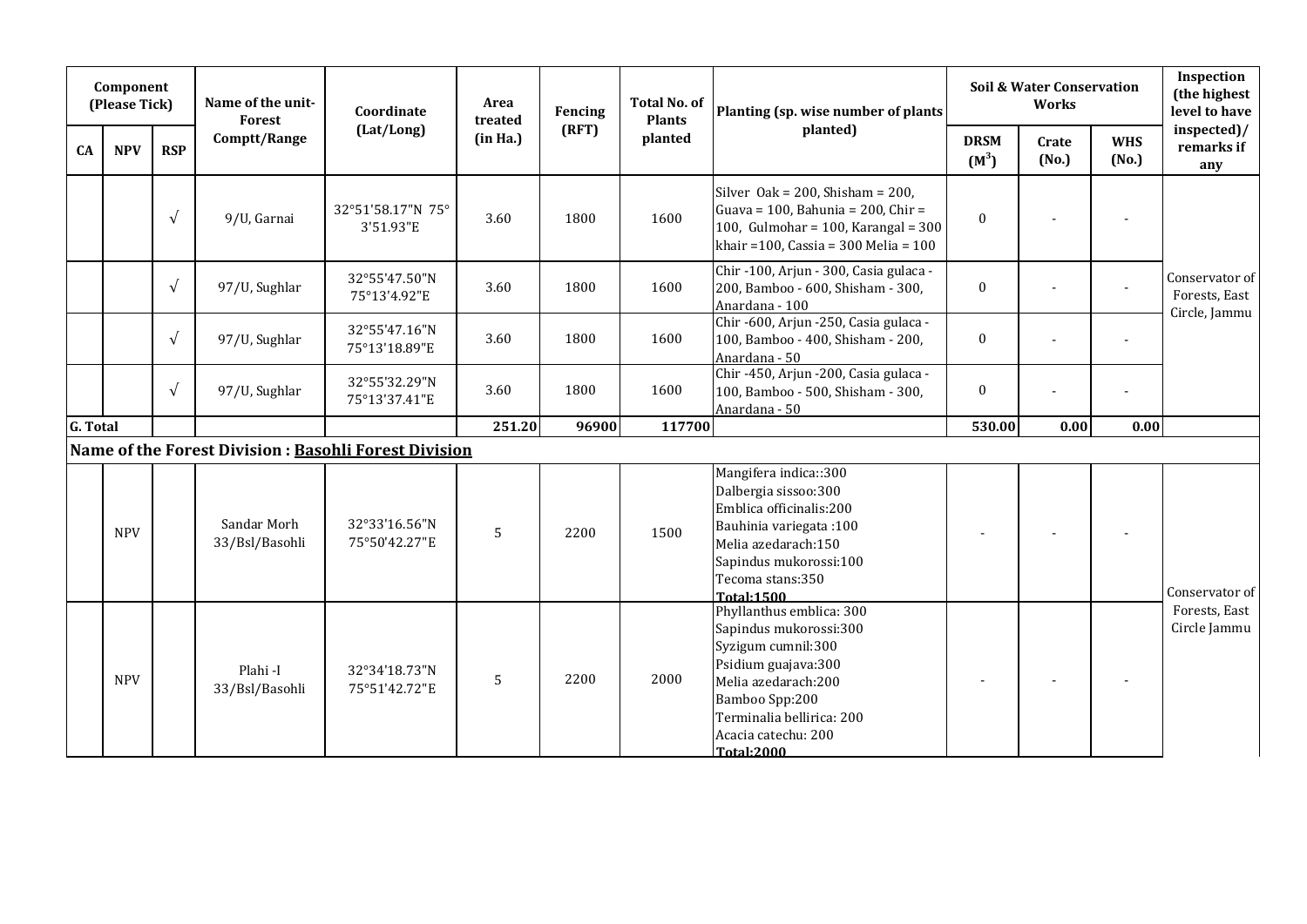|          | Component<br>(Please Tick) |            | Name of the unit-<br><b>Forest</b> | Coordinate                                            | Area<br>treated | Fencing | <b>Total No. of</b><br><b>Plants</b> | Planting (sp. wise number of plants                                                                                                                                                                               |                        | <b>Soil &amp; Water Conservation</b><br><b>Works</b> |                     | Inspection<br>(the highest<br>level to have      |
|----------|----------------------------|------------|------------------------------------|-------------------------------------------------------|-----------------|---------|--------------------------------------|-------------------------------------------------------------------------------------------------------------------------------------------------------------------------------------------------------------------|------------------------|------------------------------------------------------|---------------------|--------------------------------------------------|
| CA       | <b>NPV</b>                 | <b>RSP</b> | Comptt/Range                       | (Lat/Long)                                            | (in Ha.)        | (RFT)   | planted                              | planted)                                                                                                                                                                                                          | <b>DRSM</b><br>$(M^3)$ | Crate<br>(No.)                                       | <b>WHS</b><br>(No.) | inspected)/<br>remarks if<br>any                 |
|          |                            | $\sqrt{ }$ | 9/U, Garnai                        | 32°51'58.17"N 75°<br>3'51.93"E                        | 3.60            | 1800    | 1600                                 | Silver Oak = $200$ , Shisham = $200$ ,<br>Guava = 100, Bahunia = 200, Chir =<br>100, Gulmohar = $100$ , Karangal = $300$<br>khair = $100$ , Cassia = $300$ Melia = $100$                                          | $\mathbf{0}$           |                                                      |                     |                                                  |
|          |                            | $\sqrt{ }$ | 97/U, Sughlar                      | 32°55'47.50"N<br>75°13'4.92"E                         | 3.60            | 1800    | 1600                                 | Chir -100, Arjun - 300, Casia gulaca -<br>200, Bamboo - 600, Shisham - 300,<br>Anardana - 100                                                                                                                     | $\boldsymbol{0}$       |                                                      |                     | Conservator of<br>Forests, East<br>Circle, Jammu |
|          |                            | $\sqrt{ }$ | 97/U, Sughlar                      | 32°55'47.16"N<br>75°13'18.89"E                        | 3.60            | 1800    | 1600                                 | Chir -600, Arjun -250, Casia gulaca -<br>100, Bamboo - 400, Shisham - 200,<br>Anardana - 50                                                                                                                       | $\mathbf{0}$           |                                                      | $\blacksquare$      |                                                  |
|          |                            | $\sqrt{ }$ | 97/U, Sughlar                      | 32°55'32.29"N<br>75°13'37.41"E                        | 3.60            | 1800    | 1600                                 | Chir -450, Arjun -200, Casia gulaca -<br>100, Bamboo - 500, Shisham - 300,<br>Anardana - 50                                                                                                                       | $\bf{0}$               |                                                      |                     |                                                  |
| G. Total |                            |            |                                    |                                                       | 251.20          | 96900   | 117700                               |                                                                                                                                                                                                                   | 530.00                 | 0.00                                                 | 0.00                |                                                  |
|          |                            |            |                                    | Name of the Forest Division : Basohli Forest Division |                 |         |                                      |                                                                                                                                                                                                                   |                        |                                                      |                     |                                                  |
|          | <b>NPV</b>                 |            | Sandar Morh<br>33/Bsl/Basohli      | 32°33'16.56"N<br>75°50'42.27"E                        | 5               | 2200    | 1500                                 | Mangifera indica::300<br>Dalbergia sissoo:300<br>Emblica officinalis:200<br>Bauhinia variegata: 100<br>Melia azedarach:150<br>Sapindus mukorossi:100<br>Tecoma stans:350<br><b>Total:1500</b>                     | $\overline{a}$         |                                                      |                     | Conservator of                                   |
|          | <b>NPV</b>                 |            | Plahi-I<br>33/Bsl/Basohli          | 32°34'18.73"N<br>75°51'42.72"E                        | 5               | 2200    | 2000                                 | Phyllanthus emblica: 300<br>Sapindus mukorossi:300<br>Syzigum cumnil:300<br>Psidium guajava:300<br>Melia azedarach:200<br>Bamboo Spp:200<br>Terminalia bellirica: 200<br>Acacia catechu: 200<br><b>Total:2000</b> |                        |                                                      |                     | Forests, East<br>Circle Jammu                    |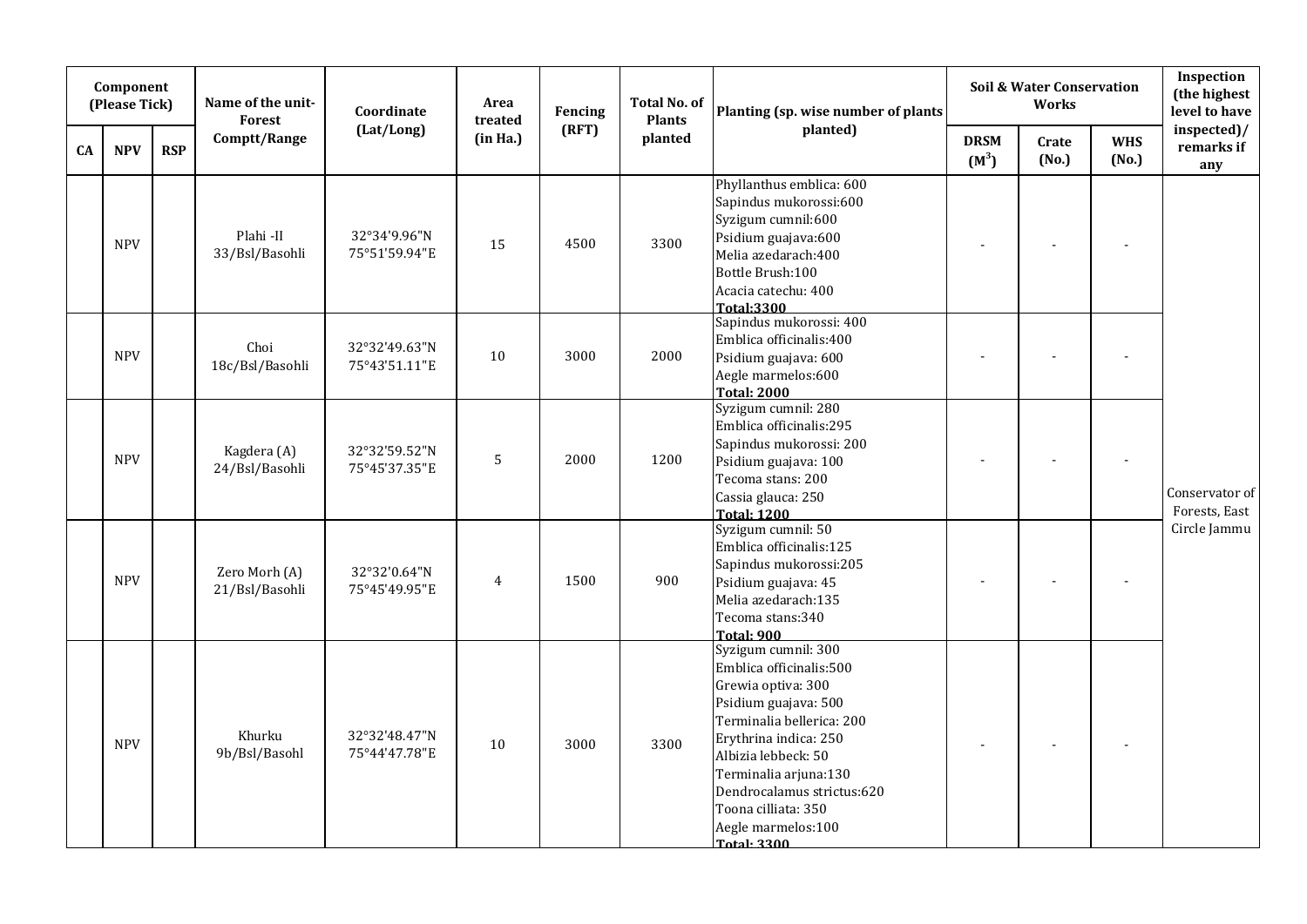|    | Component<br>(Please Tick) |            | Name of the unit-<br>Forest     | Coordinate                     | Area<br>treated | Fencing | <b>Total No. of</b><br><b>Plants</b> | Planting (sp. wise number of plants                                                                                                                                                                                                                                                                 |                        | Soil & Water Conservation<br><b>Works</b> |                     | Inspection<br>(the highest<br>level to have |
|----|----------------------------|------------|---------------------------------|--------------------------------|-----------------|---------|--------------------------------------|-----------------------------------------------------------------------------------------------------------------------------------------------------------------------------------------------------------------------------------------------------------------------------------------------------|------------------------|-------------------------------------------|---------------------|---------------------------------------------|
| CA | <b>NPV</b>                 | <b>RSP</b> | Comptt/Range                    | (Lat/Long)                     | (in Ha.)        | (RFT)   | planted                              | planted)                                                                                                                                                                                                                                                                                            | <b>DRSM</b><br>$(M^3)$ | Crate<br>(No.)                            | <b>WHS</b><br>(No.) | inspected)/<br>remarks if<br>any            |
|    | <b>NPV</b>                 |            | Plahi-II<br>33/Bsl/Basohli      | 32°34'9.96"N<br>75°51'59.94"E  | 15              | 4500    | 3300                                 | Phyllanthus emblica: 600<br>Sapindus mukorossi:600<br>Syzigum cumnil:600<br>Psidium guajava:600<br>Melia azedarach:400<br>Bottle Brush:100<br>Acacia catechu: 400<br><b>Total:3300</b>                                                                                                              |                        |                                           |                     |                                             |
|    | <b>NPV</b>                 |            | Choi<br>18c/Bsl/Basohli         | 32°32'49.63"N<br>75°43'51.11"E | 10              | 3000    | 2000                                 | Sapindus mukorossi: 400<br>Emblica officinalis:400<br>Psidium guajava: 600<br>Aegle marmelos:600<br><b>Total: 2000</b>                                                                                                                                                                              |                        |                                           |                     |                                             |
|    | <b>NPV</b>                 |            | Kagdera (A)<br>24/Bsl/Basohli   | 32°32'59.52"N<br>75°45'37.35"E | $\overline{5}$  | 2000    | 1200                                 | Syzigum cumnil: 280<br>Emblica officinalis:295<br>Sapindus mukorossi: 200<br>Psidium guajava: 100<br>Tecoma stans: 200<br>Cassia glauca: 250<br><b>Total: 1200</b>                                                                                                                                  |                        |                                           |                     | Conservator of<br>Forests, East             |
|    | <b>NPV</b>                 |            | Zero Morh (A)<br>21/Bsl/Basohli | 32°32'0.64"N<br>75°45'49.95"E  | $\overline{4}$  | 1500    | 900                                  | Syzigum cumnil: 50<br>Emblica officinalis:125<br>Sapindus mukorossi:205<br>Psidium guajava: 45<br>Melia azedarach: 135<br>Tecoma stans:340<br><b>Total: 900</b>                                                                                                                                     |                        |                                           |                     | Circle Jammu                                |
|    | <b>NPV</b>                 |            | Khurku<br>9b/Bsl/Basohl         | 32°32'48.47"N<br>75°44'47.78"E | 10              | 3000    | 3300                                 | Syzigum cumnil: 300<br>Emblica officinalis:500<br>Grewia optiva: 300<br>Psidium guajava: 500<br>Terminalia bellerica: 200<br>Erythrina indica: 250<br>Albizia lebbeck: 50<br>Terminalia arjuna:130<br>Dendrocalamus strictus:620<br>Toona cilliata: 350<br>Aegle marmelos:100<br><b>Total: 3300</b> | $\blacksquare$         |                                           |                     |                                             |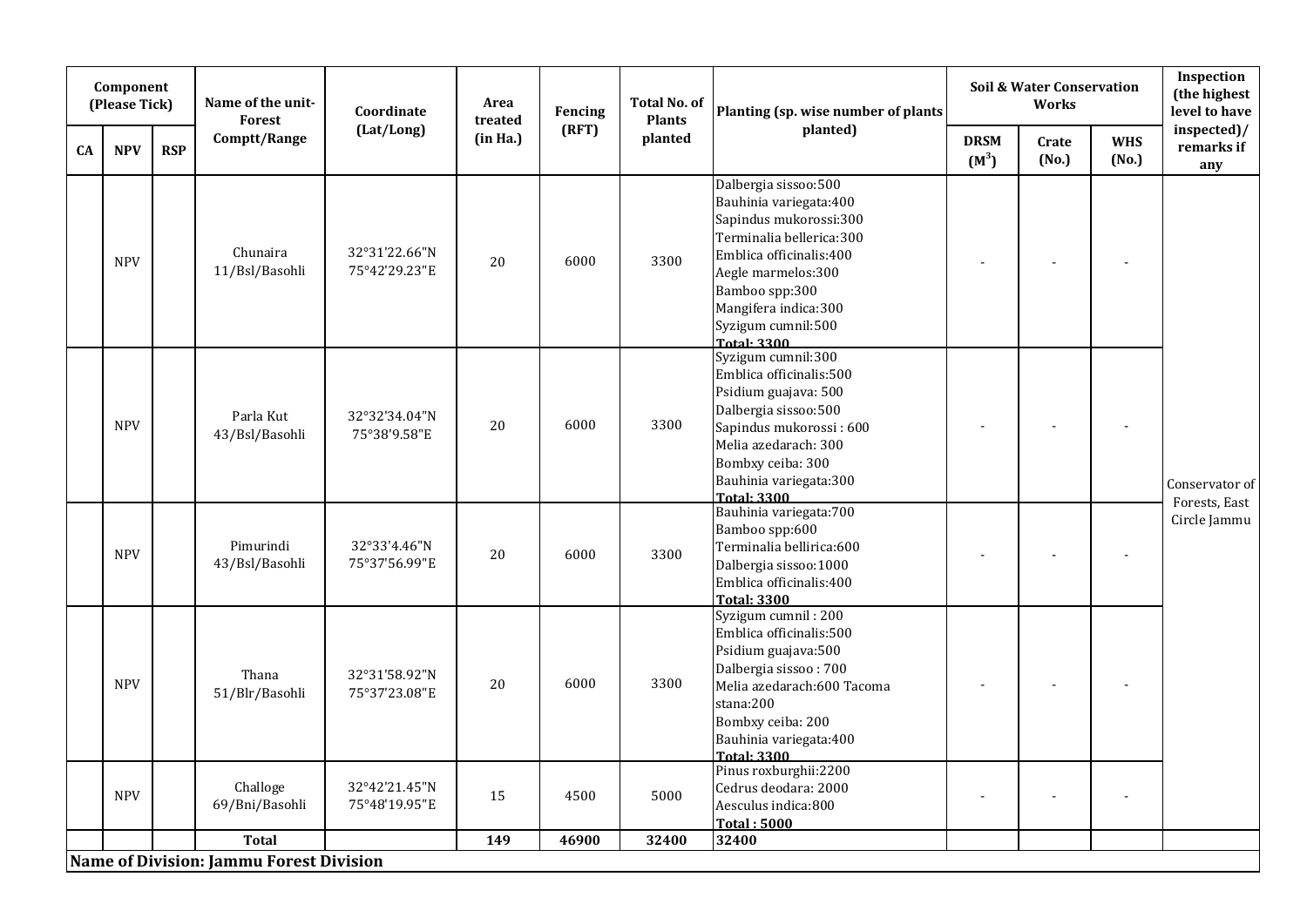|    | Component<br>(Please Tick) |            | Name of the unit-<br><b>Forest</b>      | Coordinate                     | Area<br>treated | Fencing | <b>Total No. of</b><br><b>Plants</b> | Planting (sp. wise number of plants                                                                                                                                                                                                   |                        | <b>Soil &amp; Water Conservation</b><br><b>Works</b> |                     | Inspection<br>(the highest<br>level to have |
|----|----------------------------|------------|-----------------------------------------|--------------------------------|-----------------|---------|--------------------------------------|---------------------------------------------------------------------------------------------------------------------------------------------------------------------------------------------------------------------------------------|------------------------|------------------------------------------------------|---------------------|---------------------------------------------|
| CA | <b>NPV</b>                 | <b>RSP</b> | Comptt/Range                            | (Lat/Long)                     | (in Ha.)        | (RFT)   | planted                              | planted)                                                                                                                                                                                                                              | <b>DRSM</b><br>$(M^3)$ | Crate<br>(No.)                                       | <b>WHS</b><br>(No.) | inspected)/<br>remarks if<br>any            |
|    | <b>NPV</b>                 |            | Chunaira<br>11/Bsl/Basohli              | 32°31'22.66"N<br>75°42'29.23"E | 20              | 6000    | 3300                                 | Dalbergia sissoo:500<br>Bauhinia variegata: 400<br>Sapindus mukorossi:300<br>Terminalia bellerica:300<br>Emblica officinalis:400<br>Aegle marmelos:300<br>Bamboo spp:300<br>Mangifera indica:300<br>Syzigum cumnil:500<br>Total: 3300 |                        |                                                      |                     |                                             |
|    | <b>NPV</b>                 |            | Parla Kut<br>43/Bsl/Basohli             | 32°32'34.04"N<br>75°38'9.58"E  | 20              | 6000    | 3300                                 | Syzigum cumnil:300<br>Emblica officinalis:500<br>Psidium guajava: 500<br>Dalbergia sissoo:500<br>Sapindus mukorossi: 600<br>Melia azedarach: 300<br>Bombxy ceiba: 300<br>Bauhinia variegata: 300<br>Total: 3300                       |                        |                                                      |                     | Conservator of<br>Forests, East             |
|    | <b>NPV</b>                 |            | Pimurindi<br>43/Bsl/Basohli             | 32°33'4.46"N<br>75°37'56.99"E  | 20              | 6000    | 3300                                 | Bauhinia variegata: 700<br>Bamboo spp:600<br>Terminalia bellirica:600<br>Dalbergia sissoo:1000<br>Emblica officinalis:400<br>Total: 3300                                                                                              |                        |                                                      |                     | Circle Jammu                                |
|    | <b>NPV</b>                 |            | Thana<br>51/Blr/Basohli                 | 32°31'58.92"N<br>75°37'23.08"E | 20              | 6000    | 3300                                 | Syzigum cumnil: 200<br>Emblica officinalis:500<br>Psidium guajava:500<br>Dalbergia sissoo: 700<br>Melia azedarach:600 Tacoma<br>stana:200<br>Bombxy ceiba: 200<br>Bauhinia variegata: 400<br><b>Total: 3300</b>                       |                        |                                                      |                     |                                             |
|    | <b>NPV</b>                 |            | Challoge<br>69/Bni/Basohli              | 32°42'21.45"N<br>75°48'19.95"E | 15              | 4500    | 5000                                 | Pinus roxburghii:2200<br>Cedrus deodara: 2000<br>Aesculus indica:800<br><b>Total: 5000</b>                                                                                                                                            |                        |                                                      | $\overline{a}$      |                                             |
|    |                            |            | <b>Total</b>                            |                                | 149             | 46900   | 32400                                | 32400                                                                                                                                                                                                                                 |                        |                                                      |                     |                                             |
|    |                            |            | Name of Division: Jammu Forest Division |                                |                 |         |                                      |                                                                                                                                                                                                                                       |                        |                                                      |                     |                                             |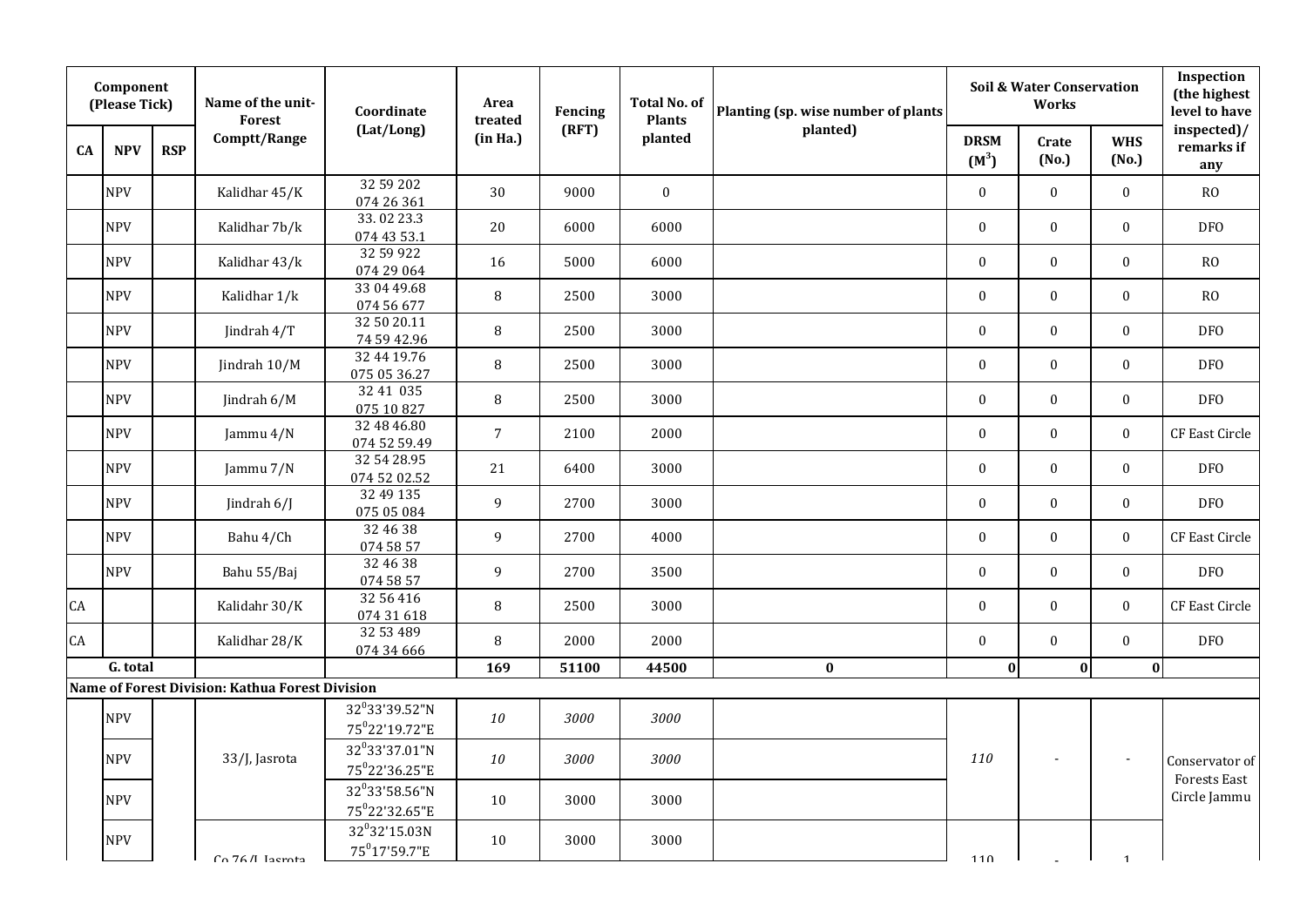|           | Component<br>(Please Tick) |            | Name of the unit-<br>Forest                     | Coordinate                                             | Area<br>treated | Fencing | <b>Total No. of</b><br><b>Plants</b> | Planting (sp. wise number of plants |                        | <b>Soil &amp; Water Conservation</b><br><b>Works</b> |                     | Inspection<br>(the highest<br>level to have |
|-----------|----------------------------|------------|-------------------------------------------------|--------------------------------------------------------|-----------------|---------|--------------------------------------|-------------------------------------|------------------------|------------------------------------------------------|---------------------|---------------------------------------------|
| <b>CA</b> | <b>NPV</b>                 | <b>RSP</b> | Comptt/Range                                    | (Lat/Long)                                             | (in Ha.)        | (RFT)   | planted                              | planted)                            | <b>DRSM</b><br>$(M^3)$ | Crate<br>(No.)                                       | <b>WHS</b><br>(No.) | inspected)/<br>remarks if<br>any            |
|           | <b>NPV</b>                 |            | Kalidhar 45/K                                   | 32 59 202<br>074 26 361                                | 30              | 9000    | $\mathbf 0$                          |                                     | $\boldsymbol{0}$       | $\boldsymbol{0}$                                     | $\boldsymbol{0}$    | ${\rm RO}$                                  |
|           | <b>NPV</b>                 |            | Kalidhar 7b/k                                   | 33.02 23.3<br>074 43 53.1                              | 20              | 6000    | 6000                                 |                                     | $\mathbf{0}$           | $\mathbf{0}$                                         | $\mathbf{0}$        | DF <sub>0</sub>                             |
|           | <b>NPV</b>                 |            | Kalidhar 43/k                                   | 32 59 922<br>074 29 064                                | 16              | 5000    | 6000                                 |                                     | $\boldsymbol{0}$       | $\mathbf{0}$                                         | $\boldsymbol{0}$    | RO                                          |
|           | <b>NPV</b>                 |            | Kalidhar 1/k                                    | 33 04 49.68<br>074 56 677                              | 8               | 2500    | 3000                                 |                                     | $\boldsymbol{0}$       | $\boldsymbol{0}$                                     | $\boldsymbol{0}$    | $\rm{RO}$                                   |
|           | <b>NPV</b>                 |            | Jindrah 4/T                                     | 32 50 20.11<br>74 59 42.96                             | 8               | 2500    | 3000                                 |                                     | $\boldsymbol{0}$       | $\bf{0}$                                             | $\boldsymbol{0}$    | DF <sub>O</sub>                             |
|           | <b>NPV</b>                 |            | Jindrah 10/M                                    | 32 44 19.76<br>075 05 36.27                            | $\, 8$          | 2500    | 3000                                 |                                     | $\mathbf{0}$           | $\mathbf{0}$                                         | $\boldsymbol{0}$    | <b>DFO</b>                                  |
|           | <b>NPV</b>                 |            | Jindrah 6/M                                     | 32 41 035<br>075 10 827                                | 8               | 2500    | 3000                                 |                                     | $\boldsymbol{0}$       | $\bf{0}$                                             | $\bf{0}$            | <b>DFO</b>                                  |
|           | <b>NPV</b>                 |            | Jammu $4/N$                                     | 32 48 46.80<br>074 52 59.49                            | $\overline{7}$  | 2100    | 2000                                 |                                     | $\boldsymbol{0}$       | $\mathbf{0}$                                         | $\boldsymbol{0}$    | CF East Circle                              |
|           | <b>NPV</b>                 |            | Jammu 7/N                                       | 32 54 28.95<br>074 52 02.52                            | 21              | 6400    | 3000                                 |                                     | $\boldsymbol{0}$       | $\boldsymbol{0}$                                     | $\boldsymbol{0}$    | DF <sub>O</sub>                             |
|           | <b>NPV</b>                 |            | Jindrah 6/J                                     | 32 49 135<br>075 05 084                                | 9               | 2700    | 3000                                 |                                     | $\boldsymbol{0}$       | $\boldsymbol{0}$                                     | $\bf{0}$            | <b>DFO</b>                                  |
|           | <b>NPV</b>                 |            | Bahu 4/Ch                                       | 32 46 38<br>074 58 57                                  | 9               | 2700    | 4000                                 |                                     | $\mathbf 0$            | $\mathbf{0}$                                         | $\mathbf{0}$        | CF East Circle                              |
|           | <b>NPV</b>                 |            | Bahu 55/Baj                                     | 32 46 38<br>074 58 57                                  | 9               | 2700    | 3500                                 |                                     | $\boldsymbol{0}$       | $\boldsymbol{0}$                                     | $\boldsymbol{0}$    | DF <sub>O</sub>                             |
| CA        |                            |            | Kalidahr 30/K                                   | 32 56 416<br>074 31 618                                | $\, 8$          | 2500    | 3000                                 |                                     | $\boldsymbol{0}$       | $\bf{0}$                                             | $\boldsymbol{0}$    | CF East Circle                              |
| CA        |                            |            | Kalidhar 28/K                                   | 32 53 489<br>074 34 666                                | $\, 8$          | 2000    | 2000                                 |                                     | $\boldsymbol{0}$       | $\boldsymbol{0}$                                     | $\boldsymbol{0}$    | <b>DFO</b>                                  |
|           | G. total                   |            |                                                 |                                                        | 169             | 51100   | 44500                                | $\bf{0}$                            | $\boldsymbol{0}$       | 0                                                    | 0                   |                                             |
|           |                            |            | Name of Forest Division: Kathua Forest Division |                                                        |                 |         |                                      |                                     |                        |                                                      |                     |                                             |
|           | <b>NPV</b>                 |            |                                                 | 32°33'39.52"N<br>$75^022'19.72"E$                      | 10              | 3000    | 3000                                 |                                     |                        |                                                      |                     |                                             |
|           | <b>NPV</b>                 |            | 33/J, Jasrota                                   | 32°33'37.01"N<br>75°22'36.25"E                         | 10              | 3000    | 3000                                 |                                     | 110                    |                                                      |                     | Conservator of<br>Forests East              |
|           | <b>NPV</b>                 |            |                                                 | 32°33'58.56"N<br>75°22'32.65"E                         | 10              | 3000    | 3000                                 |                                     |                        |                                                      |                     | Circle Jammu                                |
|           | <b>NPV</b>                 |            | Co. 76/I Incrota                                | 32 <sup>0</sup> 32'15.03N<br>75 <sup>0</sup> 17'59.7"E | 10              | 3000    | 3000                                 |                                     | 110                    |                                                      | $\mathbf{1}$        |                                             |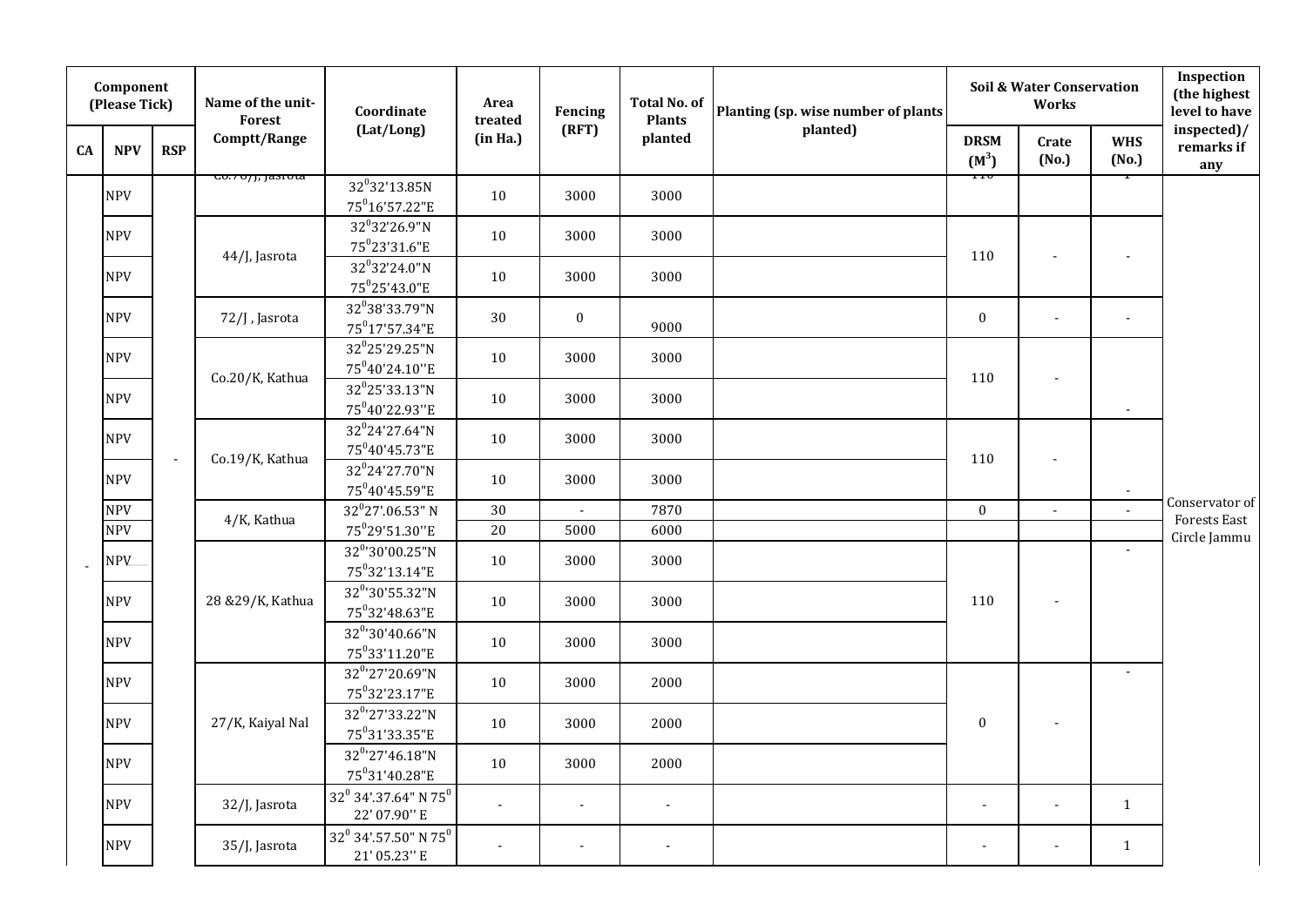|    | Component<br>(Please Tick) |            | Name of the unit-<br>Forest   | Coordinate                                                           | Area<br>treated | Fencing                  | <b>Total No. of</b><br><b>Plants</b> | Planting (sp. wise number of plants |                        | <b>Soil &amp; Water Conservation</b><br>Works |                     | Inspection<br>(the highest<br>level to have |
|----|----------------------------|------------|-------------------------------|----------------------------------------------------------------------|-----------------|--------------------------|--------------------------------------|-------------------------------------|------------------------|-----------------------------------------------|---------------------|---------------------------------------------|
| CA | <b>NPV</b>                 | <b>RSP</b> | Comptt/Range                  | (Lat/Long)                                                           | (in Ha.)        | (RFT)                    | planted                              | planted)                            | <b>DRSM</b><br>$(M^3)$ | Crate<br>(No.)                                | <b>WHS</b><br>(No.) | inspected)/<br>remarks if<br>any            |
|    | <b>NPV</b>                 |            | <del>00.707 J, Jasi ota</del> | 32 <sup>0</sup> 32'13.85N<br>$75^016'57.22"E$                        | 10              | 3000                     | 3000                                 |                                     |                        |                                               |                     |                                             |
|    | <b>NPV</b>                 |            | 44/J, Jasrota                 | 32°32'26.9"N<br>$75^0$ 23'31.6"E                                     | 10              | 3000                     | 3000                                 |                                     | 110                    | $\blacksquare$                                | $\blacksquare$      |                                             |
|    | <b>NPV</b>                 |            |                               | 32°32'24.0"N<br>75°25'43.0"E                                         | 10              | 3000                     | 3000                                 |                                     |                        |                                               |                     |                                             |
|    | <b>NPV</b>                 |            | 72/J, Jasrota                 | 32 <sup>0</sup> 38'33.79"N<br>75 <sup>0</sup> 17'57.34"E             | 30              | $\bf{0}$                 | 9000                                 |                                     | $\boldsymbol{0}$       | $\blacksquare$                                | $\blacksquare$      |                                             |
|    | <b>NPV</b>                 |            | Co.20/K, Kathua               | 32°25'29.25"N<br>75 <sup>0</sup> 40'24.10"E                          | 10              | 3000                     | 3000                                 |                                     | 110                    |                                               |                     |                                             |
|    | <b>NPV</b>                 |            |                               | 32 <sup>0</sup> 25'33.13"N<br>75°40'22.93"E                          | 10              | 3000                     | 3000                                 |                                     |                        |                                               | $\blacksquare$      |                                             |
|    | <b>NPV</b>                 |            | Co.19/K, Kathua               | $32^0$ 24'27.64"N<br>75 <sup>0</sup> 40'45.73"E                      | 10              | 3000                     | 3000                                 |                                     | 110                    | $\sim$                                        |                     |                                             |
|    | <b>NPV</b>                 |            |                               | 32°24'27.70"N<br>$75^040'45.59"E$                                    | 10              | 3000                     | 3000                                 |                                     |                        |                                               | $\sim$              |                                             |
|    | <b>NPV</b>                 |            |                               | $32^0$ 27'.06.53" N                                                  | 30              | $\blacksquare$           | 7870                                 |                                     | $\mathbf{0}$           | $\blacksquare$                                | $\blacksquare$      | Conservator of                              |
|    | <b>NPV</b>                 |            | 4/K, Kathua                   | 75°29'51.30"E                                                        | 20              | 5000                     | 6000                                 |                                     |                        |                                               |                     | Forests East<br>Circle Jammu                |
|    | <b>NPV</b>                 |            |                               | $32^{0.30}$ '00.25"N<br>75°32'13.14"E                                | 10              | 3000                     | 3000                                 |                                     |                        |                                               | $\blacksquare$      |                                             |
|    | <b>NPV</b>                 |            | 28 & 29/K, Kathua             | 32 <sup>0</sup> '30'55.32"N<br>$75^032'48.63''E$                     | 10              | 3000                     | 3000                                 |                                     | 110                    |                                               |                     |                                             |
|    | <b>NPV</b>                 |            |                               | 32°'30'40.66"N<br>75°33'11.20"E                                      | 10              | 3000                     | 3000                                 |                                     |                        |                                               |                     |                                             |
|    | <b>NPV</b>                 |            |                               | 32 <sup>0</sup> '27'20.69"N<br>75°32'23.17"E                         | 10              | 3000                     | 2000                                 |                                     |                        |                                               | $\sim$              |                                             |
|    | <b>NPV</b>                 |            | 27/K, Kaiyal Nal              | 32 <sup>0</sup> '27'33.22"N<br>75°31'33.35"E                         | 10              | 3000                     | 2000                                 |                                     | $\boldsymbol{0}$       | $\blacksquare$                                |                     |                                             |
|    | <b>NPV</b>                 |            |                               | $32^{0}$ '27'46.18"N<br>75°31'40.28"E                                | 10              | 3000                     | 2000                                 |                                     |                        |                                               |                     |                                             |
|    | <b>NPV</b>                 |            | 32/J, Jasrota                 | $32^0$ 34'.37.64" N 75 $^0$<br>22' 07.90" E                          | $\blacksquare$  | $\overline{\phantom{a}}$ | $\sim$                               |                                     | ÷,                     | $\blacksquare$                                | $\mathbf{1}$        |                                             |
|    | <b>NPV</b>                 |            | 35/J, Jasrota                 | $32^0$ $34^{\prime}\!.57.50^{\prime\prime}$ N $75^0$<br>21' 05.23" E | $\sim$          | $\sim$                   | $\sim$                               |                                     | $\blacksquare$         | $\blacksquare$                                | $\mathbf{1}$        |                                             |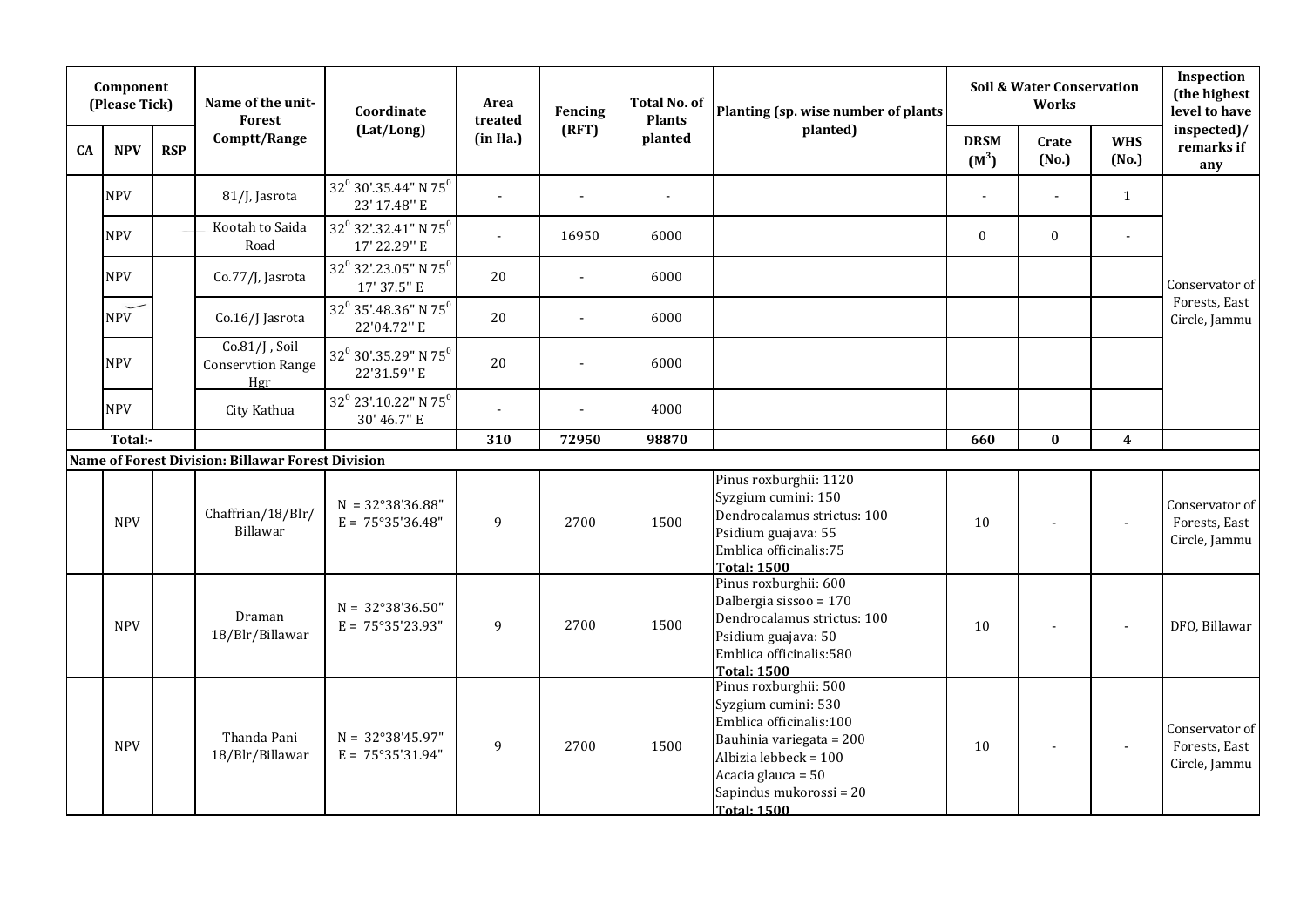|    | Component<br>(Please Tick) |            | Name of the unit-<br><b>Forest</b>                  | Coordinate                                                          | Area<br>treated | Fencing        | <b>Total No. of</b><br><b>Plants</b> | Planting (sp. wise number of plants                                                                                                                                                                 |                        | <b>Soil &amp; Water Conservation</b><br>Works |                     | Inspection<br>(the highest<br>level to have      |
|----|----------------------------|------------|-----------------------------------------------------|---------------------------------------------------------------------|-----------------|----------------|--------------------------------------|-----------------------------------------------------------------------------------------------------------------------------------------------------------------------------------------------------|------------------------|-----------------------------------------------|---------------------|--------------------------------------------------|
| CA | <b>NPV</b>                 | <b>RSP</b> | Comptt/Range                                        | (Lat/Long)                                                          | (in Ha.)        | (RFT)          | planted                              | planted)                                                                                                                                                                                            | <b>DRSM</b><br>$(M^3)$ | Crate<br>(No.)                                | <b>WHS</b><br>(No.) | inspected)/<br>remarks if<br>any                 |
|    | <b>NPV</b>                 |            | 81/J, Jasrota                                       | 32 <sup>0</sup> 30'.35.44" N 75 <sup>0</sup><br>23' 17.48" E        |                 | $\blacksquare$ | $\blacksquare$                       |                                                                                                                                                                                                     |                        |                                               | $\mathbf{1}$        |                                                  |
|    | <b>NPV</b>                 |            | Kootah to Saida<br>Road                             | 32 <sup>0</sup> 32'.32.41" N 75 <sup>0</sup><br>17' 22.29" E        |                 | 16950          | 6000                                 |                                                                                                                                                                                                     | $\mathbf{0}$           | $\bf{0}$                                      |                     |                                                  |
|    | <b>NPV</b>                 |            | Co.77/J, Jasrota                                    | $32^0$ 32'.23.05" N 75 $^0$<br>17' 37.5" E                          | 20              |                | 6000                                 |                                                                                                                                                                                                     |                        |                                               |                     | Conservator of                                   |
|    | <b>NPV</b>                 |            | Co.16/J Jasrota                                     | 32 <sup>0</sup> 35'.48.36" N 75 <sup>0</sup><br>22'04.72" E         | 20              |                | 6000                                 |                                                                                                                                                                                                     |                        |                                               |                     | Forests, East<br>Circle, Jammu                   |
|    | <b>NPV</b>                 |            | $Co.81/J$ , Soil<br><b>Conservtion Range</b><br>Hgr | $32^0$ $30^{\prime}\!.35.29^{\prime\prime}$ N $75^0$<br>22'31.59" E | 20              | $\sim$         | 6000                                 |                                                                                                                                                                                                     |                        |                                               |                     |                                                  |
|    | <b>NPV</b>                 |            | City Kathua                                         | 32 <sup>0</sup> 23'.10.22" N 75 <sup>0</sup><br>30' 46.7" E         |                 |                | 4000                                 |                                                                                                                                                                                                     |                        |                                               |                     |                                                  |
|    | Total:-                    |            |                                                     |                                                                     | 310             | 72950          | 98870                                |                                                                                                                                                                                                     | 660                    | $\bf{0}$                                      | $\boldsymbol{4}$    |                                                  |
|    |                            |            | Name of Forest Division: Billawar Forest Division   |                                                                     |                 |                |                                      |                                                                                                                                                                                                     |                        |                                               |                     |                                                  |
|    | <b>NPV</b>                 |            | Chaffrian/18/Blr/<br>Billawar                       | $N = 32^{\circ}38'36.88"$<br>$E = 75^{\circ}35'36.48"$              | 9               | 2700           | 1500                                 | Pinus roxburghii: 1120<br>Syzgium cumini: 150<br>Dendrocalamus strictus: 100<br>Psidium guajava: 55<br>Emblica officinalis:75<br><b>Total: 1500</b>                                                 | 10                     |                                               | $\overline{a}$      | Conservator of<br>Forests, East<br>Circle, Jammu |
|    | <b>NPV</b>                 |            | Draman<br>18/Blr/Billawar                           | $N = 32^{\circ}38'36.50"$<br>$E = 75^{\circ}35'23.93''$             | 9               | 2700           | 1500                                 | Pinus roxburghii: 600<br>Dalbergia sissoo = 170<br>Dendrocalamus strictus: 100<br>Psidium guajava: 50<br>Emblica officinalis:580<br><b>Total: 1500</b>                                              | 10                     |                                               |                     | DFO, Billawar                                    |
|    | <b>NPV</b>                 |            | Thanda Pani<br>18/Blr/Billawar                      | $N = 32^{\circ}38'45.97''$<br>$E = 75^{\circ}35'31.94"$             | 9               | 2700           | 1500                                 | Pinus roxburghii: 500<br>Syzgium cumini: 530<br>Emblica officinalis:100<br>Bauhinia variegata = 200<br>Albizia lebbeck = 100<br>Acacia glauca = 50<br>Sapindus mukorossi = 20<br><b>Total: 1500</b> | 10                     | $\blacksquare$                                | $\sim$              | Conservator of<br>Forests, East<br>Circle, Jammu |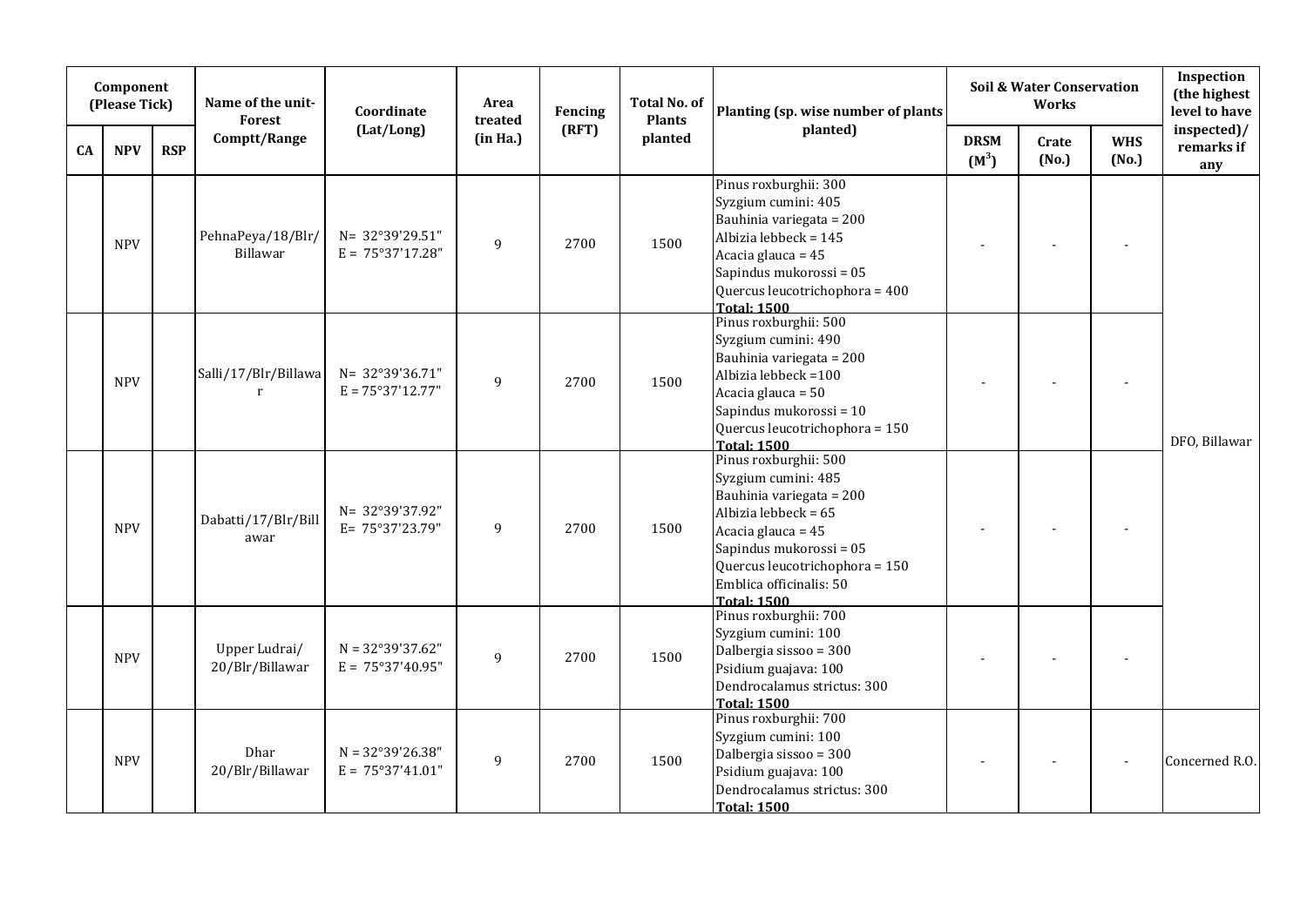|    | Component<br>(Please Tick) |            | Name of the unit-<br><b>Forest</b> | Coordinate                                              | Area<br>treated | Fencing | <b>Total No. of</b><br><b>Plants</b> | Planting (sp. wise number of plants                                                                                                                                                                                                  |                        | Soil & Water Conservation<br>Works |                     | Inspection<br>(the highest<br>level to have |
|----|----------------------------|------------|------------------------------------|---------------------------------------------------------|-----------------|---------|--------------------------------------|--------------------------------------------------------------------------------------------------------------------------------------------------------------------------------------------------------------------------------------|------------------------|------------------------------------|---------------------|---------------------------------------------|
| CA | <b>NPV</b>                 | <b>RSP</b> | Comptt/Range                       | (Lat/Long)                                              | (in Ha.)        | (RFT)   | planted                              | planted)                                                                                                                                                                                                                             | <b>DRSM</b><br>$(M^3)$ | Crate<br>(No.)                     | <b>WHS</b><br>(No.) | inspected)/<br>remarks if<br>any            |
|    | <b>NPV</b>                 |            | PehnaPeya/18/Blr/<br>Billawar      | N= 32°39'29.51"<br>$E = 75^{\circ}37'17.28''$           | $\overline{9}$  | 2700    | 1500                                 | Pinus roxburghii: 300<br>Syzgium cumini: 405<br>Bauhinia variegata = 200<br>Albizia lebbeck = 145<br>Acacia glauca = 45<br>Sapindus mukorossi = 05<br>Quercus leucotrichophora = 400<br><b>Total: 1500</b>                           |                        |                                    |                     |                                             |
|    | <b>NPV</b>                 |            | Salli/17/Blr/Billawa<br>r          | N= 32°39'36.71"<br>$E = 75°37'12.77"$                   | $\overline{9}$  | 2700    | 1500                                 | Pinus roxburghii: 500<br>Syzgium cumini: 490<br>Bauhinia variegata = 200<br>Albizia lebbeck = 100<br>Acacia glauca = 50<br>Sapindus mukorossi = 10<br>Quercus leucotrichophora = 150<br><b>Total: 1500</b>                           |                        |                                    |                     | DFO, Billawar                               |
|    | <b>NPV</b>                 |            | Dabatti/17/Blr/Bill<br>awar        | N= 32°39'37.92"<br>E= 75°37'23.79"                      | 9               | 2700    | 1500                                 | Pinus roxburghii: 500<br>Syzgium cumini: 485<br>Bauhinia variegata = 200<br>Albizia lebbeck = 65<br>Acacia glauca = 45<br>Sapindus mukorossi = 05<br>Quercus leucotrichophora = 150<br>Emblica officinalis: 50<br><b>Total: 1500</b> |                        |                                    |                     |                                             |
|    | <b>NPV</b>                 |            | Upper Ludrai/<br>20/Blr/Billawar   | $N = 32^{\circ}39'37.62"$<br>$E = 75^{\circ}37'40.95''$ | 9               | 2700    | 1500                                 | Pinus roxburghii: 700<br>Syzgium cumini: 100<br>Dalbergia sissoo = 300<br>Psidium guajava: 100<br>Dendrocalamus strictus: 300<br><b>Total: 1500</b>                                                                                  |                        |                                    |                     |                                             |
|    | <b>NPV</b>                 |            | Dhar<br>20/Blr/Billawar            | $N = 32^{\circ}39'26.38"$<br>$E = 75^{\circ}37'41.01''$ | 9               | 2700    | 1500                                 | Pinus roxburghii: 700<br>Syzgium cumini: 100<br>Dalbergia sissoo = 300<br>Psidium guajava: 100<br>Dendrocalamus strictus: 300<br><b>Total: 1500</b>                                                                                  |                        |                                    |                     | Concerned R.O.                              |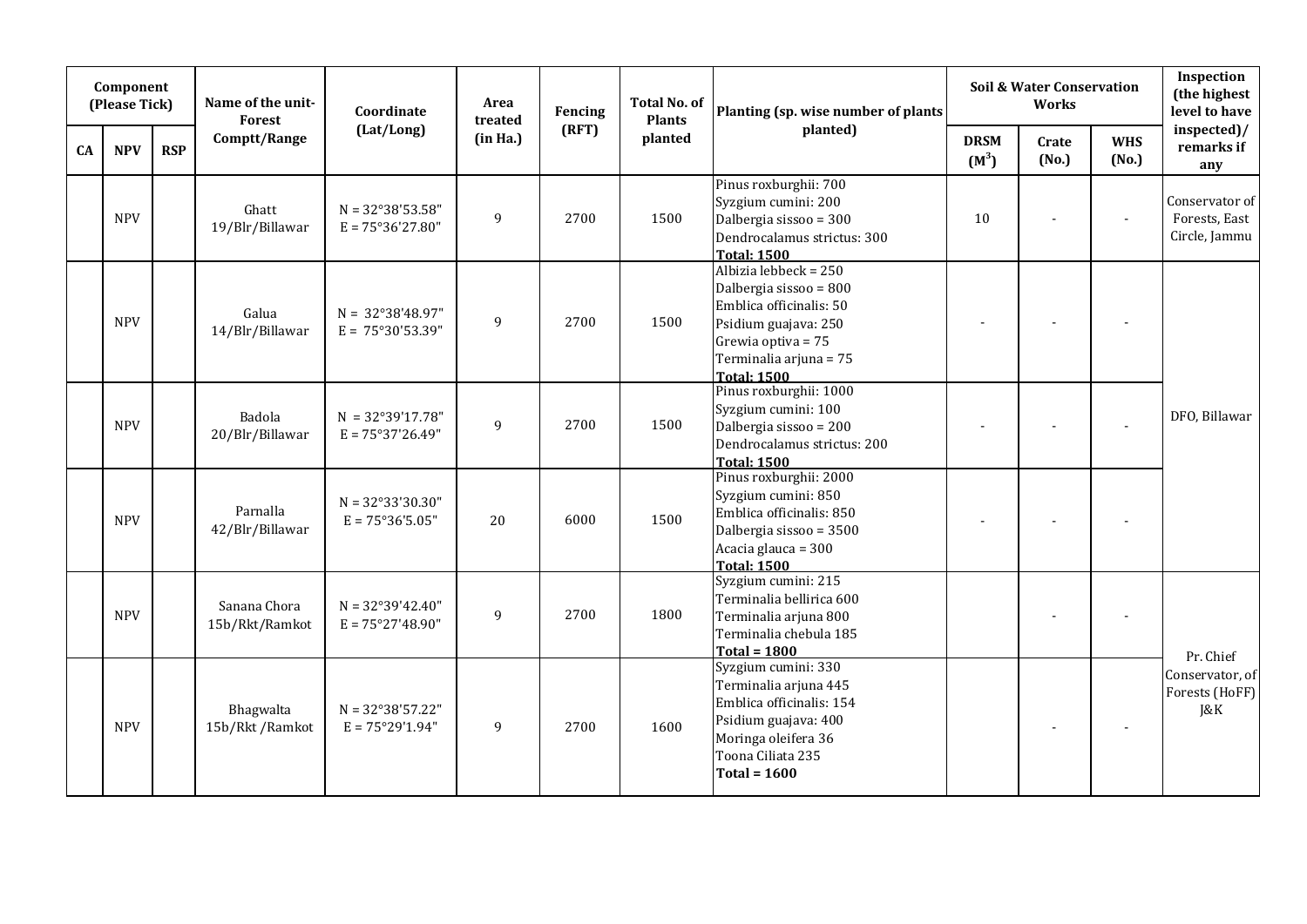|    | Component<br>(Please Tick) |            | Name of the unit-<br>Forest    | Coordinate                                               | Area<br>treated | Fencing | <b>Total No. of</b><br><b>Plants</b> | Planting (sp. wise number of plants                                                                                                                                                    |                        | Soil & Water Conservation<br><b>Works</b> |                     | Inspection<br>(the highest<br>level to have      |
|----|----------------------------|------------|--------------------------------|----------------------------------------------------------|-----------------|---------|--------------------------------------|----------------------------------------------------------------------------------------------------------------------------------------------------------------------------------------|------------------------|-------------------------------------------|---------------------|--------------------------------------------------|
| CA | <b>NPV</b>                 | <b>RSP</b> | Comptt/Range                   | (Lat/Long)                                               | (in Ha.)        | (RFT)   | planted                              | planted)                                                                                                                                                                               | <b>DRSM</b><br>$(M^3)$ | Crate<br>(No.)                            | <b>WHS</b><br>(No.) | inspected)/<br>remarks if<br>any                 |
|    | <b>NPV</b>                 |            | Ghatt<br>19/Blr/Billawar       | $N = 32^{\circ}38'53.58"$<br>$E = 75^{\circ}36'27.80''$  | 9               | 2700    | 1500                                 | Pinus roxburghii: 700<br>Syzgium cumini: 200<br>Dalbergia sissoo = 300<br>Dendrocalamus strictus: 300<br><b>Total: 1500</b>                                                            | 10                     |                                           | $\sim$              | Conservator of<br>Forests, East<br>Circle, Jammu |
|    | <b>NPV</b>                 |            | Galua<br>14/Blr/Billawar       | $N = 32^{\circ}38'48.97''$<br>$E = 75^{\circ}30'53.39"$  | 9               | 2700    | 1500                                 | Albizia leb $\overline{beck} = 250$<br>Dalbergia sissoo = 800<br>Emblica officinalis: 50<br>Psidium guajava: 250<br>Grewia optiva = 75<br>Terminalia arjuna = 75<br><b>Total: 1500</b> |                        |                                           |                     |                                                  |
|    | <b>NPV</b>                 |            | Badola<br>20/Blr/Billawar      | $N = 32^{\circ}39'17.78"$<br>$E = 75°37'26.49"$          | 9               | 2700    | 1500                                 | Pinus roxburghii: 1000<br>Syzgium cumini: 100<br>Dalbergia sissoo = 200<br>Dendrocalamus strictus: 200<br><b>Total: 1500</b>                                                           |                        |                                           | ÷,                  | DFO, Billawar                                    |
|    | <b>NPV</b>                 |            | Parnalla<br>42/Blr/Billawar    | $N = 32^{\circ}33'30.30"$<br>$E = 75^{\circ}36'5.05"$    | 20              | 6000    | 1500                                 | Pinus roxburghii: 2000<br>Syzgium cumini: 850<br>Emblica officinalis: 850<br>Dalbergia sissoo = 3500<br>Acacia glauca = 300<br><b>Total: 1500</b>                                      |                        |                                           |                     |                                                  |
|    | <b>NPV</b>                 |            | Sanana Chora<br>15b/Rkt/Ramkot | $N = 32^{\circ}39'42.40''$<br>$E = 75^{\circ}27'48.90''$ | 9               | 2700    | 1800                                 | Syzgium cumini: 215<br>Terminalia bellirica 600<br>Terminalia arjuna 800<br>Terminalia chebula 185<br>Total = $1800$                                                                   |                        |                                           |                     | Pr. Chief                                        |
|    | <b>NPV</b>                 |            | Bhagwalta<br>15b/Rkt/Ramkot    | $N = 32^{\circ}38'57.22"$<br>$E = 75^{\circ}29'1.94"$    | 9               | 2700    | 1600                                 | Syzgium cumini: 330<br>Terminalia arjuna 445<br>Emblica officinalis: 154<br>Psidium guajava: 400<br>Moringa oleifera 36<br>Toona Ciliata 235<br>$Total = 1600$                         |                        |                                           |                     | Conservator, of<br>Forests (HoFF)<br>J&K         |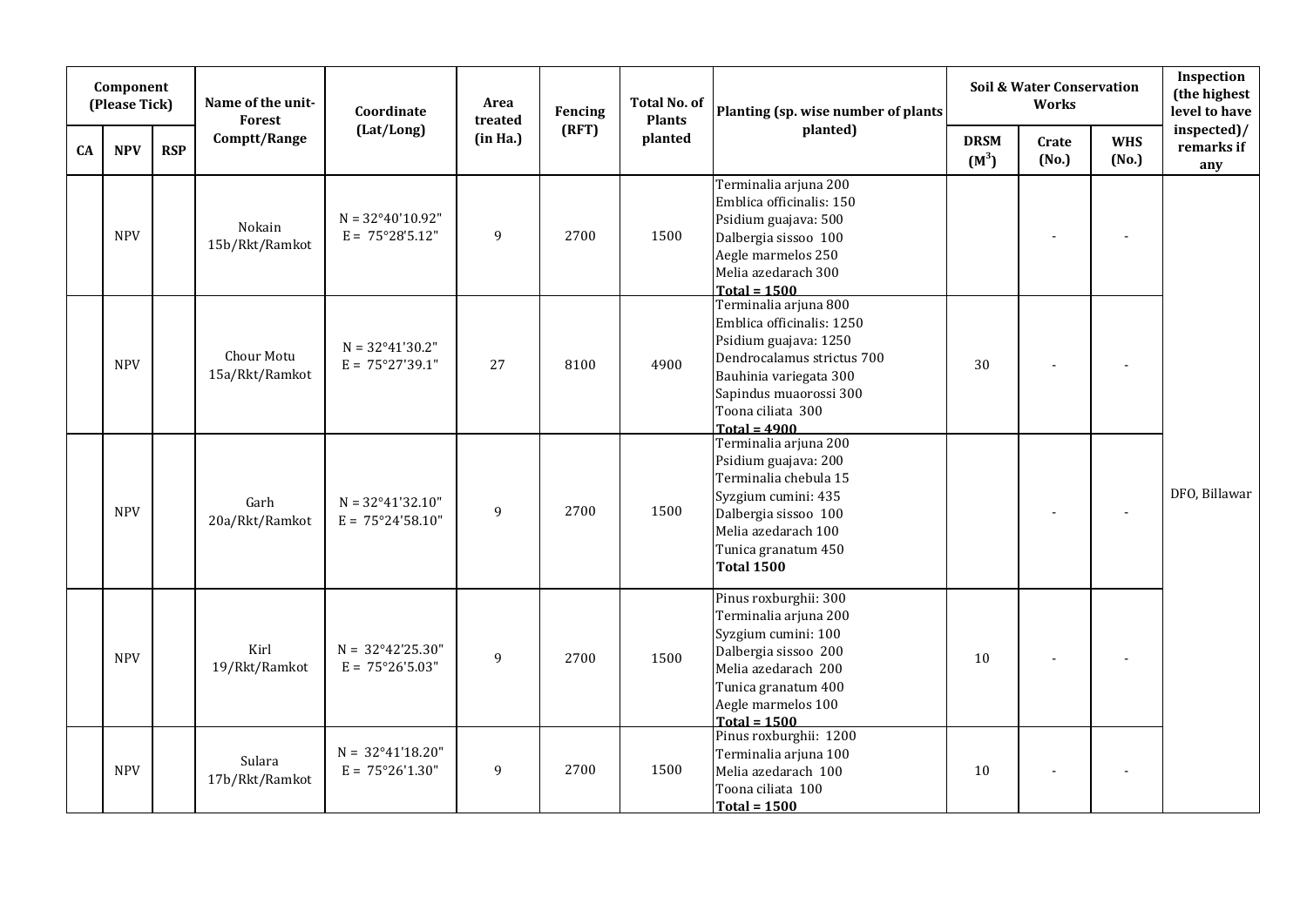|    | Component<br>(Please Tick) |            | Name of the unit-<br><b>Forest</b> | Coordinate                                               | Area<br>treated | Fencing | <b>Total No. of</b><br><b>Plants</b> | Planting (sp. wise number of plants                                                                                                                                                                  |                        | Soil & Water Conservation<br>Works |                     | Inspection<br>(the highest<br>level to have |
|----|----------------------------|------------|------------------------------------|----------------------------------------------------------|-----------------|---------|--------------------------------------|------------------------------------------------------------------------------------------------------------------------------------------------------------------------------------------------------|------------------------|------------------------------------|---------------------|---------------------------------------------|
| CA | <b>NPV</b>                 | <b>RSP</b> | Comptt/Range                       | (Lat/Long)                                               | (in Ha.)        | (RFT)   | planted                              | planted)                                                                                                                                                                                             | <b>DRSM</b><br>$(M^3)$ | Crate<br>(No.)                     | <b>WHS</b><br>(No.) | inspected)/<br>remarks if<br>any            |
|    | <b>NPV</b>                 |            | Nokain<br>15b/Rkt/Ramkot           | $N = 32^{\circ}40'10.92"$<br>$E = 75^{\circ}28'5.12"$    | 9               | 2700    | 1500                                 | Terminalia arjuna 200<br>Emblica officinalis: 150<br>Psidium guajava: 500<br>Dalbergia sissoo 100<br>Aegle marmelos 250<br>Melia azedarach 300<br>Total = $1500$                                     |                        |                                    |                     |                                             |
|    | <b>NPV</b>                 |            | Chour Motu<br>15a/Rkt/Ramkot       | $N = 32^{\circ}41'30.2"$<br>$E = 75^{\circ}27'39.1''$    | 27              | 8100    | 4900                                 | Terminalia arjuna 800<br>Emblica officinalis: 1250<br>Psidium guajava: 1250<br>Dendrocalamus strictus 700<br>Bauhinia variegata 300<br>Sapindus muaorossi 300<br>Toona ciliata 300<br>$Total = 4900$ | 30                     |                                    |                     |                                             |
|    | <b>NPV</b>                 |            | Garh<br>20a/Rkt/Ramkot             | $N = 32^{\circ}41'32.10''$<br>$E = 75^{\circ}24'58.10''$ | 9               | 2700    | 1500                                 | Terminalia arjuna 200<br>Psidium guajava: 200<br>Terminalia chebula 15<br>Syzgium cumini: 435<br>Dalbergia sissoo 100<br>Melia azedarach 100<br>Tunica granatum 450<br><b>Total 1500</b>             |                        |                                    | $\blacksquare$      | DFO, Billawar                               |
|    | <b>NPV</b>                 |            | Kirl<br>19/Rkt/Ramkot              | $N = 32^{\circ}42'25.30''$<br>$E = 75^{\circ}26'5.03''$  | 9               | 2700    | 1500                                 | Pinus roxburghii: 300<br>Terminalia arjuna 200<br>Syzgium cumini: 100<br>Dalbergia sissoo 200<br>Melia azedarach 200<br>Tunica granatum 400<br>Aegle marmelos 100<br>$Total = 1500$                  | 10                     |                                    |                     |                                             |
|    | <b>NPV</b>                 |            | Sulara<br>17b/Rkt/Ramkot           | $N = 32^{\circ}41'18.20''$<br>$E = 75^{\circ}26'1.30''$  | 9               | 2700    | 1500                                 | Pinus roxburghii: 1200<br>Terminalia arjuna 100<br>Melia azedarach 100<br>Toona ciliata 100<br>Total = $1500$                                                                                        | 10                     |                                    |                     |                                             |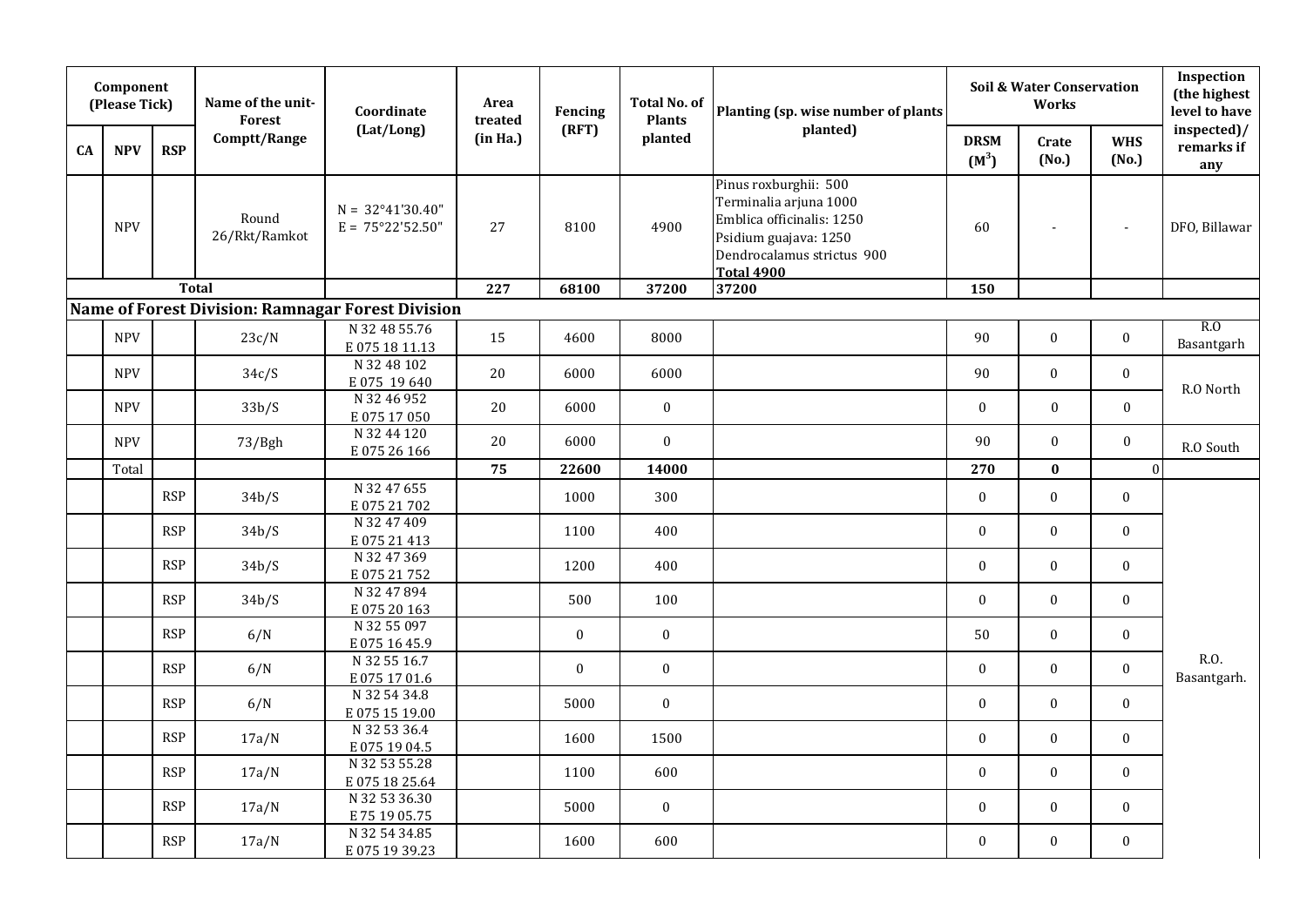|    | Component<br>(Please Tick) |            | Name of the unit-<br>Forest | Coordinate                                               | Area<br>treated | Fencing      | <b>Total No. of</b><br><b>Plants</b> | Planting (sp. wise number of plants                                                                                                                      |                        | Soil & Water Conservation<br>Works |                     | Inspection<br>(the highest<br>level to have |
|----|----------------------------|------------|-----------------------------|----------------------------------------------------------|-----------------|--------------|--------------------------------------|----------------------------------------------------------------------------------------------------------------------------------------------------------|------------------------|------------------------------------|---------------------|---------------------------------------------|
| CA | <b>NPV</b>                 | <b>RSP</b> | Comptt/Range                | (Lat/Long)                                               | (in Ha.)        | (RFT)        | planted                              | planted)                                                                                                                                                 | <b>DRSM</b><br>$(M^3)$ | Crate<br>(No.)                     | <b>WHS</b><br>(No.) | inspected)/<br>remarks if<br>any            |
|    | <b>NPV</b>                 |            | Round<br>26/Rkt/Ramkot      | $N = 32^{\circ}41'30.40''$<br>$E = 75^{\circ}22'52.50''$ | 27              | 8100         | 4900                                 | Pinus roxburghii: 500<br>Terminalia arjuna 1000<br>Emblica officinalis: 1250<br>Psidium guajava: 1250<br>Dendrocalamus strictus 900<br><b>Total 4900</b> | 60                     | $\blacksquare$                     | $\blacksquare$      | DFO, Billawar                               |
|    |                            |            | <b>Total</b>                |                                                          | 227             | 68100        | 37200                                | 37200                                                                                                                                                    | 150                    |                                    |                     |                                             |
|    |                            |            |                             | Name of Forest Division: Ramnagar Forest Division        |                 |              |                                      |                                                                                                                                                          |                        |                                    |                     |                                             |
|    | <b>NPV</b>                 |            | 23c/N                       | N 32 48 55.76<br>E075 18 11.13                           | 15              | 4600         | 8000                                 |                                                                                                                                                          | 90                     | $\mathbf{0}$                       | $\boldsymbol{0}$    | R.O<br>Basantgarh                           |
|    | <b>NPV</b>                 |            | 34c/S                       | N 32 48 102<br>E075 19640                                | 20              | 6000         | 6000                                 |                                                                                                                                                          | 90                     | $\boldsymbol{0}$                   | $\boldsymbol{0}$    | R.O North                                   |
|    | <b>NPV</b>                 |            | 33b/S                       | N 32 46 952<br>E07517050                                 | 20              | 6000         | $\boldsymbol{0}$                     |                                                                                                                                                          | $\mathbf{0}$           | $\boldsymbol{0}$                   | $\boldsymbol{0}$    |                                             |
|    | <b>NPV</b>                 |            | 73/Bgh                      | N 32 44 120<br>E075 26 166                               | 20              | 6000         | $\mathbf{0}$                         |                                                                                                                                                          | 90                     | $\mathbf{0}$                       | $\boldsymbol{0}$    | R.O South                                   |
|    | Total                      |            |                             |                                                          | 75              | 22600        | 14000                                |                                                                                                                                                          | 270                    | $\bf{0}$                           | $\mathbf{0}$        |                                             |
|    |                            | <b>RSP</b> | 34b/S                       | N 32 47 655<br>E075 21702                                |                 | 1000         | 300                                  |                                                                                                                                                          | $\boldsymbol{0}$       | 0                                  | $\boldsymbol{0}$    |                                             |
|    |                            | <b>RSP</b> | 34b/S                       | N 32 47 409<br>E07521413                                 |                 | 1100         | 400                                  |                                                                                                                                                          | $\theta$               | $\mathbf{0}$                       | $\bf{0}$            |                                             |
|    |                            | <b>RSP</b> | 34b/S                       | N 32 47 369<br>E075 21752                                |                 | 1200         | 400                                  |                                                                                                                                                          | $\theta$               | $\mathbf{0}$                       | $\bf{0}$            |                                             |
|    |                            | <b>RSP</b> | 34b/S                       | N 32 47 894<br>E075 20 163                               |                 | 500          | 100                                  |                                                                                                                                                          | $\mathbf{0}$           | $\mathbf{0}$                       | $\bf{0}$            |                                             |
|    |                            | <b>RSP</b> | 6/N                         | N 32 55 097<br>E0751645.9                                |                 | $\bf{0}$     | $\bf{0}$                             |                                                                                                                                                          | 50                     | $\mathbf{0}$                       | $\bf{0}$            |                                             |
|    |                            | <b>RSP</b> | 6/N                         | N 32 55 16.7<br>E0751701.6                               |                 | $\mathbf{0}$ | $\boldsymbol{0}$                     |                                                                                                                                                          | $\boldsymbol{0}$       | $\mathbf{0}$                       | $\boldsymbol{0}$    | R.O.<br>Basantgarh.                         |
|    |                            | <b>RSP</b> | 6/N                         | N 32 54 34.8<br>E0751519.00                              |                 | 5000         | $\mathbf{0}$                         |                                                                                                                                                          | $\mathbf{0}$           | $\mathbf{0}$                       | $\mathbf{0}$        |                                             |
|    |                            | <b>RSP</b> | 17a/N                       | N 32 53 36.4<br>E0751904.5                               |                 | 1600         | 1500                                 |                                                                                                                                                          | $\mathbf{0}$           | $\mathbf{0}$                       | $\mathbf{0}$        |                                             |
|    |                            | <b>RSP</b> | 17a/N                       | N 32 53 55.28<br>E075 18 25.64                           |                 | 1100         | 600                                  |                                                                                                                                                          | $\boldsymbol{0}$       | 0                                  | $\bf{0}$            |                                             |
|    |                            | <b>RSP</b> | 17a/N                       | N 32 53 36.30<br>E 75 19 05.75                           |                 | 5000         | $\mathbf{0}$                         |                                                                                                                                                          | $\mathbf{0}$           | $\mathbf{0}$                       | $\bf{0}$            |                                             |
|    |                            | <b>RSP</b> | 17a/N                       | N 32 54 34.85<br>E0751939.23                             |                 | 1600         | 600                                  |                                                                                                                                                          | $\mathbf{0}$           | $\mathbf{0}$                       | $\mathbf{0}$        |                                             |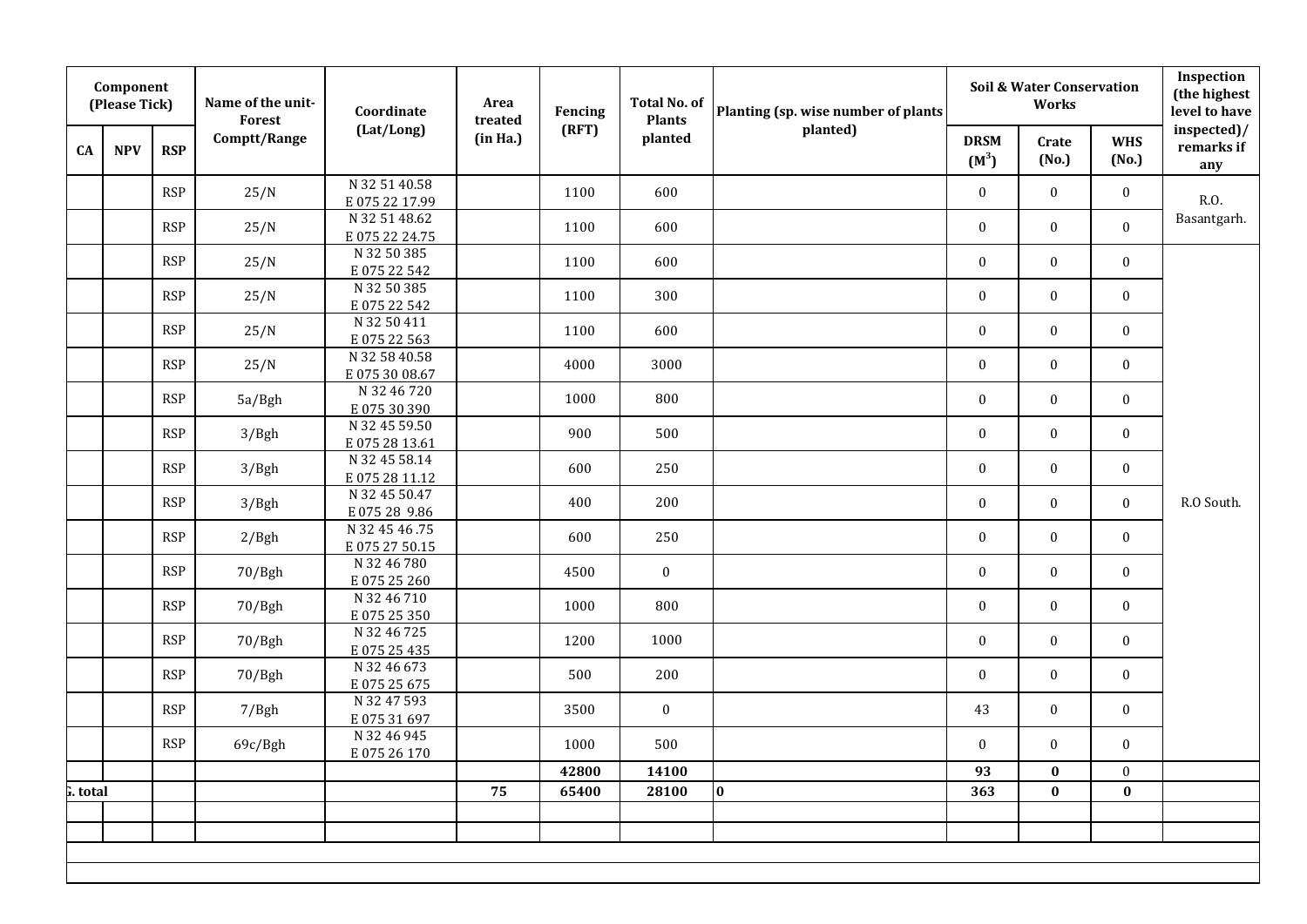|          | Component<br>(Please Tick) |            | Name of the unit-<br>Forest | Coordinate                      | Area<br>treated | Fencing | <b>Total No. of</b><br><b>Plants</b> | Planting (sp. wise number of plants |                        | <b>Soil &amp; Water Conservation</b><br>Works |                     | Inspection<br>(the highest<br>level to have |
|----------|----------------------------|------------|-----------------------------|---------------------------------|-----------------|---------|--------------------------------------|-------------------------------------|------------------------|-----------------------------------------------|---------------------|---------------------------------------------|
| CA       | <b>NPV</b>                 | <b>RSP</b> | Comptt/Range                | (Lat/Long)                      | (in Ha.)        | (RFT)   | planted                              | planted)                            | <b>DRSM</b><br>$(M^3)$ | Crate<br>(No.)                                | <b>WHS</b><br>(No.) | inspected)/<br>remarks if<br>any            |
|          |                            | <b>RSP</b> | 25/N                        | N 32 51 40.58<br>E075 22 17.99  |                 | 1100    | 600                                  |                                     | $\mathbf{0}$           | $\mathbf{0}$                                  | $\bf{0}$            | R.O.                                        |
|          |                            | <b>RSP</b> | 25/N                        | N 32 51 48.62<br>E075 22 24.75  |                 | 1100    | 600                                  |                                     | $\bf{0}$               | $\mathbf{0}$                                  | $\bf{0}$            | Basantgarh.                                 |
|          |                            | <b>RSP</b> | 25/N                        | N 32 50 385<br>E07522542        |                 | 1100    | 600                                  |                                     | $\bf{0}$               | $\mathbf{0}$                                  | $\bf{0}$            |                                             |
|          |                            | <b>RSP</b> | 25/N                        | N 32 50 385<br>E07522542        |                 | 1100    | 300                                  |                                     | $\bf{0}$               | $\mathbf{0}$                                  | $\bf{0}$            |                                             |
|          |                            | <b>RSP</b> | 25/N                        | N 32 50 411<br>E07522563        |                 | 1100    | 600                                  |                                     | $\bf{0}$               | $\mathbf{0}$                                  | $\boldsymbol{0}$    |                                             |
|          |                            | <b>RSP</b> | 25/N                        | N 32 58 40.58<br>E0753008.67    |                 | 4000    | 3000                                 |                                     | $\boldsymbol{0}$       | $\mathbf{0}$                                  | $\bf{0}$            |                                             |
|          |                            | <b>RSP</b> | 5a/Bgh                      | N 32 46 720<br>E07530390        |                 | 1000    | 800                                  |                                     | $\bf{0}$               | $\mathbf{0}$                                  | $\mathbf{0}$        |                                             |
|          |                            | <b>RSP</b> | 3/Bgh                       | N 32 45 59.50<br>E075 28 13.61  |                 | 900     | 500                                  |                                     | $\bf{0}$               | $\mathbf{0}$                                  | $\bf{0}$            |                                             |
|          |                            | <b>RSP</b> | 3/Bgh                       | N 32 45 58.14<br>E075 28 11.12  |                 | 600     | 250                                  |                                     | $\bf{0}$               | $\mathbf{0}$                                  | $\boldsymbol{0}$    |                                             |
|          |                            | <b>RSP</b> | 3/Bgh                       | N 32 45 50.47<br>E075 28 9.86   |                 | 400     | 200                                  |                                     | $\bf{0}$               | $\mathbf{0}$                                  | $\bf{0}$            | R.O South.                                  |
|          |                            | <b>RSP</b> | 2/Bgh                       | N 32 45 46 .75<br>E075 27 50.15 |                 | 600     | 250                                  |                                     | $\bf{0}$               | $\mathbf{0}$                                  | $\bf{0}$            |                                             |
|          |                            | <b>RSP</b> | 70/Bgh                      | N 32 46 780<br>E075 25 260      |                 | 4500    | $\bf{0}$                             |                                     | $\bf{0}$               | $\bf{0}$                                      | $\bf{0}$            |                                             |
|          |                            | <b>RSP</b> | 70/Bgh                      | N 32 46 710<br>E075 25 350      |                 | 1000    | 800                                  |                                     | $\boldsymbol{0}$       | $\mathbf{0}$                                  | $\bf{0}$            |                                             |
|          |                            | <b>RSP</b> | 70/Bgh                      | N 32 46 725<br>E075 25 435      |                 | 1200    | 1000                                 |                                     | $\bf{0}$               | $\mathbf{0}$                                  | $\bf{0}$            |                                             |
|          |                            | <b>RSP</b> | 70/Bgh                      | N 32 46 673<br>E075 25 675      |                 | 500     | 200                                  |                                     | $\mathbf{0}$           | $\mathbf{0}$                                  | $\mathbf{0}$        |                                             |
|          |                            | <b>RSP</b> | 7/Bgh                       | N 32 47 593<br>E07531697        |                 | 3500    | $\bf{0}$                             |                                     | 43                     | $\mathbf{0}$                                  | $\bf{0}$            |                                             |
|          |                            | <b>RSP</b> | 69c/Bgh                     | N 32 46 945<br>E075 26 170      |                 | 1000    | 500                                  |                                     | $\boldsymbol{0}$       | $\boldsymbol{0}$                              | $\boldsymbol{0}$    |                                             |
|          |                            |            |                             |                                 |                 | 42800   | 14100                                |                                     | 93                     | $\bf{0}$                                      | $\bf{0}$            |                                             |
| i. total |                            |            |                             |                                 | 75              | 65400   | 28100                                | $\bf{0}$                            | 363                    | $\bf{0}$                                      | $\bf{0}$            |                                             |
|          |                            |            |                             |                                 |                 |         |                                      |                                     |                        |                                               |                     |                                             |
|          |                            |            |                             |                                 |                 |         |                                      |                                     |                        |                                               |                     |                                             |
|          |                            |            |                             |                                 |                 |         |                                      |                                     |                        |                                               |                     |                                             |
|          |                            |            |                             |                                 |                 |         |                                      |                                     |                        |                                               |                     |                                             |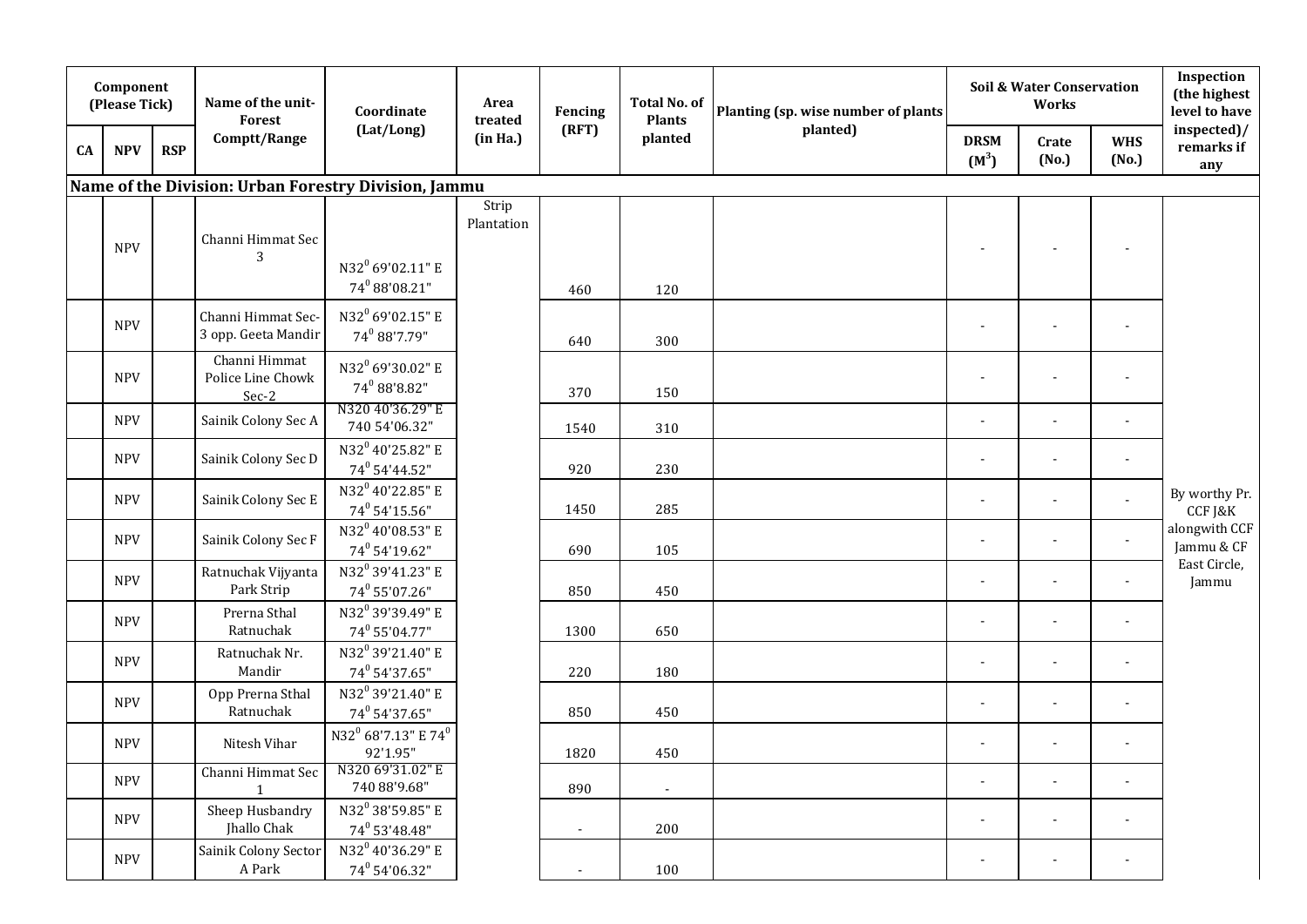|    | Component<br>(Please Tick) |            | Name of the unit-<br>Forest                 | Coordinate                                                | Area<br>treated     | Fencing        | <b>Total No. of</b><br><b>Plants</b> | Planting (sp. wise number of plants |                          | <b>Soil &amp; Water Conservation</b><br>Works |                          | Inspection<br>(the highest<br>level to have |
|----|----------------------------|------------|---------------------------------------------|-----------------------------------------------------------|---------------------|----------------|--------------------------------------|-------------------------------------|--------------------------|-----------------------------------------------|--------------------------|---------------------------------------------|
| CA | <b>NPV</b>                 | <b>RSP</b> | Comptt/Range                                | (Lat/Long)                                                | (in Ha.)            | (RFT)          | planted                              | planted)                            | <b>DRSM</b><br>$(M^3)$   | Crate<br>(No.)                                | <b>WHS</b><br>(No.)      | inspected)/<br>remarks if<br>any            |
|    |                            |            |                                             | Name of the Division: Urban Forestry Division, Jammu      |                     |                |                                      |                                     |                          |                                               |                          |                                             |
|    | <b>NPV</b>                 |            | Channi Himmat Sec<br>3                      | N32 <sup>0</sup> 69'02.11" E<br>$74^0$ 88'08.21"          | Strip<br>Plantation | 460            | 120                                  |                                     |                          |                                               |                          |                                             |
|    | <b>NPV</b>                 |            | Channi Himmat Sec-<br>3 opp. Geeta Mandir   | N32 <sup>0</sup> 69'02.15" E<br>74 88'7.79"               |                     | 640            | 300                                  |                                     | $\blacksquare$           |                                               |                          |                                             |
|    | <b>NPV</b>                 |            | Channi Himmat<br>Police Line Chowk<br>Sec-2 | N32 <sup>0</sup> 69'30.02" E<br>$74^0$ 88'8.82"           |                     | 370            | 150                                  |                                     | $\overline{\phantom{a}}$ | $\overline{\phantom{a}}$                      | $\overline{\phantom{a}}$ |                                             |
|    | <b>NPV</b>                 |            | Sainik Colony Sec A                         | N320 40'36.29" E<br>740 54'06.32"                         |                     | 1540           | 310                                  |                                     | $\overline{\phantom{a}}$ | $\overline{\phantom{a}}$                      |                          |                                             |
|    | <b>NPV</b>                 |            | Sainik Colony Sec D                         | N32 <sup>0</sup> 40'25.82" E<br>74 <sup>0</sup> 54'44.52" |                     | 920            | 230                                  |                                     |                          | $\blacksquare$                                |                          |                                             |
|    | <b>NPV</b>                 |            | Sainik Colony Sec E                         | N32 <sup>0</sup> 40'22.85" E<br>74 <sup>0</sup> 54'15.56" |                     | 1450           | 285                                  |                                     | $\blacksquare$           | $\blacksquare$                                |                          | By worthy Pr.<br>CCF J&K                    |
|    | <b>NPV</b>                 |            | Sainik Colony Sec F                         | N32 <sup>0</sup> 40'08.53" E<br>$74^0$ 54'19.62"          |                     | 690            | 105                                  |                                     | ÷,                       | $\overline{\phantom{a}}$                      | $\blacksquare$           | alongwith CCF<br>Jammu & CF                 |
|    | <b>NPV</b>                 |            | Ratnuchak Vijyanta<br>Park Strip            | N32 <sup>0</sup> 39'41.23" E<br>74 <sup>0</sup> 55'07.26" |                     | 850            | 450                                  |                                     | $\blacksquare$           |                                               |                          | East Circle,<br>Jammu                       |
|    | <b>NPV</b>                 |            | Prerna Sthal<br>Ratnuchak                   | N32 <sup>0</sup> 39'39.49" E<br>74 <sup>0</sup> 55'04.77" |                     | 1300           | 650                                  |                                     | $\overline{\phantom{a}}$ | $\blacksquare$                                | $\overline{\phantom{a}}$ |                                             |
|    | <b>NPV</b>                 |            | Ratnuchak Nr.<br>Mandir                     | N32 <sup>0</sup> 39'21.40" E<br>74 <sup>0</sup> 54'37.65" |                     | 220            | 180                                  |                                     | $\overline{\phantom{a}}$ | $\overline{\phantom{a}}$                      |                          |                                             |
|    | <b>NPV</b>                 |            | Opp Prerna Sthal<br>Ratnuchak               | N32 <sup>0</sup> 39'21.40" E<br>74 <sup>0</sup> 54'37.65" |                     | 850            | 450                                  |                                     | $\overline{\phantom{a}}$ | $\blacksquare$                                | $\overline{\phantom{a}}$ |                                             |
|    | <b>NPV</b>                 |            | Nitesh Vihar                                | N32 <sup>0</sup> 68'7.13" E 74 <sup>0</sup><br>92'1.95"   |                     | 1820           | 450                                  |                                     | $\blacksquare$           | $\overline{\phantom{a}}$                      |                          |                                             |
|    | <b>NPV</b>                 |            | Channi Himmat Sec<br>$\mathbf{1}$           | N320 69'31.02" E<br>740 88'9.68"                          |                     | 890            |                                      |                                     | $\blacksquare$           | $\blacksquare$                                |                          |                                             |
|    | <b>NPV</b>                 |            | Sheep Husbandry<br>Jhallo Chak              | N32 <sup>0</sup> 38'59.85" E<br>$74^0$ 53'48.48"          |                     | $\blacksquare$ | 200                                  |                                     | $\blacksquare$           | $\blacksquare$                                | $\overline{\phantom{a}}$ |                                             |
|    | <b>NPV</b>                 |            | Sainik Colony Sector<br>A Park              | N32 <sup>0</sup> 40'36.29" E<br>$74^0$ 54'06.32"          |                     | $\sim$         | 100                                  |                                     | $\blacksquare$           | $\blacksquare$                                | $\overline{\phantom{a}}$ |                                             |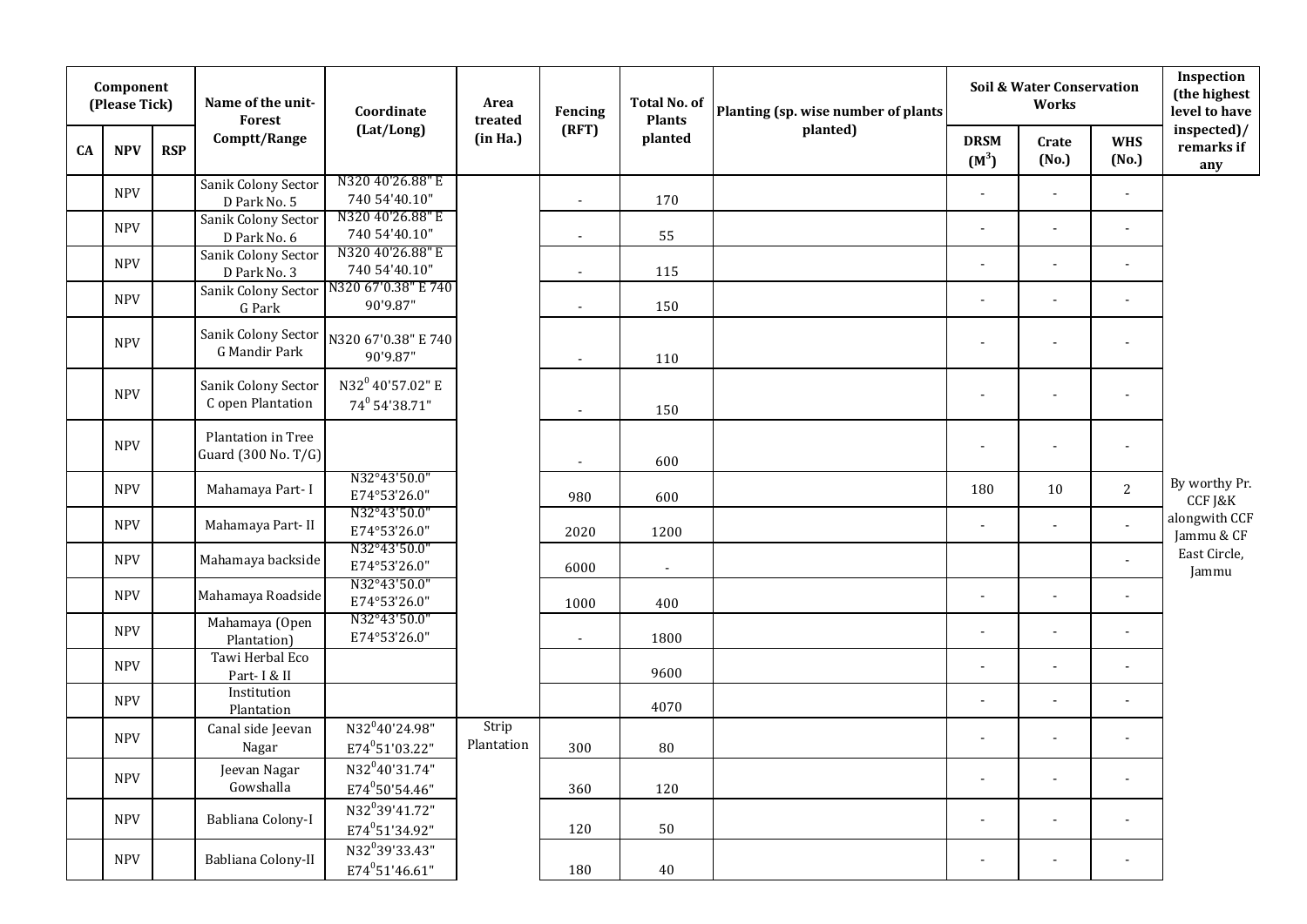|    | Component<br>(Please Tick) |            | Name of the unit-<br>Forest                 | Coordinate                                               | Area<br>treated     | Fencing        | <b>Total No. of</b><br><b>Plants</b> | Planting (sp. wise number of plants |                        | Soil & Water Conservation<br><b>Works</b> |                          | Inspection<br>(the highest<br>level to have |
|----|----------------------------|------------|---------------------------------------------|----------------------------------------------------------|---------------------|----------------|--------------------------------------|-------------------------------------|------------------------|-------------------------------------------|--------------------------|---------------------------------------------|
| CA | <b>NPV</b>                 | <b>RSP</b> | Comptt/Range                                | (Lat/Long)                                               | (in Ha.)            | (RFT)          | planted                              | planted)                            | <b>DRSM</b><br>$(M^3)$ | Crate<br>(No.)                            | <b>WHS</b><br>(No.)      | inspected)/<br>remarks if<br>any            |
|    | <b>NPV</b>                 |            | Sanik Colony Sector<br>D Park No. 5         | N320 40'26.88" E<br>740 54'40.10"                        |                     | $\sim$         | 170                                  |                                     | $\mathbf{r}$           | $\blacksquare$                            | $\blacksquare$           |                                             |
|    | <b>NPV</b>                 |            | Sanik Colony Sector<br>D Park No. 6         | N320 40'26.88" E<br>740 54'40.10"                        |                     | $\blacksquare$ | 55                                   |                                     | $\blacksquare$         | $\blacksquare$                            | $\tilde{\phantom{a}}$    |                                             |
|    | <b>NPV</b>                 |            | Sanik Colony Sector<br>D Park No. 3         | N320 40'26.88" E<br>740 54'40.10"                        |                     | $\blacksquare$ | 115                                  |                                     | J.                     | $\blacksquare$                            | $\ddot{\phantom{a}}$     |                                             |
|    | <b>NPV</b>                 |            | Sanik Colony Sector<br>G Park               | N320 67'0.38" E 740<br>90'9.87"                          |                     | $\blacksquare$ | 150                                  |                                     | $\blacksquare$         | $\blacksquare$                            | $\tilde{\phantom{a}}$    |                                             |
|    | <b>NPV</b>                 |            | Sanik Colony Sector<br><b>G</b> Mandir Park | N320 67'0.38" E 740<br>90'9.87"                          |                     | $\blacksquare$ | 110                                  |                                     | $\blacksquare$         | $\blacksquare$                            | $\tilde{\phantom{a}}$    |                                             |
|    | <b>NPV</b>                 |            | Sanik Colony Sector<br>C open Plantation    | N32 <sup>0</sup> 40'57.02" E<br>74° 54'38.71"            |                     | $\mathbf{r}$   | 150                                  |                                     |                        |                                           | $\overline{a}$           |                                             |
|    | <b>NPV</b>                 |            | Plantation in Tree<br>Guard (300 No. T/G)   |                                                          |                     | $\sim$         | 600                                  |                                     |                        | $\blacksquare$                            | $\blacksquare$           |                                             |
|    | <b>NPV</b>                 |            | Mahamaya Part-I                             | N32°43'50.0"<br>E74°53'26.0"                             |                     | 980            | 600                                  |                                     | 180                    | 10                                        | $\mathbf{2}$             | By worthy Pr.<br>CCF J&K                    |
|    | <b>NPV</b>                 |            | Mahamaya Part-II                            | N32°43'50.0"<br>E74°53'26.0"                             |                     | 2020           | 1200                                 |                                     | J.                     | $\blacksquare$                            | $\mathbf{r}$             | alongwith CCF<br>Jammu & CF                 |
|    | <b>NPV</b>                 |            | Mahamaya backside                           | N32°43'50.0"<br>E74°53'26.0"                             |                     | 6000           | $\sim$                               |                                     |                        |                                           | $\tilde{\phantom{a}}$    | East Circle,<br>Jammu                       |
|    | <b>NPV</b>                 |            | Mahamaya Roadside                           | N32°43'50.0"<br>E74°53'26.0"                             |                     | 1000           | 400                                  |                                     | $\overline{a}$         | $\overline{a}$                            | $\blacksquare$           |                                             |
|    | <b>NPV</b>                 |            | Mahamaya (Open<br>Plantation)               | N32°43'50.0"<br>E74°53'26.0"                             |                     | $\blacksquare$ | 1800                                 |                                     |                        |                                           |                          |                                             |
|    | <b>NPV</b>                 |            | Tawi Herbal Eco<br>Part-I & II              |                                                          |                     |                | 9600                                 |                                     | ÷,                     | $\blacksquare$                            | $\overline{\phantom{a}}$ |                                             |
|    | <b>NPV</b>                 |            | Institution<br>Plantation                   |                                                          |                     |                | 4070                                 |                                     | $\blacksquare$         | $\blacksquare$                            | $\tilde{\phantom{a}}$    |                                             |
|    | <b>NPV</b>                 |            | Canal side Jeevan<br>Nagar                  | N32 <sup>0</sup> 40'24.98"<br>E74°51'03.22"              | Strip<br>Plantation | 300            | 80                                   |                                     | $\blacksquare$         | $\blacksquare$                            | $\blacksquare$           |                                             |
|    | <b>NPV</b>                 |            | Jeevan Nagar<br>Gowshalla                   | N32 <sup>0</sup> 40'31.74"<br>E74 <sup>0</sup> 50'54.46" |                     | 360            | 120                                  |                                     | $\blacksquare$         | $\blacksquare$                            | $\blacksquare$           |                                             |
|    | <b>NPV</b>                 |            | Babliana Colony-I                           | N32 <sup>0</sup> 39'41.72"<br>E74°51'34.92"              |                     | 120            | 50                                   |                                     | $\blacksquare$         | $\blacksquare$                            | $\blacksquare$           |                                             |
|    | <b>NPV</b>                 |            | Babliana Colony-II                          | N32 <sup>0</sup> 39'33.43"<br>E74°51'46.61"              |                     | 180            | $40\,$                               |                                     |                        |                                           |                          |                                             |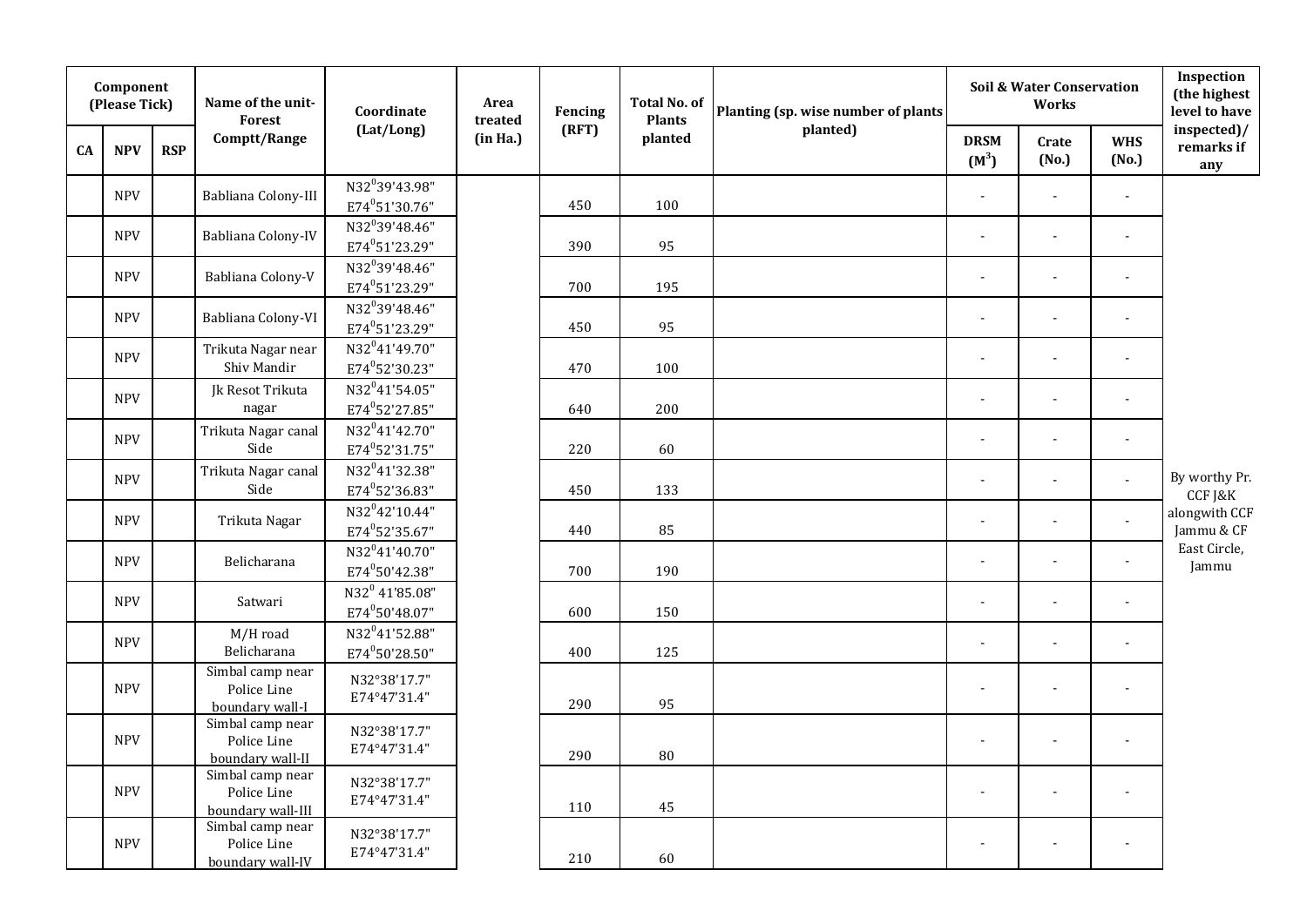|           | Component<br>(Please Tick) |            | Name of the unit-<br>Forest                          | Coordinate                                               | Area<br>treated | Fencing | <b>Total No. of</b><br><b>Plants</b> | Planting (sp. wise number of plants |                        | Soil & Water Conservation<br><b>Works</b> |                       | Inspection<br>(the highest<br>level to have |
|-----------|----------------------------|------------|------------------------------------------------------|----------------------------------------------------------|-----------------|---------|--------------------------------------|-------------------------------------|------------------------|-------------------------------------------|-----------------------|---------------------------------------------|
| <b>CA</b> | <b>NPV</b>                 | <b>RSP</b> | Comptt/Range                                         | (Lat/Long)                                               | (in Ha.)        | (RFT)   | planted                              | planted)                            | <b>DRSM</b><br>$(M^3)$ | Crate<br>(No.)                            | <b>WHS</b><br>(No.)   | inspected)/<br>remarks if<br>any            |
|           | <b>NPV</b>                 |            | Babliana Colony-III                                  | N32 <sup>0</sup> 39'43.98"<br>E74°51'30.76"              |                 | 450     | 100                                  |                                     | $\blacksquare$         | $\blacksquare$                            | $\overline{a}$        |                                             |
|           | <b>NPV</b>                 |            | Babliana Colony-IV                                   | N32 <sup>0</sup> 39'48.46"<br>E74 <sup>0</sup> 51'23.29" |                 | 390     | 95                                   |                                     | $\blacksquare$         | $\blacksquare$                            | $\blacksquare$        |                                             |
|           | <b>NPV</b>                 |            | Babliana Colony-V                                    | N32 <sup>0</sup> 39'48.46"<br>E74 <sup>0</sup> 51'23.29" |                 | 700     | 195                                  |                                     |                        | $\blacksquare$                            | $\blacksquare$        |                                             |
|           | <b>NPV</b>                 |            | Babliana Colony-VI                                   | N32 <sup>0</sup> 39'48.46"<br>E74°51'23.29"              |                 | 450     | 95                                   |                                     |                        |                                           |                       |                                             |
|           | <b>NPV</b>                 |            | Trikuta Nagar near<br>Shiv Mandir                    | N32 <sup>0</sup> 41'49.70"<br>E74°52'30.23"              |                 | 470     | 100                                  |                                     |                        |                                           |                       |                                             |
|           | <b>NPV</b>                 |            | Jk Resot Trikuta<br>nagar                            | N32 <sup>0</sup> 41'54.05"<br>E74°52'27.85"              |                 | 640     | 200                                  |                                     | $\blacksquare$         | $\blacksquare$                            | $\blacksquare$        |                                             |
|           | <b>NPV</b>                 |            | Trikuta Nagar canal<br>Side                          | N32 <sup>0</sup> 41'42.70"<br>E74 <sup>0</sup> 52'31.75" |                 | 220     | 60                                   |                                     | $\blacksquare$         | $\blacksquare$                            | $\tilde{\phantom{a}}$ |                                             |
|           | <b>NPV</b>                 |            | Trikuta Nagar canal<br>Side                          | N32 <sup>0</sup> 41'32.38"<br>E74 <sup>0</sup> 52'36.83" |                 | 450     | 133                                  |                                     |                        | $\blacksquare$                            | ÷,                    | By worthy Pr.<br>CCF J&K                    |
|           | <b>NPV</b>                 |            | Trikuta Nagar                                        | N32 <sup>0</sup> 42'10.44"<br>E74 <sup>0</sup> 52'35.67" |                 | 440     | 85                                   |                                     |                        |                                           | $\overline{a}$        | alongwith CCF<br>Jammu & CF                 |
|           | <b>NPV</b>                 |            | Belicharana                                          | N32 <sup>0</sup> 41'40.70"<br>E74°50'42.38"              |                 | 700     | 190                                  |                                     | $\blacksquare$         | ÷,                                        | $\blacksquare$        | East Circle,<br>Jammu                       |
|           | <b>NPV</b>                 |            | Satwari                                              | N32 <sup>0</sup> 41'85.08"<br>E74°50'48.07"              |                 | 600     | 150                                  |                                     | $\overline{a}$         | $\blacksquare$                            | $\overline{a}$        |                                             |
|           | <b>NPV</b>                 |            | M/H road<br>Belicharana                              | N32 <sup>0</sup> 41'52.88"<br>E74°50'28.50"              |                 | 400     | 125                                  |                                     | ÷,                     | $\blacksquare$                            | $\overline{a}$        |                                             |
|           | <b>NPV</b>                 |            | Simbal camp near<br>Police Line<br>boundary wall-I   | N32°38'17.7"<br>E74°47'31.4"                             |                 | 290     | 95                                   |                                     |                        |                                           |                       |                                             |
|           | <b>NPV</b>                 |            | Simbal camp near<br>Police Line<br>boundary wall-II  | N32°38'17.7"<br>E74°47'31.4"                             |                 | 290     | 80                                   |                                     | $\blacksquare$         |                                           | $\blacksquare$        |                                             |
|           | <b>NPV</b>                 |            | Simbal camp near<br>Police Line<br>boundary wall-III | N32°38'17.7"<br>E74°47'31.4"                             |                 | 110     | 45                                   |                                     | $\blacksquare$         | $\blacksquare$                            | $\blacksquare$        |                                             |
|           | <b>NPV</b>                 |            | Simbal camp near<br>Police Line<br>boundary wall-IV  | N32°38'17.7"<br>E74°47'31.4"                             |                 | 210     | 60                                   |                                     |                        |                                           |                       |                                             |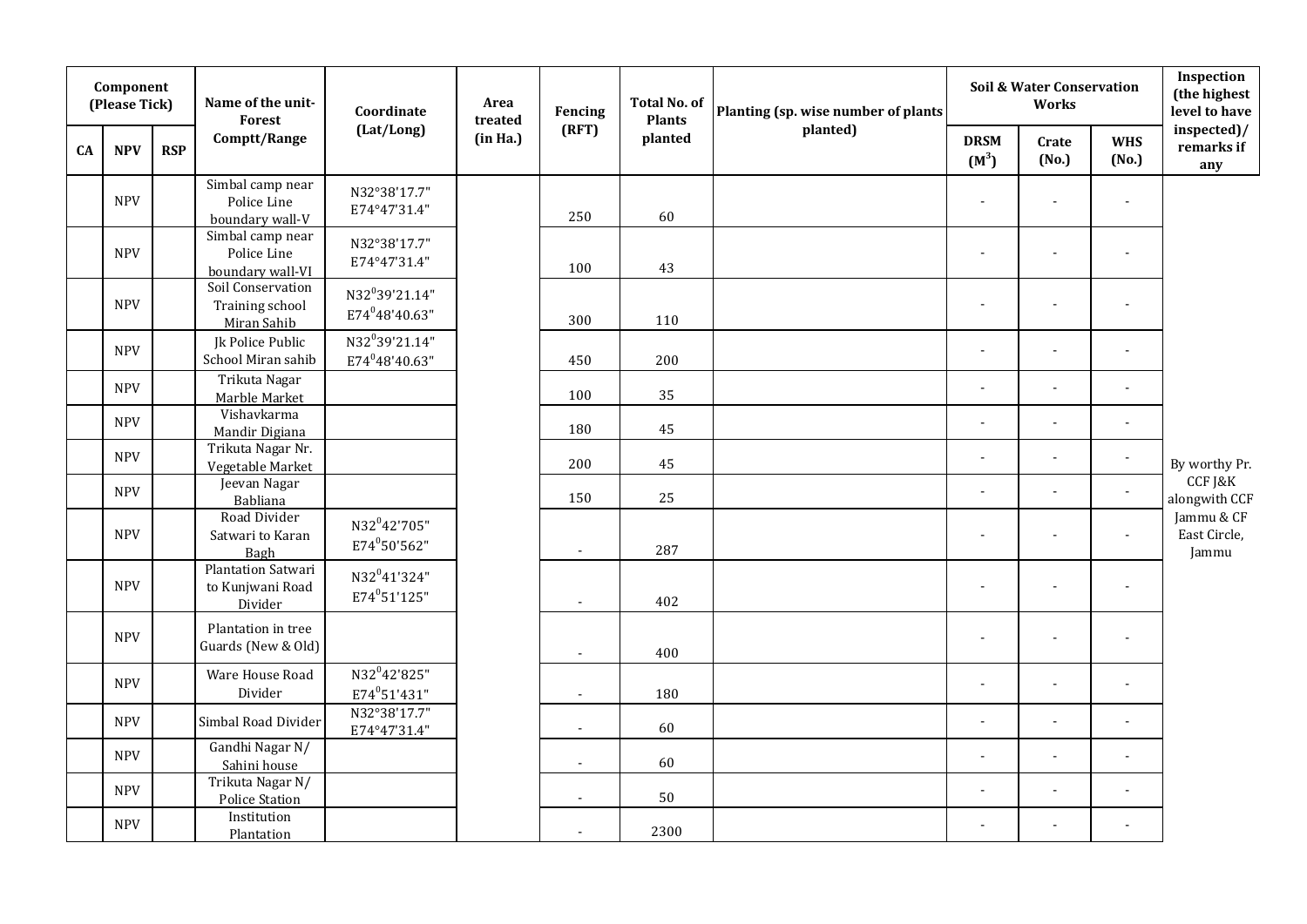|           | Component<br>(Please Tick) |            | Name of the unit-<br>Forest                              | Coordinate                                               | Area<br>treated | Fencing        | <b>Total No. of</b><br><b>Plants</b> | Planting (sp. wise number of plants |                        | Soil & Water Conservation<br>Works |                       | Inspection<br>(the highest<br>level to have |
|-----------|----------------------------|------------|----------------------------------------------------------|----------------------------------------------------------|-----------------|----------------|--------------------------------------|-------------------------------------|------------------------|------------------------------------|-----------------------|---------------------------------------------|
| <b>CA</b> | <b>NPV</b>                 | <b>RSP</b> | Comptt/Range                                             | (Lat/Long)                                               | (in Ha.)        | (RFT)          | planted                              | planted)                            | <b>DRSM</b><br>$(M^3)$ | Crate<br>(No.)                     | <b>WHS</b><br>(No.)   | inspected)/<br>remarks if<br>any            |
|           | <b>NPV</b>                 |            | Simbal camp near<br>Police Line<br>boundary wall-V       | N32°38'17.7"<br>E74°47'31.4"                             |                 | 250            | 60                                   |                                     |                        |                                    |                       |                                             |
|           | <b>NPV</b>                 |            | Simbal camp near<br>Police Line<br>boundary wall-VI      | N32°38'17.7"<br>E74°47'31.4"                             |                 | 100            | 43                                   |                                     |                        |                                    |                       |                                             |
|           | <b>NPV</b>                 |            | Soil Conservation<br>Training school<br>Miran Sahib      | N32 <sup>0</sup> 39'21.14"<br>E74 <sup>0</sup> 48'40.63" |                 | 300            | 110                                  |                                     |                        |                                    |                       |                                             |
|           | <b>NPV</b>                 |            | Jk Police Public<br>School Miran sahib                   | N32 <sup>0</sup> 39'21.14"<br>E74 <sup>0</sup> 48'40.63" |                 | 450            | 200                                  |                                     |                        | $\overline{\phantom{a}}$           | $\blacksquare$        |                                             |
|           | <b>NPV</b>                 |            | Trikuta Nagar<br>Marble Market                           |                                                          |                 | 100            | 35                                   |                                     |                        |                                    | $\overline{a}$        |                                             |
|           | <b>NPV</b>                 |            | Vishavkarma<br>Mandir Digiana                            |                                                          |                 | 180            | 45                                   |                                     |                        | $\overline{\phantom{a}}$           | $\ddot{\phantom{a}}$  |                                             |
|           | <b>NPV</b>                 |            | Trikuta Nagar Nr.<br>Vegetable Market                    |                                                          |                 | 200            | 45                                   |                                     | $\blacksquare$         | $\blacksquare$                     | $\blacksquare$        | By worthy Pr.                               |
|           | <b>NPV</b>                 |            | Jeevan Nagar<br>Babliana                                 |                                                          |                 | 150            | 25                                   |                                     |                        |                                    | $\blacksquare$        | CCF J&K<br>alongwith CCF                    |
|           | <b>NPV</b>                 |            | Road Divider<br>Satwari to Karan<br>Bagh                 | N32 <sup>0</sup> 42'705"<br>E74°50'562"                  |                 | $\overline{a}$ | 287                                  |                                     |                        | ÷,                                 | $\blacksquare$        | Jammu & CF<br>East Circle,<br>Jammu         |
|           | <b>NPV</b>                 |            | <b>Plantation Satwari</b><br>to Kunjwani Road<br>Divider | N32 <sup>0</sup> 41'324"<br>E74 <sup>0</sup> 51'125"     |                 | $\overline{a}$ | 402                                  |                                     |                        |                                    |                       |                                             |
|           | <b>NPV</b>                 |            | Plantation in tree<br>Guards (New & Old)                 |                                                          |                 | $\overline{a}$ | 400                                  |                                     |                        |                                    |                       |                                             |
|           | <b>NPV</b>                 |            | Ware House Road<br>Divider                               | N32 <sup>0</sup> 42'825"<br>$E74^051'431''$              |                 | $\sim$         | 180                                  |                                     |                        |                                    |                       |                                             |
|           | <b>NPV</b>                 |            | Simbal Road Divider                                      | N32°38'17.7"<br>E74°47'31.4"                             |                 | $\blacksquare$ | 60                                   |                                     |                        | ÷,                                 | $\blacksquare$        |                                             |
|           | <b>NPV</b>                 |            | Gandhi Nagar N/<br>Sahini house                          |                                                          |                 | $\sim$         | 60                                   |                                     | $\overline{a}$         | ÷,                                 | $\tilde{\phantom{a}}$ |                                             |
|           | <b>NPV</b>                 |            | Trikuta Nagar N/<br><b>Police Station</b>                |                                                          |                 | $\sim$         | 50                                   |                                     | ÷,                     | ÷,                                 | $\blacksquare$        |                                             |
|           | <b>NPV</b>                 |            | Institution<br>Plantation                                |                                                          |                 | $\sim$         | 2300                                 |                                     |                        |                                    |                       |                                             |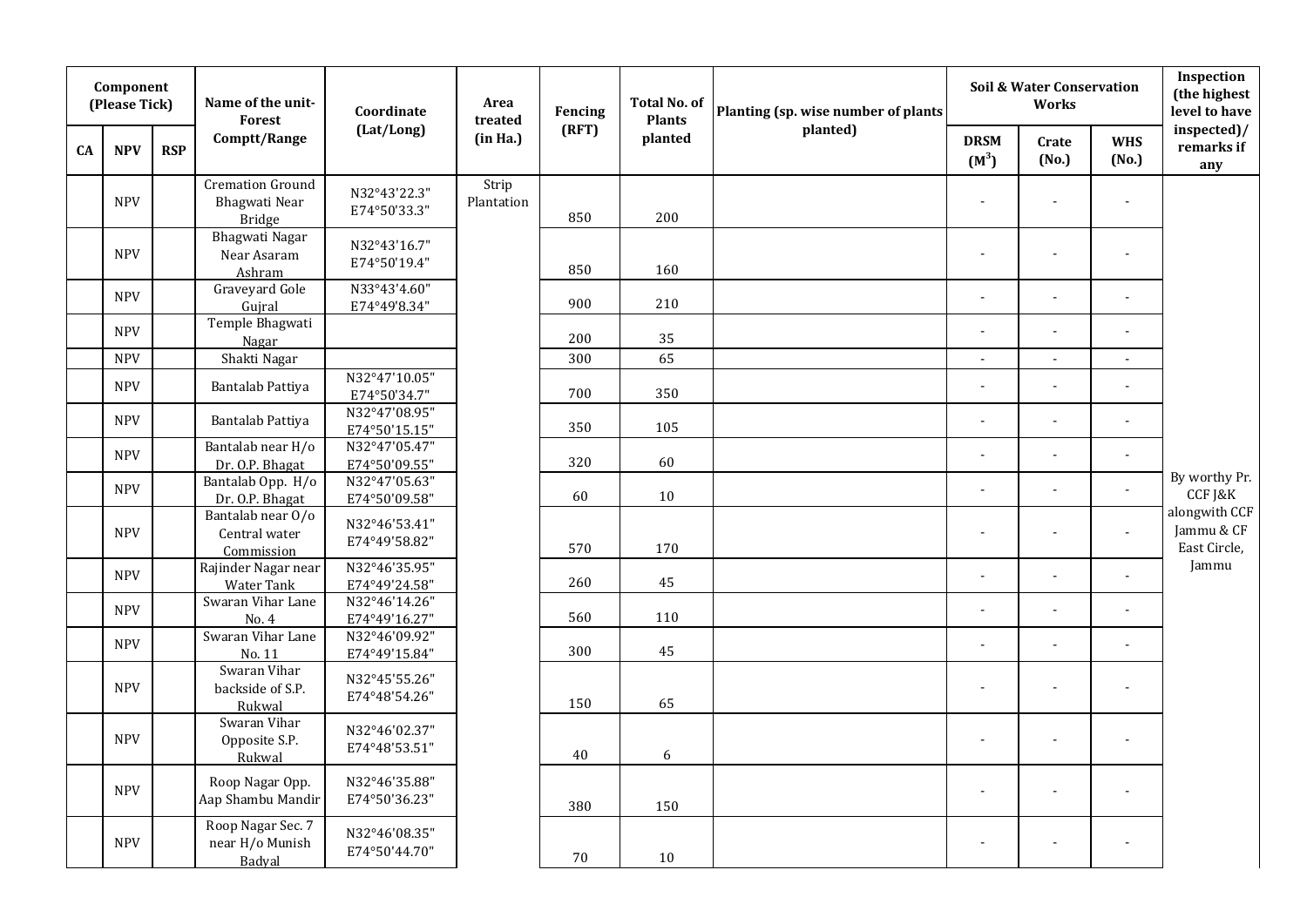|    | Component<br>(Please Tick) |            | Name of the unit-<br>Forest                               | Coordinate                     | Area<br>treated     | Fencing | Total No. of<br><b>Plants</b> | Planting (sp. wise number of plants |                        | <b>Soil &amp; Water Conservation</b><br><b>Works</b> |                          | Inspection<br>(the highest<br>level to have |
|----|----------------------------|------------|-----------------------------------------------------------|--------------------------------|---------------------|---------|-------------------------------|-------------------------------------|------------------------|------------------------------------------------------|--------------------------|---------------------------------------------|
| CA | <b>NPV</b>                 | <b>RSP</b> | Comptt/Range                                              | (Lat/Long)                     | (in Ha.)            | (RFT)   | planted                       | planted)                            | <b>DRSM</b><br>$(M^3)$ | Crate<br>(No.)                                       | <b>WHS</b><br>(No.)      | inspected)/<br>remarks if<br>any            |
|    | <b>NPV</b>                 |            | <b>Cremation Ground</b><br>Bhagwati Near<br><b>Bridge</b> | N32°43'22.3"<br>E74°50'33.3"   | Strip<br>Plantation | 850     | 200                           |                                     | ÷,                     | $\overline{a}$                                       | ÷,                       |                                             |
|    | <b>NPV</b>                 |            | Bhagwati Nagar<br>Near Asaram<br>Ashram                   | N32°43'16.7"<br>E74°50'19.4"   |                     | 850     | 160                           |                                     | $\overline{a}$         | $\overline{a}$                                       | $\blacksquare$           |                                             |
|    | <b>NPV</b>                 |            | Graveyard Gole<br>Gujral                                  | N33°43'4.60"<br>E74°49'8.34"   |                     | 900     | 210                           |                                     | $\overline{a}$         | $\overline{a}$                                       | ÷,                       |                                             |
|    | <b>NPV</b>                 |            | Temple Bhagwati<br>Nagar                                  |                                |                     | 200     | 35                            |                                     | $\overline{a}$         | $\overline{a}$                                       | $\blacksquare$           |                                             |
|    | <b>NPV</b>                 |            | Shakti Nagar                                              |                                |                     | 300     | 65                            |                                     | $\overline{a}$         | $\blacksquare$                                       | $\overline{a}$           |                                             |
|    | <b>NPV</b>                 |            | Bantalab Pattiya                                          | N32°47'10.05"<br>E74°50'34.7"  |                     | 700     | 350                           |                                     | $\overline{a}$         | $\overline{a}$                                       | $\overline{a}$           |                                             |
|    | <b>NPV</b>                 |            | Bantalab Pattiya                                          | N32°47'08.95"<br>E74°50'15.15" |                     | 350     | 105                           |                                     | $\overline{a}$         | $\overline{a}$                                       | ÷,                       |                                             |
|    | <b>NPV</b>                 |            | Bantalab near H/o<br>Dr. O.P. Bhagat                      | N32°47'05.47"<br>E74°50'09.55" |                     | 320     | 60                            |                                     |                        |                                                      |                          |                                             |
|    | <b>NPV</b>                 |            | Bantalab Opp. H/o<br>Dr. O.P. Bhagat                      | N32°47'05.63"<br>E74°50'09.58" |                     | 60      | 10                            |                                     | $\overline{a}$         | $\overline{a}$                                       | $\blacksquare$           | By worthy Pr.<br>CCF J&K                    |
|    | <b>NPV</b>                 |            | Bantalab near 0/0<br>Central water<br>Commission          | N32°46'53.41"<br>E74°49'58.82" |                     | 570     | 170                           |                                     | $\overline{a}$         |                                                      | $\overline{a}$           | alongwith CCF<br>Jammu & CF<br>East Circle, |
|    | <b>NPV</b>                 |            | Rajinder Nagar near<br><b>Water Tank</b>                  | N32°46'35.95"<br>E74°49'24.58" |                     | 260     | 45                            |                                     | ä,                     | ä,                                                   | $\blacksquare$           | Jammu                                       |
|    | <b>NPV</b>                 |            | Swaran Vihar Lane<br>No. 4                                | N32°46'14.26"<br>E74°49'16.27" |                     | 560     | 110                           |                                     | $\overline{a}$         | $\overline{a}$                                       | $\ddot{\phantom{a}}$     |                                             |
|    | <b>NPV</b>                 |            | Swaran Vihar Lane<br>No. 11                               | N32°46'09.92"<br>E74°49'15.84" |                     | 300     | 45                            |                                     | $\overline{a}$         | $\sim$                                               | $\overline{\phantom{a}}$ |                                             |
|    | <b>NPV</b>                 |            | Swaran Vihar<br>backside of S.P.<br>Rukwal                | N32°45'55.26"<br>E74°48'54.26" |                     | 150     | 65                            |                                     | ä,                     | ä,                                                   | $\blacksquare$           |                                             |
|    | <b>NPV</b>                 |            | Swaran Vihar<br>Opposite S.P.<br>Rukwal                   | N32°46'02.37"<br>E74°48'53.51" |                     | 40      | $\boldsymbol{6}$              |                                     | ä,                     | $\blacksquare$                                       | $\overline{a}$           |                                             |
|    | <b>NPV</b>                 |            | Roop Nagar Opp.<br>Aap Shambu Mandir                      | N32°46'35.88"<br>E74°50'36.23" |                     | 380     | 150                           |                                     | ä,                     | ä,                                                   | $\overline{a}$           |                                             |
|    | <b>NPV</b>                 |            | Roop Nagar Sec. 7<br>near H/o Munish<br>Badyal            | N32°46'08.35"<br>E74°50'44.70" |                     | 70      | 10                            |                                     |                        |                                                      |                          |                                             |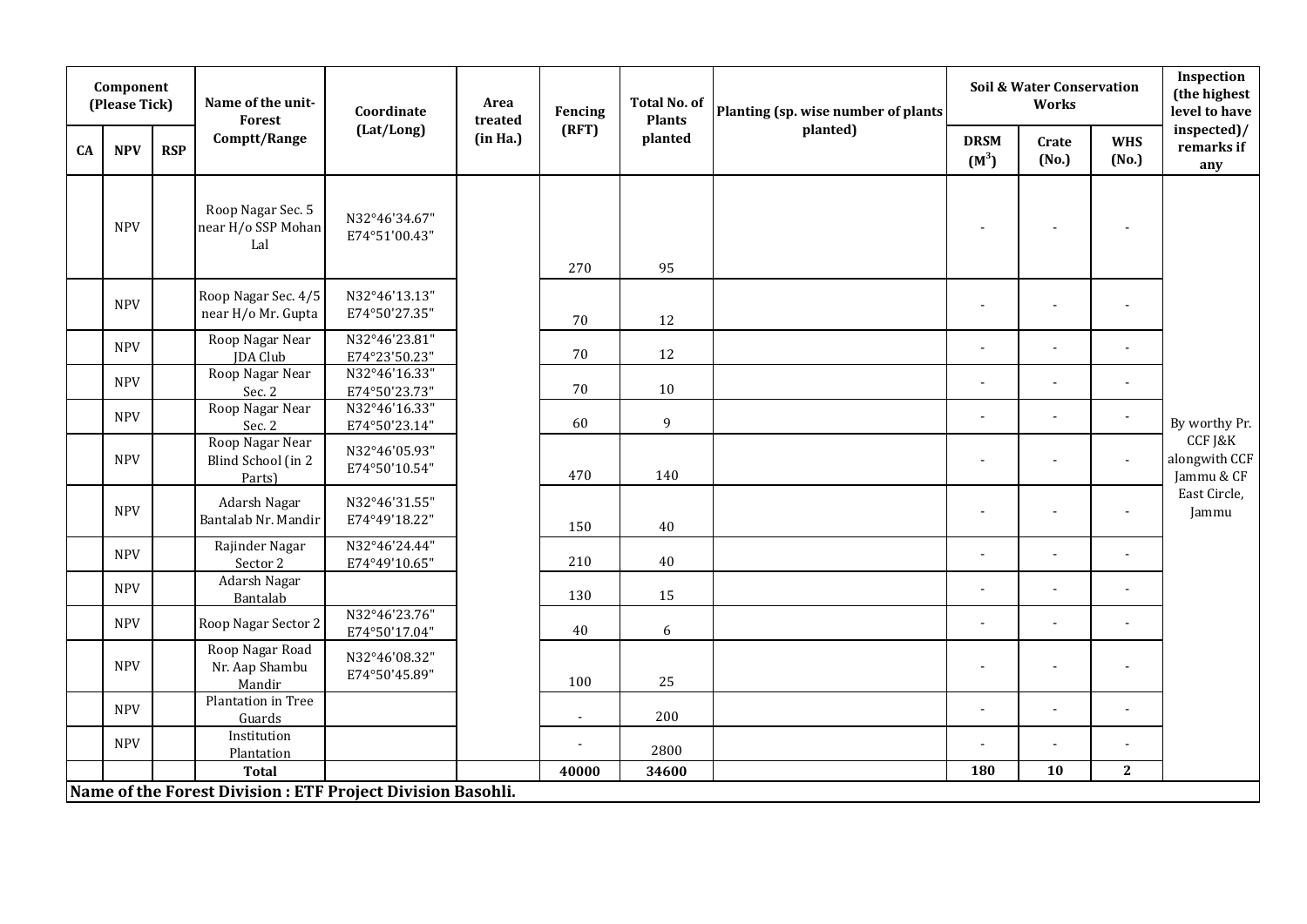|    | Component<br>(Please Tick) |            | Name of the unit-<br><b>Forest</b>                          | Coordinate                     | Area<br>treated | Fencing        | <b>Total No. of</b><br><b>Plants</b> | Planting (sp. wise number of plants |                          | <b>Soil &amp; Water Conservation</b><br>Works |                          | Inspection<br>(the highest<br>level to have |
|----|----------------------------|------------|-------------------------------------------------------------|--------------------------------|-----------------|----------------|--------------------------------------|-------------------------------------|--------------------------|-----------------------------------------------|--------------------------|---------------------------------------------|
| CA | <b>NPV</b>                 | <b>RSP</b> | Comptt/Range                                                | (Lat/Long)                     | (in Ha.)        | (RFT)          | planted                              | planted)                            | <b>DRSM</b><br>$(M^3)$   | Crate<br>(No.)                                | <b>WHS</b><br>(No.)      | inspected)/<br>remarks if<br>any            |
|    | <b>NPV</b>                 |            | Roop Nagar Sec. 5<br>near H/o SSP Mohan<br>Lal              | N32°46'34.67"<br>E74°51'00.43" |                 | 270            | 95                                   |                                     | $\overline{\phantom{a}}$ | $\overline{\phantom{a}}$                      | $\overline{\phantom{m}}$ |                                             |
|    | <b>NPV</b>                 |            | Roop Nagar Sec. 4/5<br>near H/o Mr. Gupta                   | N32°46'13.13"<br>E74°50'27.35" |                 | 70             | 12                                   |                                     | $\blacksquare$           | $\blacksquare$                                | $\blacksquare$           |                                             |
|    | <b>NPV</b>                 |            | Roop Nagar Near<br>JDA Club                                 | N32°46'23.81"<br>E74°23'50.23" |                 | 70             | 12                                   |                                     | $\blacksquare$           | $\blacksquare$                                | $\blacksquare$           |                                             |
|    | <b>NPV</b>                 |            | Roop Nagar Near<br>Sec. 2                                   | N32°46'16.33"<br>E74°50'23.73" |                 | $70\,$         | 10                                   |                                     | $\overline{a}$           | $\blacksquare$                                | $\overline{a}$           |                                             |
|    | <b>NPV</b>                 |            | Roop Nagar Near<br>Sec. 2                                   | N32°46'16.33"<br>E74°50'23.14" |                 | 60             | 9                                    |                                     | $\mathbf{r}$             | $\overline{a}$                                | $\sim$                   | By worthy Pr.                               |
|    | <b>NPV</b>                 |            | Roop Nagar Near<br>Blind School (in 2<br>Parts)             | N32°46'05.93"<br>E74°50'10.54" |                 | 470            | 140                                  |                                     | ÷.                       | $\overline{a}$                                | $\overline{a}$           | CCF J&K<br>alongwith CCF<br>Jammu & CF      |
|    | <b>NPV</b>                 |            | Adarsh Nagar<br>Bantalab Nr. Mandir                         | N32°46'31.55"<br>E74°49'18.22" |                 | 150            | 40                                   |                                     | $\overline{\phantom{a}}$ | $\overline{\phantom{a}}$                      | $\overline{\phantom{a}}$ | East Circle,<br>Jammu                       |
|    | <b>NPV</b>                 |            | Rajinder Nagar<br>Sector 2                                  | N32°46'24.44"<br>E74°49'10.65" |                 | 210            | 40                                   |                                     | $\blacksquare$           | $\blacksquare$                                | $\blacksquare$           |                                             |
|    | <b>NPV</b>                 |            | Adarsh Nagar<br>Bantalab                                    |                                |                 | 130            | 15                                   |                                     | $\overline{\phantom{a}}$ | $\blacksquare$                                |                          |                                             |
|    | <b>NPV</b>                 |            | Roop Nagar Sector 2                                         | N32°46'23.76"<br>E74°50'17.04" |                 | 40             | 6                                    |                                     | $\ddot{\phantom{a}}$     | $\blacksquare$                                | $\blacksquare$           |                                             |
|    | <b>NPV</b>                 |            | Roop Nagar Road<br>Nr. Aap Shambu<br>Mandir                 | N32°46'08.32"<br>E74°50'45.89" |                 | 100            | 25                                   |                                     | $\overline{a}$           | $\blacksquare$                                | $\overline{a}$           |                                             |
|    | <b>NPV</b>                 |            | Plantation in Tree<br>Guards                                |                                |                 | $\blacksquare$ | 200                                  |                                     | $\blacksquare$           | $\blacksquare$                                | $\blacksquare$           |                                             |
|    | <b>NPV</b>                 |            | Institution<br>Plantation                                   |                                |                 | $\blacksquare$ | 2800                                 |                                     | $\blacksquare$           | $\overline{\phantom{0}}$                      | $\blacksquare$           |                                             |
|    |                            |            | <b>Total</b>                                                |                                |                 | 40000          | 34600                                |                                     | 180                      | 10                                            | $\mathbf{2}$             |                                             |
|    |                            |            | Name of the Forest Division : ETF Project Division Basohli. |                                |                 |                |                                      |                                     |                          |                                               |                          |                                             |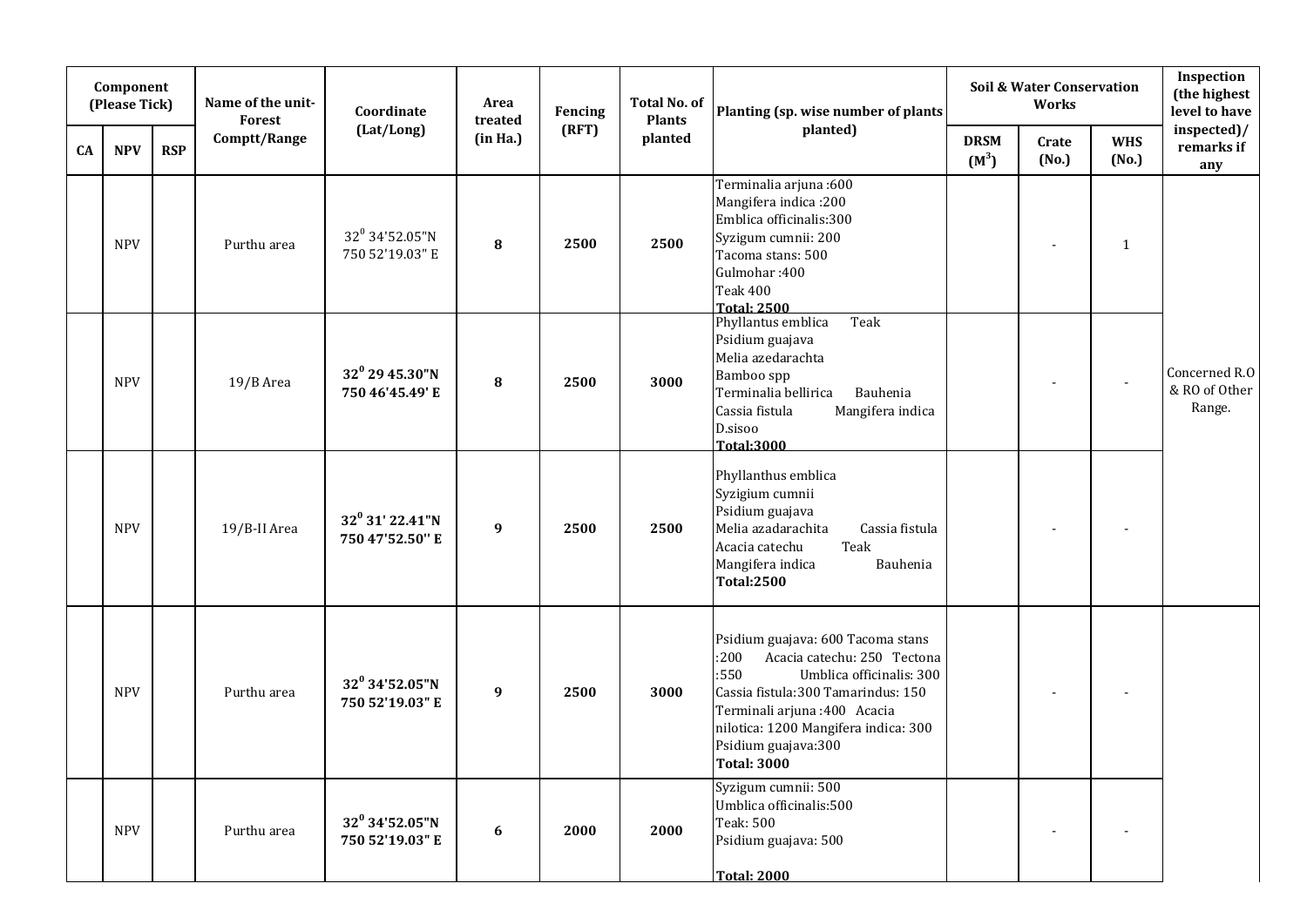| Component<br>(Please Tick) |            |            | Name of the unit-<br>Forest | Coordinate                                    | Area<br>treated  | Fencing | <b>Total No. of</b><br><b>Plants</b> | Planting (sp. wise number of plants                                                                                                                                                                                                                                      | Soil & Water Conservation<br>Works |                          |                          | Inspection<br>(the highest<br>level to have |
|----------------------------|------------|------------|-----------------------------|-----------------------------------------------|------------------|---------|--------------------------------------|--------------------------------------------------------------------------------------------------------------------------------------------------------------------------------------------------------------------------------------------------------------------------|------------------------------------|--------------------------|--------------------------|---------------------------------------------|
| CA                         | <b>NPV</b> | <b>RSP</b> | Comptt/Range                | (Lat/Long)                                    | (in Ha.)         | (RFT)   | planted                              | planted)                                                                                                                                                                                                                                                                 | <b>DRSM</b><br>$(M^3)$             | Crate<br>(No.)           | <b>WHS</b><br>(No.)      | inspected)/<br>remarks if<br>any            |
|                            | <b>NPV</b> |            | Purthu area                 | 32 <sup>0</sup> 34'52.05"N<br>750 52'19.03" E | 8                | 2500    | 2500                                 | Terminalia arjuna:600<br>Mangifera indica: 200<br>Emblica officinalis:300<br>Syzigum cumnii: 200<br>Tacoma stans: 500<br>Gulmohar: 400<br><b>Teak 400</b><br><b>Total: 2500</b>                                                                                          |                                    | $\overline{\phantom{a}}$ | $\mathbf{1}$             |                                             |
|                            | <b>NPV</b> |            | 19/B Area                   | $32^0$ 29 45.30"N<br>750 46'45.49' E          | ${\bf 8}$        | 2500    | 3000                                 | Phyllantus emblica<br>Teak<br>Psidium guajava<br>Melia azedarachta<br>Bamboo spp<br>Terminalia bellirica<br>Bauhenia<br>Cassia fistula<br>Mangifera indica<br>D.sisoo<br><b>Total:3000</b>                                                                               |                                    |                          |                          | Concerned R.O<br>& RO of Other<br>Range.    |
|                            | <b>NPV</b> |            | 19/B-II Area                | $32^0$ 31' 22.41"N<br>750 47'52.50" E         | $\boldsymbol{9}$ | 2500    | 2500                                 | Phyllanthus emblica<br>Syzigium cumnii<br>Psidium guajava<br>Melia azadarachita<br>Cassia fistula<br>Teak<br>Acacia catechu<br>Mangifera indica<br>Bauhenia<br><b>Total:2500</b>                                                                                         |                                    |                          |                          |                                             |
|                            | <b>NPV</b> |            | Purthu area                 | $32^0$ 34'52.05"N<br>750 52'19.03" E          | $\boldsymbol{9}$ | 2500    | 3000                                 | Psidium guajava: 600 Tacoma stans<br>:200<br>Acacia catechu: 250 Tectona<br>:550<br>Umblica officinalis: 300<br>Cassia fistula:300 Tamarindus: 150<br>Terminali arjuna :400 Acacia<br>nilotica: 1200 Mangifera indica: 300<br>Psidium guajava: 300<br><b>Total: 3000</b> |                                    |                          |                          |                                             |
|                            | <b>NPV</b> |            | Purthu area                 | $32^0$ 34'52.05"N<br>750 52'19.03" E          | 6                | 2000    | 2000                                 | Syzigum cumnii: 500<br>Umblica officinalis:500<br>Teak: 500<br>Psidium guajava: 500<br><b>Total: 2000</b>                                                                                                                                                                |                                    | $\overline{\phantom{a}}$ | $\overline{\phantom{a}}$ |                                             |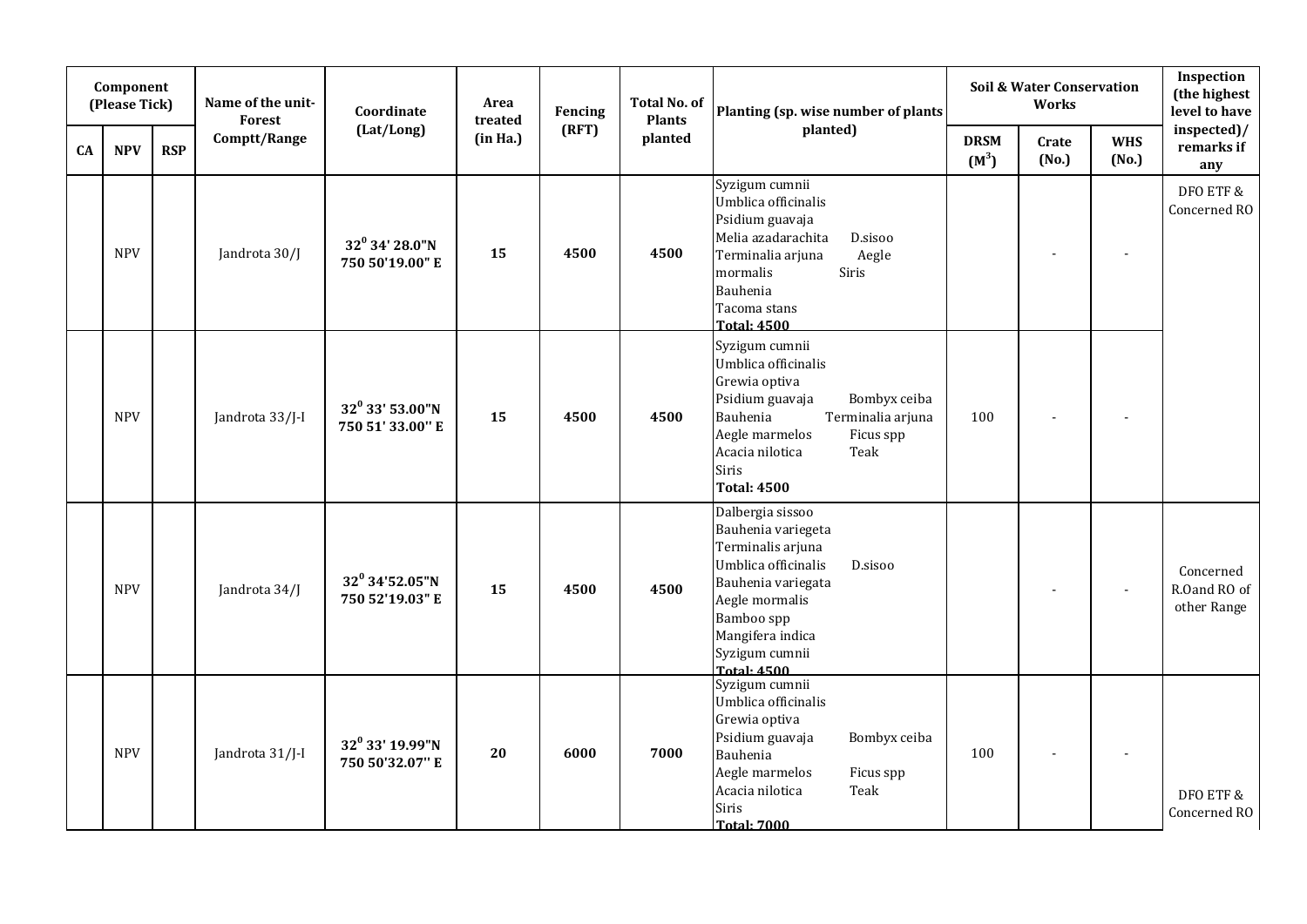| Component<br>(Please Tick) |            |            | Name of the unit-<br>Forest | Coordinate                             | Area<br>treated | Fencing | Total No. of<br><b>Plants</b> | Planting (sp. wise number of plants                                                                                                                                                                                 | Soil & Water Conservation<br>Works |                |                     | Inspection<br>(the highest<br>level to have |
|----------------------------|------------|------------|-----------------------------|----------------------------------------|-----------------|---------|-------------------------------|---------------------------------------------------------------------------------------------------------------------------------------------------------------------------------------------------------------------|------------------------------------|----------------|---------------------|---------------------------------------------|
| CA                         | <b>NPV</b> | <b>RSP</b> | Comptt/Range                | (Lat/Long)                             | (in Ha.)        | (RFT)   | planted                       | planted)                                                                                                                                                                                                            | <b>DRSM</b><br>$(M^3)$             | Crate<br>(No.) | <b>WHS</b><br>(No.) | inspected)/<br>remarks if<br>any            |
|                            | <b>NPV</b> |            | Jandrota 30/J               | $32^0$ 34' 28.0"N<br>750 50'19.00" E   | 15              | 4500    | 4500                          | Syzigum cumnii<br>Umblica officinalis<br>Psidium guavaja<br>Melia azadarachita<br>D.sisoo<br>Terminalia arjuna<br>Aegle<br>Siris<br>mormalis<br>Bauhenia<br>Tacoma stans<br><b>Total: 4500</b>                      |                                    |                |                     | DFO ETF &<br>Concerned RO                   |
|                            | <b>NPV</b> |            | Jandrota 33/J-I             | $32^0$ 33' 53.00"N<br>750 51' 33.00" E | 15              | 4500    | 4500                          | Syzigum cumnii<br>Umblica officinalis<br>Grewia optiva<br>Psidium guavaja<br>Bombyx ceiba<br>Terminalia arjuna<br>Bauhenia<br>Aegle marmelos<br>Ficus spp<br>Acacia nilotica<br>Teak<br>Siris<br><b>Total: 4500</b> | 100                                |                |                     |                                             |
|                            | <b>NPV</b> |            | Jandrota 34/J               | $32^0$ 34'52.05"N<br>750 52'19.03" E   | 15              | 4500    | 4500                          | Dalbergia sissoo<br>Bauhenia variegeta<br>Terminalis arjuna<br>Umblica officinalis<br>D.sisoo<br>Bauhenia variegata<br>Aegle mormalis<br>Bamboo spp<br>Mangifera indica<br>Syzigum cumnii<br><b>Total: 4500</b>     |                                    |                |                     | Concerned<br>R.Oand RO of<br>other Range    |
|                            | <b>NPV</b> |            | Jandrota 31/J-I             | $32^0$ 33' 19.99"N<br>750 50'32.07" E  | 20              | 6000    | 7000                          | Syzigum cumnii<br>Umblica officinalis<br>Grewia optiva<br>Psidium guavaja<br>Bombyx ceiba<br>Bauhenia<br>Aegle marmelos<br>Ficus spp<br>Acacia nilotica<br>Teak<br>Siris<br><b>Total: 7000</b>                      | 100                                |                |                     | DFO ETF &<br>Concerned RO                   |